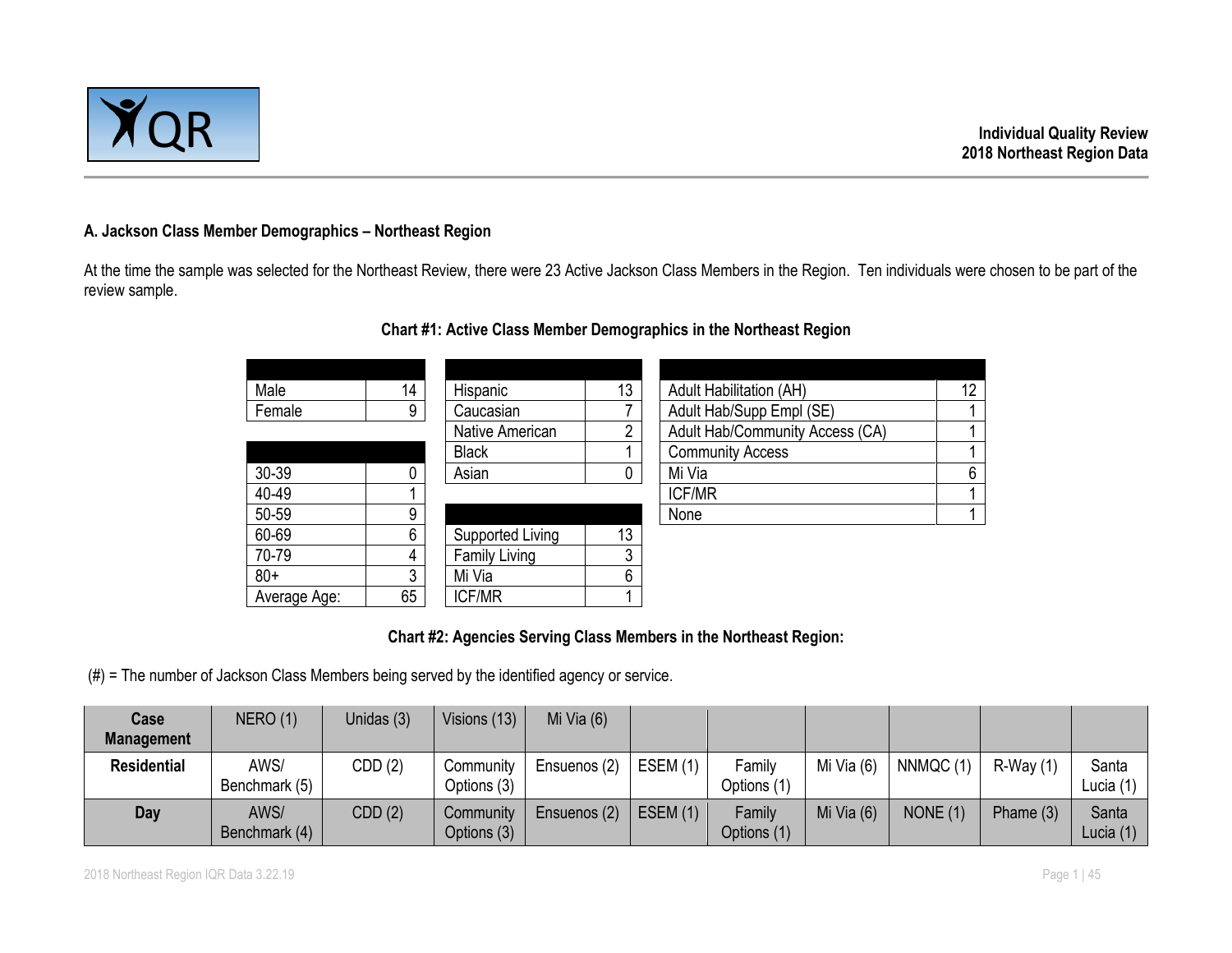

#### **A. Jackson Class Member Demographics – Northeast Region**

At the time the sample was selected for the Northeast Review, there were 23 Active Jackson Class Members in the Region. Ten individuals were chosen to be part of the review sample.

| Male         | 14 | Hispanic         | 13 | <b>Adult Habilitation (AH)</b>  | 12 <sup>°</sup> |
|--------------|----|------------------|----|---------------------------------|-----------------|
| Female       | 9  | Caucasian        |    | Adult Hab/Supp Empl (SE)        |                 |
|              |    | Native American  | ∩  | Adult Hab/Community Access (CA) |                 |
|              |    | <b>Black</b>     |    | <b>Community Access</b>         |                 |
| 30-39        | 0  | Asian            |    | Mi Via                          | 6               |
| 40-49        |    |                  |    | <b>ICF/MR</b>                   |                 |
| 50-59        | 9  |                  |    | None                            |                 |
| 60-69        | 6  | Supported Living | 13 |                                 |                 |
| 70-79        | 4  | Family Living    | 3  |                                 |                 |
| $80+$        | 3  | Mi Via           | 6  |                                 |                 |
| Average Age: | 65 | <b>ICF/MR</b>    |    |                                 |                 |

# **Chart #1: Active Class Member Demographics in the Northeast Region**

#### **Chart #2: Agencies Serving Class Members in the Northeast Region:**

(#) = The number of Jackson Class Members being served by the identified agency or service.

| <b>Case</b>        | NERO(1)               | Unidas (3) | Visions (13)             | Mi Via $(6)$ |            |                       |              |           |            |                      |
|--------------------|-----------------------|------------|--------------------------|--------------|------------|-----------------------|--------------|-----------|------------|----------------------|
| <b>Management</b>  |                       |            |                          |              |            |                       |              |           |            |                      |
| <b>Residential</b> | AWS/<br>Benchmark (5) | CDD(2)     | Community<br>Options (3) | Ensuenos (2) | ESEM(1)    | Family<br>Options (1) | Mi Via (6)   | NNMQC (1) | $R-Wav(1)$ | Santa<br>Lucia $(1)$ |
| Day                | AWS/<br>Benchmark (4) | CDD(2)     | Community<br>Options (3) | Ensuenos (2) | ESEM $(1)$ | Family<br>Options (1) | Mi Via $(6)$ | NONE(1)   | Phame (3)  | Santa<br>Lucia $(1)$ |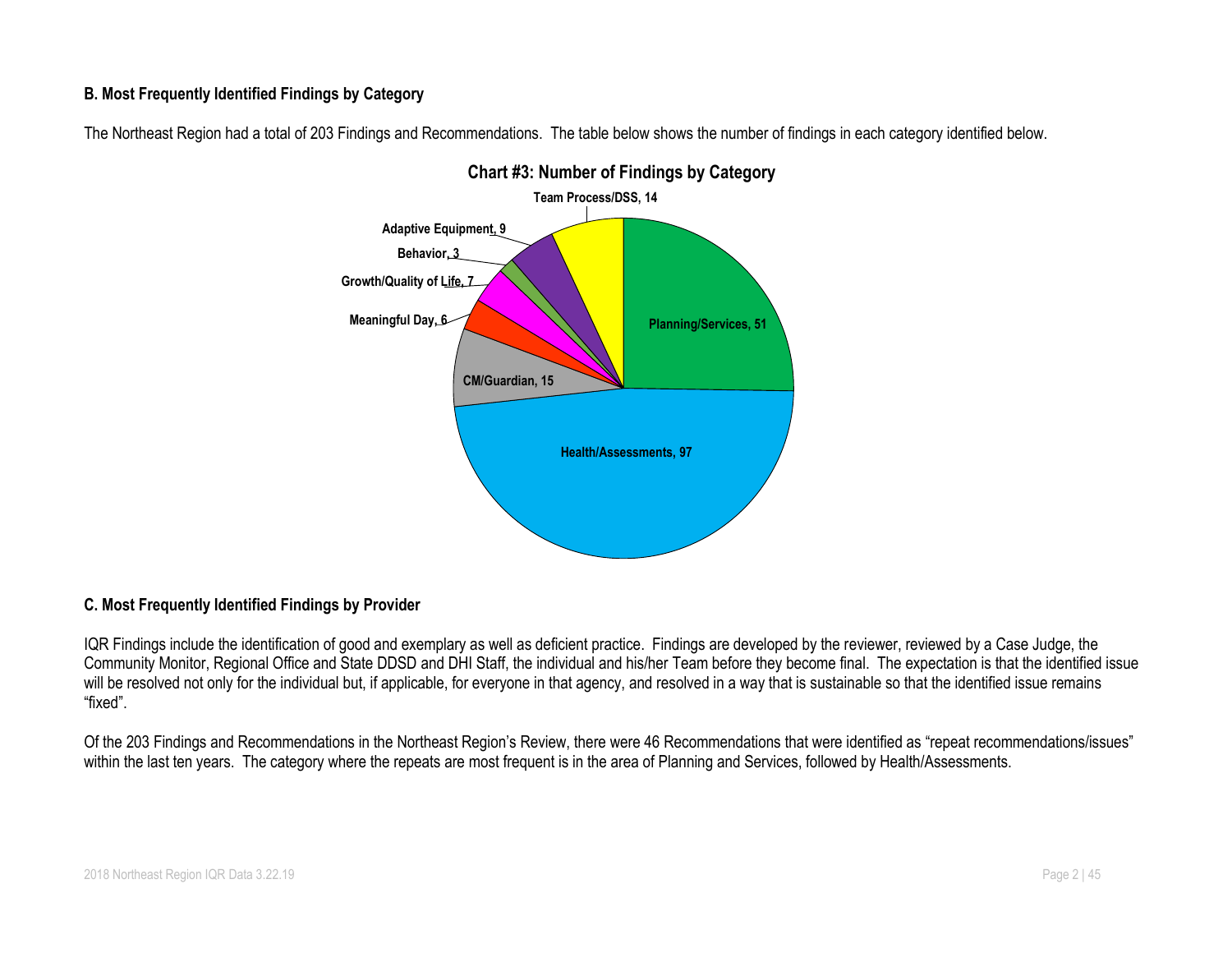#### **B. Most Frequently Identified Findings by Category**

The Northeast Region had a total of 203 Findings and Recommendations. The table below shows the number of findings in each category identified below.



# **Chart #3: Number of Findings by Category**

#### **C. Most Frequently Identified Findings by Provider**

IQR Findings include the identification of good and exemplary as well as deficient practice. Findings are developed by the reviewer, reviewed by a Case Judge, the Community Monitor, Regional Office and State DDSD and DHI Staff, the individual and his/her Team before they become final. The expectation is that the identified issue will be resolved not only for the individual but, if applicable, for everyone in that agency, and resolved in a way that is sustainable so that the identified issue remains "fixed".

Of the 203 Findings and Recommendations in the Northeast Region's Review, there were 46 Recommendations that were identified as "repeat recommendations/issues" within the last ten years. The category where the repeats are most frequent is in the area of Planning and Services, followed by Health/Assessments.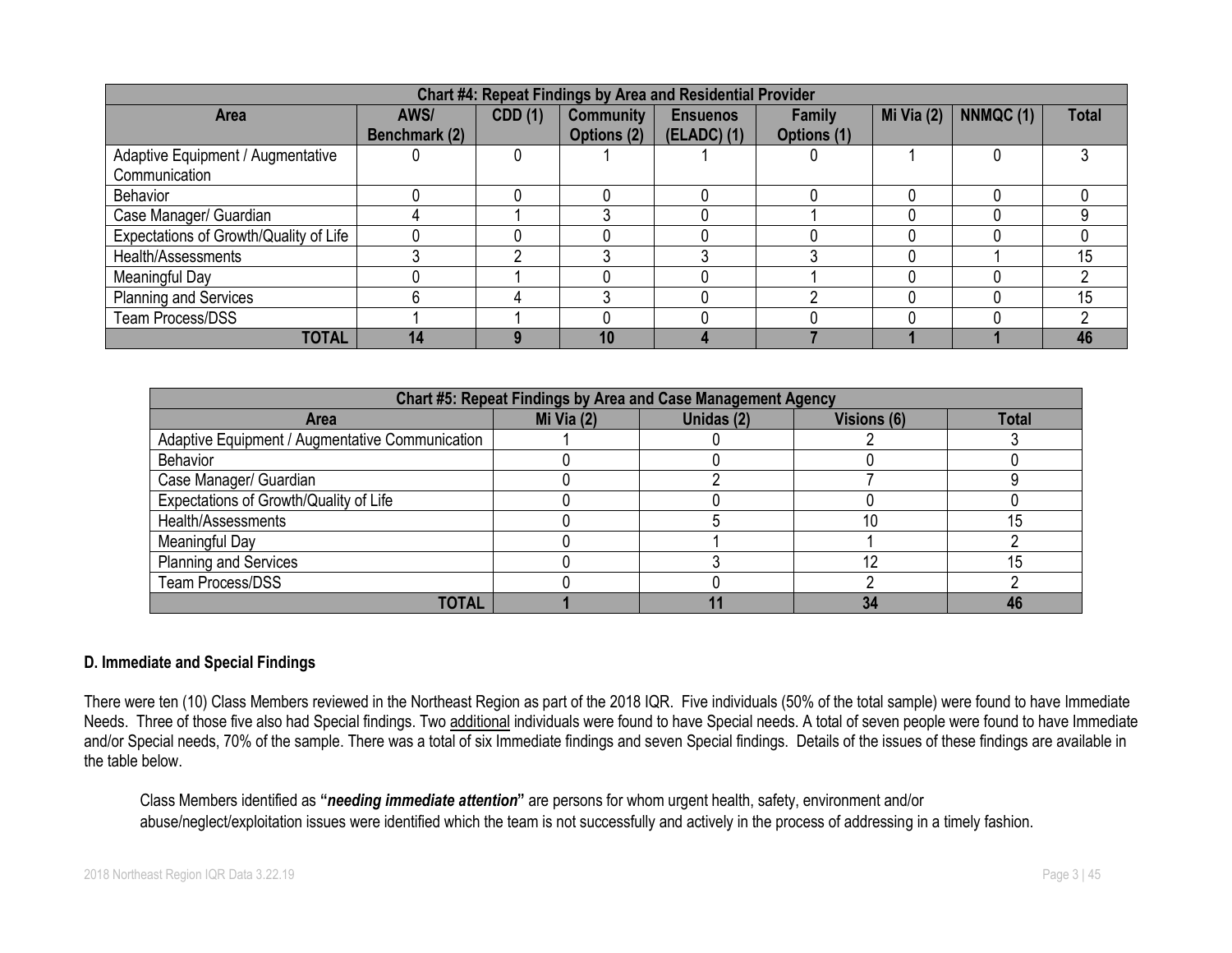| Chart #4: Repeat Findings by Area and Residential Provider |                       |                |                                 |                                |                       |            |           |              |  |  |  |  |  |
|------------------------------------------------------------|-----------------------|----------------|---------------------------------|--------------------------------|-----------------------|------------|-----------|--------------|--|--|--|--|--|
| <b>Area</b>                                                | AWS/<br>Benchmark (2) | <b>CDD</b> (1) | <b>Community</b><br>Options (2) | <b>Ensuenos</b><br>(ELADC) (1) | Family<br>Options (1) | Mi Via (2) | NNMQC (1) | <b>Total</b> |  |  |  |  |  |
| Adaptive Equipment / Augmentative<br>Communication         |                       |                |                                 |                                |                       |            |           |              |  |  |  |  |  |
| <b>Behavior</b>                                            |                       |                |                                 |                                |                       |            |           |              |  |  |  |  |  |
| Case Manager/ Guardian                                     |                       |                |                                 |                                |                       |            |           |              |  |  |  |  |  |
| Expectations of Growth/Quality of Life                     |                       |                |                                 |                                |                       |            |           |              |  |  |  |  |  |
| Health/Assessments                                         |                       |                |                                 |                                |                       |            |           | 15           |  |  |  |  |  |
| Meaningful Day                                             |                       |                |                                 |                                |                       |            |           |              |  |  |  |  |  |
| <b>Planning and Services</b>                               |                       |                |                                 |                                |                       |            |           | 15           |  |  |  |  |  |
| Team Process/DSS                                           |                       |                |                                 |                                |                       |            |           |              |  |  |  |  |  |
| <b>TOTAL</b>                                               | 14                    |                | 10                              |                                |                       |            |           | 46           |  |  |  |  |  |

|                                                 |            | Chart #5: Repeat Findings by Area and Case Management Agency |             |              |
|-------------------------------------------------|------------|--------------------------------------------------------------|-------------|--------------|
| <b>Area</b>                                     | Mi Via (2) | Unidas (2)                                                   | Visions (6) | <b>Total</b> |
| Adaptive Equipment / Augmentative Communication |            |                                                              |             |              |
| <b>Behavior</b>                                 |            |                                                              |             |              |
| Case Manager/ Guardian                          |            |                                                              |             |              |
| Expectations of Growth/Quality of Life          |            |                                                              |             |              |
| Health/Assessments                              |            |                                                              |             | 15           |
| Meaningful Day                                  |            |                                                              |             |              |
| <b>Planning and Services</b>                    |            |                                                              |             | 15           |
| Team Process/DSS                                |            |                                                              |             |              |
| TOTAL                                           |            |                                                              | 34          |              |

#### **D. Immediate and Special Findings**

There were ten (10) Class Members reviewed in the Northeast Region as part of the 2018 IQR. Five individuals (50% of the total sample) were found to have Immediate Needs. Three of those five also had Special findings. Two additional individuals were found to have Special needs. A total of seven people were found to have Immediate and/or Special needs, 70% of the sample. There was a total of six Immediate findings and seven Special findings. Details of the issues of these findings are available in the table below.

Class Members identified as **"***needing immediate attention***"** are persons for whom urgent health, safety, environment and/or abuse/neglect/exploitation issues were identified which the team is not successfully and actively in the process of addressing in a timely fashion.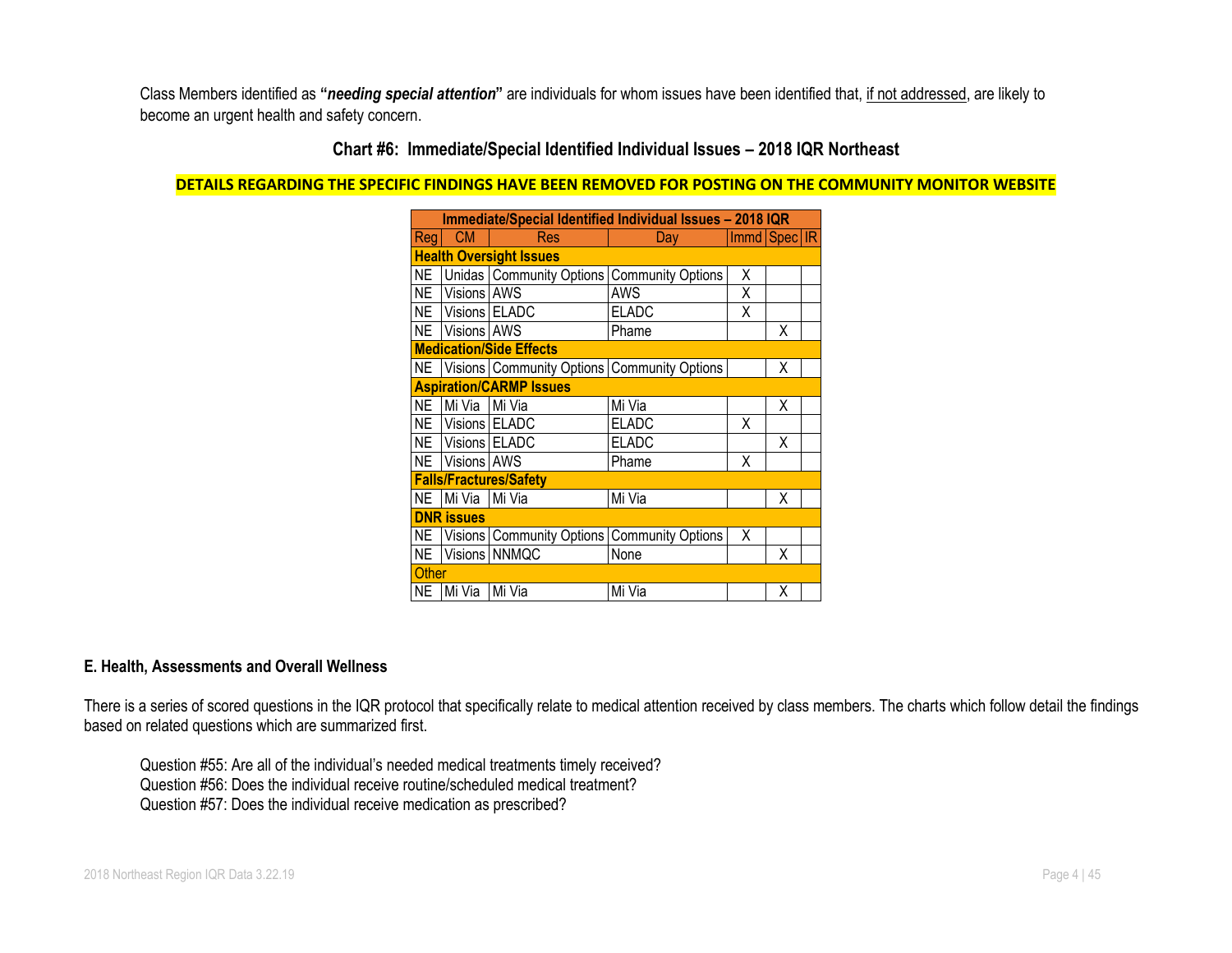Class Members identified as **"***needing special attention***"** are individuals for whom issues have been identified that, if not addressed, are likely to become an urgent health and safety concern.

# **Chart #6: Immediate/Special Identified Individual Issues – 2018 IQR Northeast**

#### **DETAILS REGARDING THE SPECIFIC FINDINGS HAVE BEEN REMOVED FOR POSTING ON THE COMMUNITY MONITOR WEBSITE**

|              | Immediate/Special Identified Individual Issues - 2018 IQR |                                                      |                          |   |              |  |  |  |  |  |
|--------------|-----------------------------------------------------------|------------------------------------------------------|--------------------------|---|--------------|--|--|--|--|--|
| Reg          | <b>CM</b>                                                 | Res                                                  | Day                      |   | Immd Spec IR |  |  |  |  |  |
|              |                                                           | <b>Health Oversight Issues</b>                       |                          |   |              |  |  |  |  |  |
| NE           |                                                           | Unidas   Community Options                           | <b>Community Options</b> | χ |              |  |  |  |  |  |
|              | NE Visions AWS                                            |                                                      | AWS                      | Χ |              |  |  |  |  |  |
|              | NE Visions ELADC                                          |                                                      | <b>ELADC</b>             | Χ |              |  |  |  |  |  |
|              | NE Visions AWS                                            |                                                      | Phame                    |   | X            |  |  |  |  |  |
|              |                                                           | <b>Medication/Side Effects</b>                       |                          |   |              |  |  |  |  |  |
|              |                                                           | NE   Visions   Community Options   Community Options |                          |   | Χ            |  |  |  |  |  |
|              |                                                           | <b>Aspiration/CARMP Issues</b>                       |                          |   |              |  |  |  |  |  |
| NE           | Mi Via Mi Via                                             |                                                      | Mi Via                   |   | x            |  |  |  |  |  |
|              | NE Visions ELADC                                          |                                                      | <b>ELADC</b>             | Χ |              |  |  |  |  |  |
|              | NE Visions ELADC                                          |                                                      | <b>ELADC</b>             |   | X            |  |  |  |  |  |
|              | NE Visions AWS                                            |                                                      | Phame                    | χ |              |  |  |  |  |  |
|              |                                                           | <b>Falls/Fractures/Safety</b>                        |                          |   |              |  |  |  |  |  |
| NE           | Mi Via Mi Via                                             |                                                      | Mi Via                   |   | X            |  |  |  |  |  |
|              | <b>DNR</b> issues                                         |                                                      |                          |   |              |  |  |  |  |  |
|              |                                                           | NE   Visions   Community Options   Community Options |                          | X |              |  |  |  |  |  |
|              |                                                           | NE   Visions   NNMQC                                 | None                     |   | X            |  |  |  |  |  |
| <b>Other</b> |                                                           |                                                      |                          |   |              |  |  |  |  |  |
| NE           | Mi Via                                                    | Mi Via                                               | Mi Via                   |   | Χ            |  |  |  |  |  |

#### **E. Health, Assessments and Overall Wellness**

There is a series of scored questions in the IQR protocol that specifically relate to medical attention received by class members. The charts which follow detail the findings based on related questions which are summarized first.

Question #55: Are all of the individual's needed medical treatments timely received? Question #56: Does the individual receive routine/scheduled medical treatment? Question #57: Does the individual receive medication as prescribed?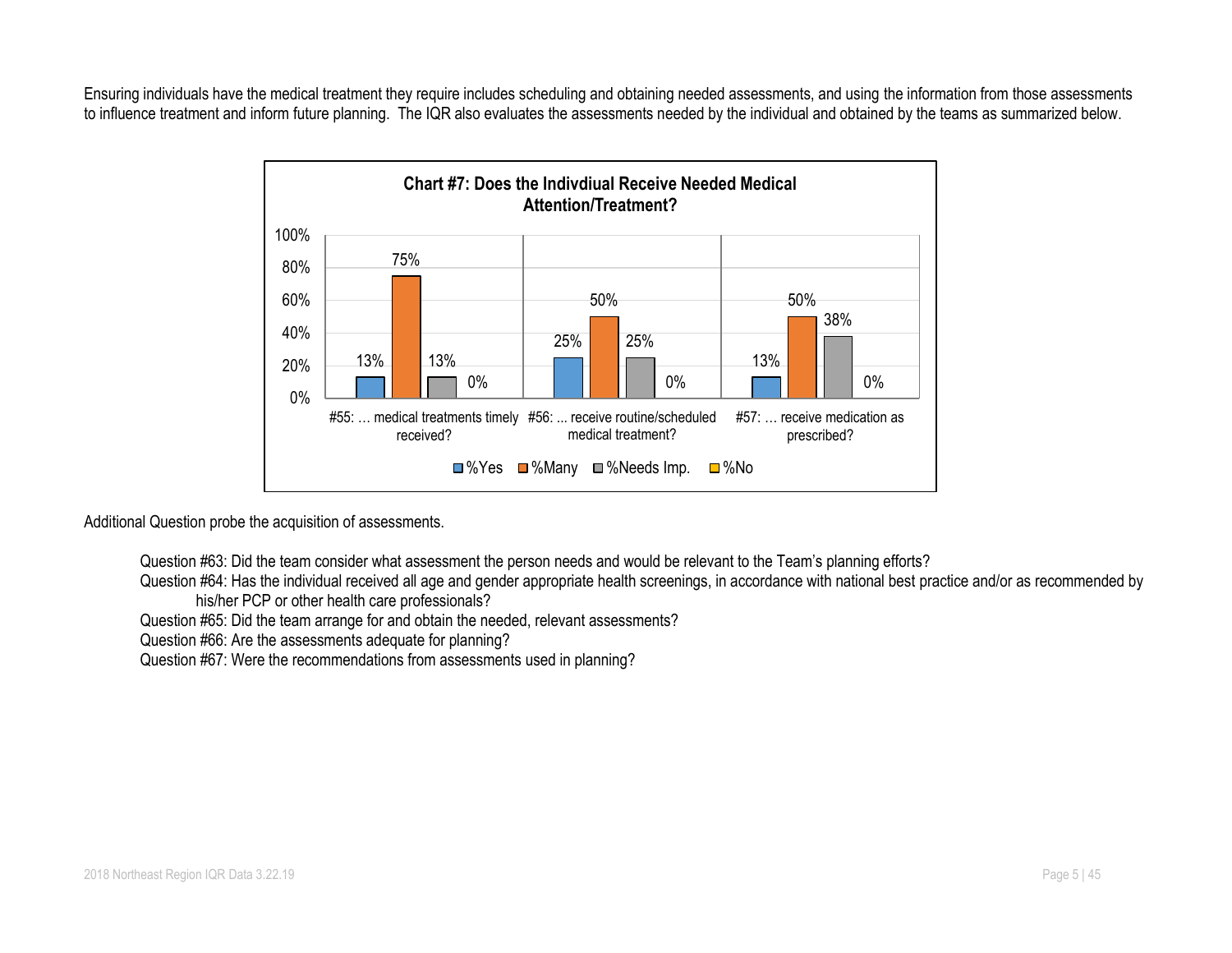Ensuring individuals have the medical treatment they require includes scheduling and obtaining needed assessments, and using the information from those assessments to influence treatment and inform future planning. The IQR also evaluates the assessments needed by the individual and obtained by the teams as summarized below.



Additional Question probe the acquisition of assessments.

Question #63: Did the team consider what assessment the person needs and would be relevant to the Team's planning efforts?

Question #64: Has the individual received all age and gender appropriate health screenings, in accordance with national best practice and/or as recommended by his/her PCP or other health care professionals?

Question #65: Did the team arrange for and obtain the needed, relevant assessments?

Question #66: Are the assessments adequate for planning?

Question #67: Were the recommendations from assessments used in planning?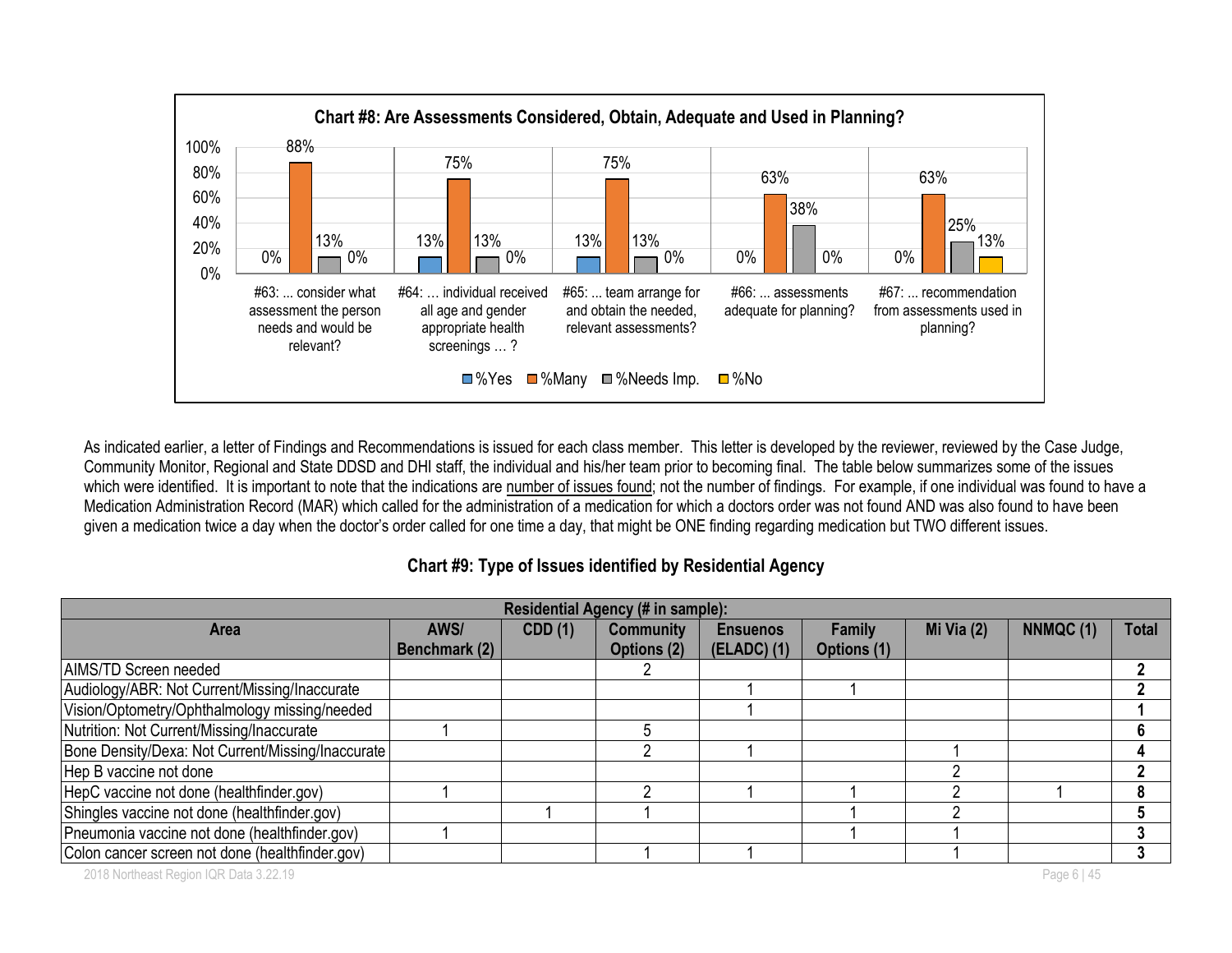

As indicated earlier, a letter of Findings and Recommendations is issued for each class member. This letter is developed by the reviewer, reviewed by the Case Judge, Community Monitor, Regional and State DDSD and DHI staff, the individual and his/her team prior to becoming final. The table below summarizes some of the issues which were identified. It is important to note that the indications are number of issues found; not the number of findings. For example, if one individual was found to have a Medication Administration Record (MAR) which called for the administration of a medication for which a doctors order was not found AND was also found to have been given a medication twice a day when the doctor's order called for one time a day, that might be ONE finding regarding medication but TWO different issues.

**Chart #9: Type of Issues identified by Residential Agency**

| Residential Agency (# in sample):                 |               |                |                  |                 |               |              |          |              |  |  |  |
|---------------------------------------------------|---------------|----------------|------------------|-----------------|---------------|--------------|----------|--------------|--|--|--|
| <b>Area</b>                                       | AWS/          | <b>CDD</b> (1) | <b>Community</b> | <b>Ensuenos</b> | <b>Family</b> | Mi Via $(2)$ | NNMQC(1) | <b>Total</b> |  |  |  |
|                                                   | Benchmark (2) |                | Options (2)      | (ELADC) (1)     | Options (1)   |              |          |              |  |  |  |
| AIMS/TD Screen needed                             |               |                |                  |                 |               |              |          |              |  |  |  |
| Audiology/ABR: Not Current/Missing/Inaccurate     |               |                |                  |                 |               |              |          |              |  |  |  |
| Vision/Optometry/Ophthalmology missing/needed     |               |                |                  |                 |               |              |          |              |  |  |  |
| Nutrition: Not Current/Missing/Inaccurate         |               |                |                  |                 |               |              |          | 6            |  |  |  |
| Bone Density/Dexa: Not Current/Missing/Inaccurate |               |                |                  |                 |               |              |          | 4            |  |  |  |
| Hep B vaccine not done                            |               |                |                  |                 |               |              |          |              |  |  |  |
| HepC vaccine not done (healthfinder.gov)          |               |                |                  |                 |               |              |          |              |  |  |  |
| Shingles vaccine not done (healthfinder.gov)      |               |                |                  |                 |               |              |          |              |  |  |  |
| Pneumonia vaccine not done (healthfinder.gov)     |               |                |                  |                 |               |              |          |              |  |  |  |
| Colon cancer screen not done (healthfinder.gov)   |               |                |                  |                 |               |              |          |              |  |  |  |

2018 Northeast Region IQR Data 3.22.19 Page 6 | 45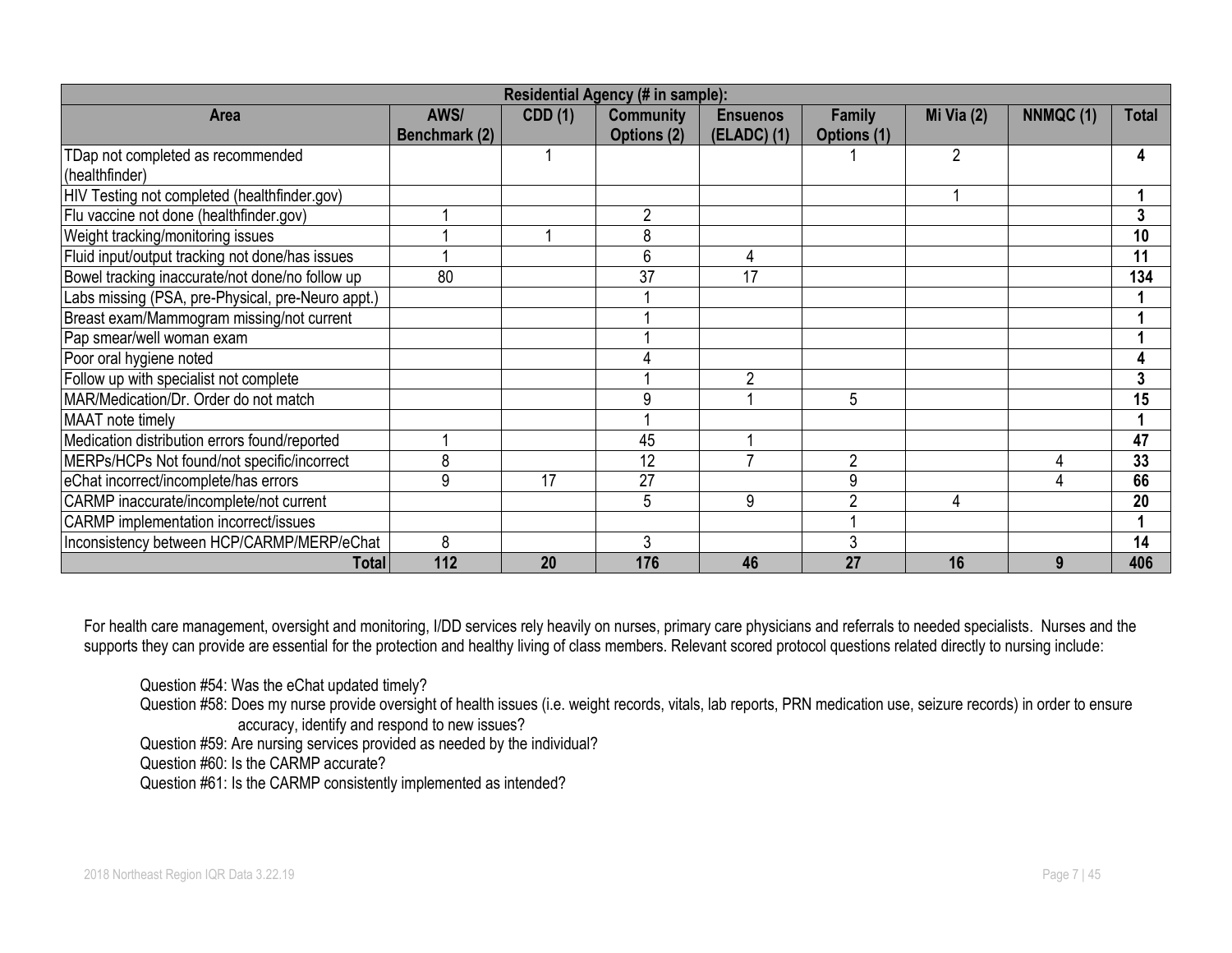| <b>Residential Agency (# in sample):</b>          |               |                |                  |                 |             |                |           |              |  |  |
|---------------------------------------------------|---------------|----------------|------------------|-----------------|-------------|----------------|-----------|--------------|--|--|
| Area                                              | AWS/          | <b>CDD</b> (1) | <b>Community</b> | <b>Ensuenos</b> | Family      | Mi Via $(2)$   | NNMQC (1) | <b>Total</b> |  |  |
|                                                   | Benchmark (2) |                | Options (2)      | (ELADC) (1)     | Options (1) |                |           |              |  |  |
| TDap not completed as recommended                 |               |                |                  |                 |             | $\overline{2}$ |           | 4            |  |  |
| (healthfinder)                                    |               |                |                  |                 |             |                |           |              |  |  |
| HIV Testing not completed (healthfinder.gov)      |               |                |                  |                 |             |                |           |              |  |  |
| Flu vaccine not done (healthfinder.gov)           |               |                |                  |                 |             |                |           | 3            |  |  |
| Weight tracking/monitoring issues                 |               |                | 8                |                 |             |                |           | 10           |  |  |
| Fluid input/output tracking not done/has issues   |               |                | 6                | 4               |             |                |           | 11           |  |  |
| Bowel tracking inaccurate/not done/no follow up   | 80            |                | 37               | 17              |             |                |           | 134          |  |  |
| Labs missing (PSA, pre-Physical, pre-Neuro appt.) |               |                |                  |                 |             |                |           |              |  |  |
| Breast exam/Mammogram missing/not current         |               |                |                  |                 |             |                |           |              |  |  |
| Pap smear/well woman exam                         |               |                |                  |                 |             |                |           |              |  |  |
| Poor oral hygiene noted                           |               |                |                  |                 |             |                |           |              |  |  |
| Follow up with specialist not complete            |               |                |                  | $\overline{2}$  |             |                |           | 3            |  |  |
| MAR/Medication/Dr. Order do not match             |               |                | 9                |                 | 5           |                |           | 15           |  |  |
| MAAT note timely                                  |               |                |                  |                 |             |                |           |              |  |  |
| Medication distribution errors found/reported     |               |                | 45               |                 |             |                |           | 47           |  |  |
| MERPs/HCPs Not found/not specific/incorrect       | 8             |                | 12               |                 | 2           |                |           | 33           |  |  |
| eChat incorrect/incomplete/has errors             | 9             | 17             | 27               |                 | 9           |                |           | 66           |  |  |
| CARMP inaccurate/incomplete/not current           |               |                | 5                | 9               | ∩           | 4              |           | 20           |  |  |
| <b>CARMP</b> implementation incorrect/issues      |               |                |                  |                 |             |                |           |              |  |  |
| Inconsistency between HCP/CARMP/MERP/eChat        | 8             |                | 3                |                 |             |                |           | 14           |  |  |
| Total                                             | 112           | 20             | 176              | 46              | 27          | 16             |           | 406          |  |  |

For health care management, oversight and monitoring, I/DD services rely heavily on nurses, primary care physicians and referrals to needed specialists. Nurses and the supports they can provide are essential for the protection and healthy living of class members. Relevant scored protocol questions related directly to nursing include:

Question #54: Was the eChat updated timely?

Question #58: Does my nurse provide oversight of health issues (i.e. weight records, vitals, lab reports, PRN medication use, seizure records) in order to ensure accuracy, identify and respond to new issues?

Question #59: Are nursing services provided as needed by the individual?

Question #60: Is the CARMP accurate?

Question #61: Is the CARMP consistently implemented as intended?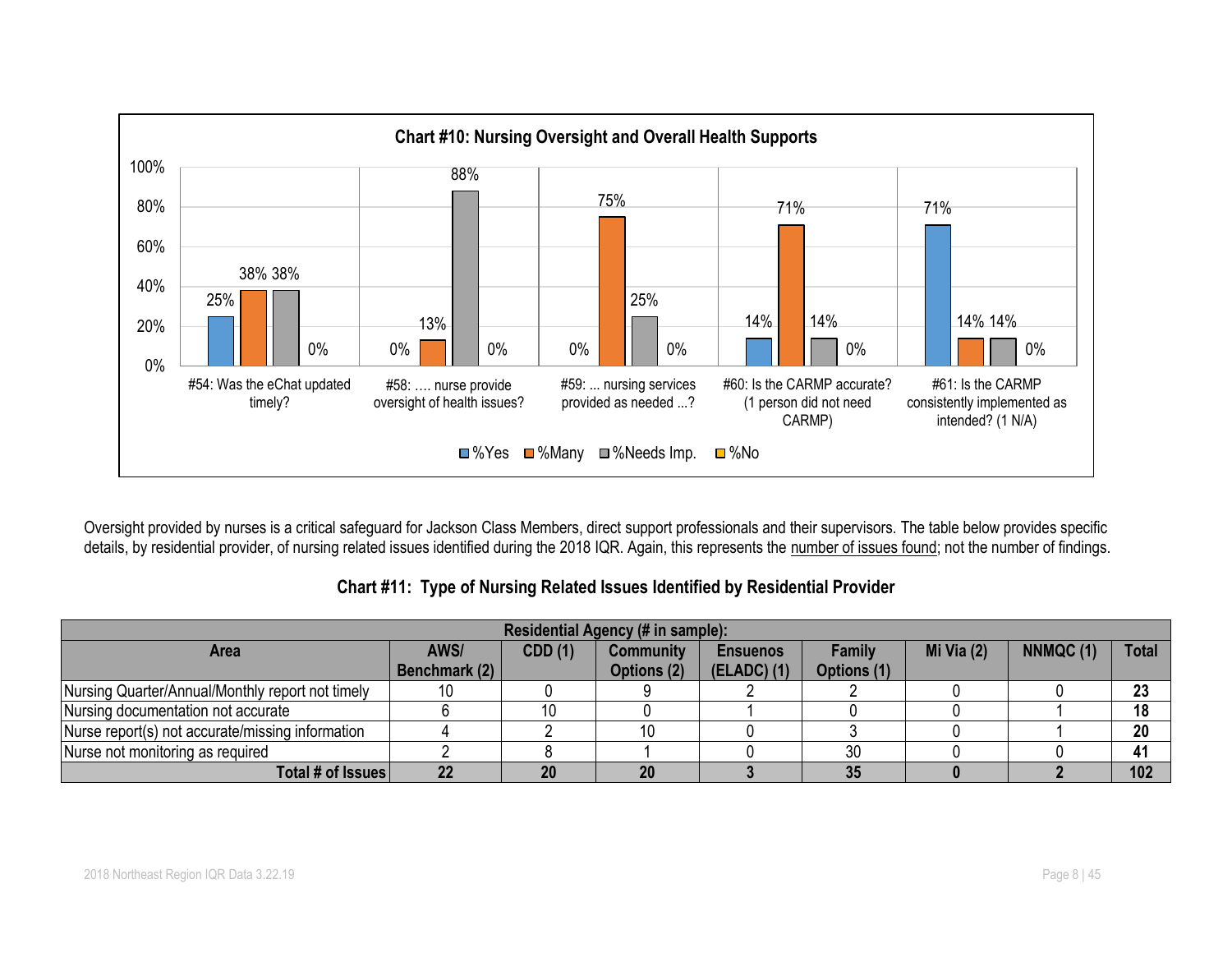

Oversight provided by nurses is a critical safeguard for Jackson Class Members, direct support professionals and their supervisors. The table below provides specific details, by residential provider, of nursing related issues identified during the 2018 IQR. Again, this represents the number of issues found; not the number of findings.

| Residential Agency (# in sample):                |               |         |                  |                 |             |              |          |              |  |  |  |
|--------------------------------------------------|---------------|---------|------------------|-----------------|-------------|--------------|----------|--------------|--|--|--|
| <b>Area</b>                                      | AWS/          | CDD (1) | <b>Community</b> | <b>Ensuenos</b> | Family      | Mi Via $(2)$ | NNMQC(1) | <b>Total</b> |  |  |  |
|                                                  | Benchmark (2) |         | Options (2)      | (ELADC) (1)     | Options (1) |              |          |              |  |  |  |
| Nursing Quarter/Annual/Monthly report not timely | 10            |         |                  |                 |             |              |          | 23           |  |  |  |
| Nursing documentation not accurate               |               |         |                  |                 |             |              |          | 18           |  |  |  |
| Nurse report(s) not accurate/missing information |               |         | 10               |                 |             |              |          | 20           |  |  |  |
| Nurse not monitoring as required                 |               |         |                  |                 | 30          |              |          | 41           |  |  |  |
| Total # of Issues                                | 22            | 20      | 20               |                 | 35          |              |          | 102          |  |  |  |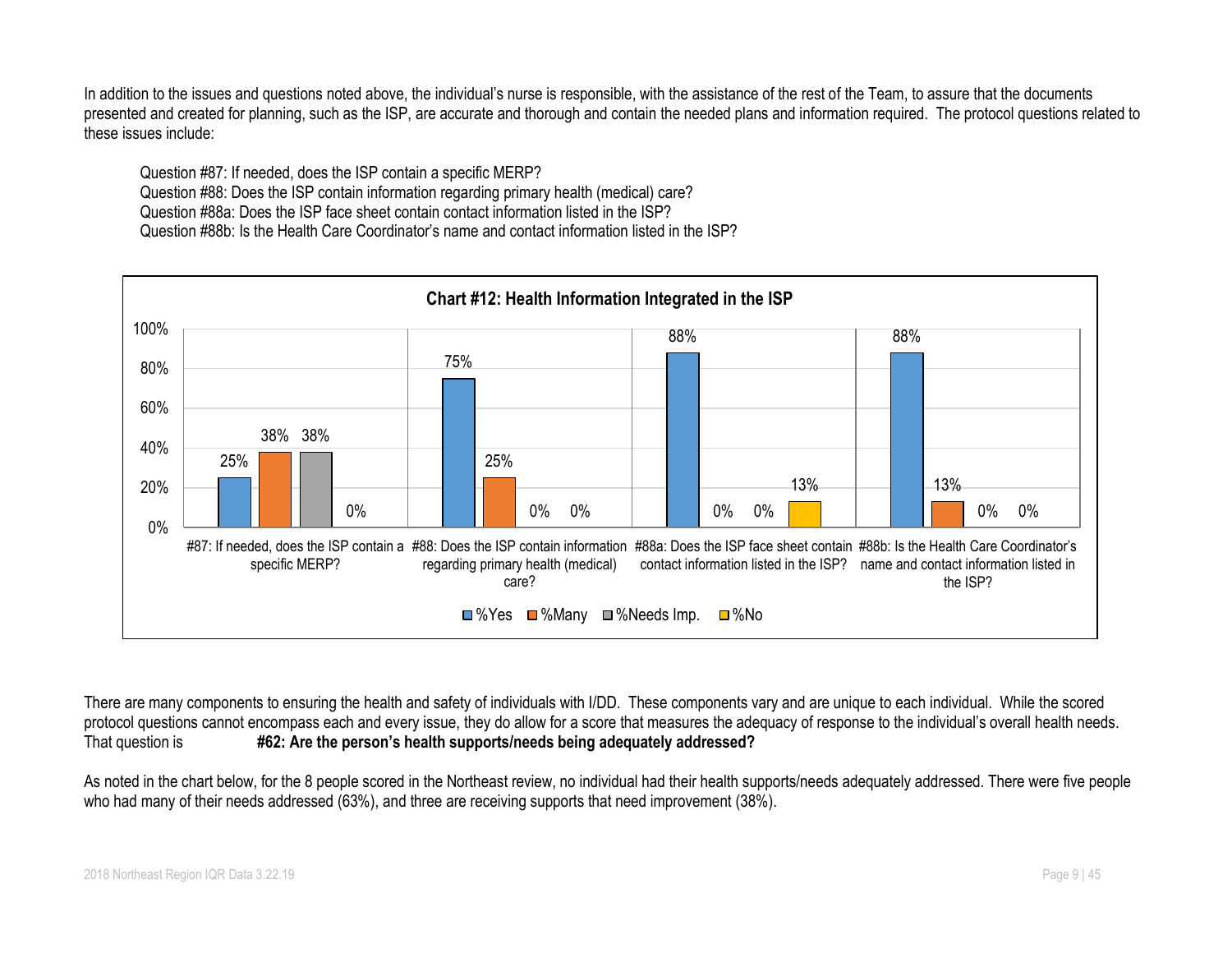In addition to the issues and questions noted above, the individual's nurse is responsible, with the assistance of the rest of the Team, to assure that the documents presented and created for planning, such as the ISP, are accurate and thorough and contain the needed plans and information required. The protocol questions related to these issues include:

Question #87: If needed, does the ISP contain a specific MERP? Question #88: Does the ISP contain information regarding primary health (medical) care? Question #88a: Does the ISP face sheet contain contact information listed in the ISP? Question #88b: Is the Health Care Coordinator's name and contact information listed in the ISP?



There are many components to ensuring the health and safety of individuals with I/DD. These components vary and are unique to each individual. While the scored protocol questions cannot encompass each and every issue, they do allow for a score that measures the adequacy of response to the individual's overall health needs. That question is **#62: Are the person's health supports/needs being adequately addressed?**

As noted in the chart below, for the 8 people scored in the Northeast review, no individual had their health supports/needs adequately addressed. There were five people who had many of their needs addressed (63%), and three are receiving supports that need improvement (38%).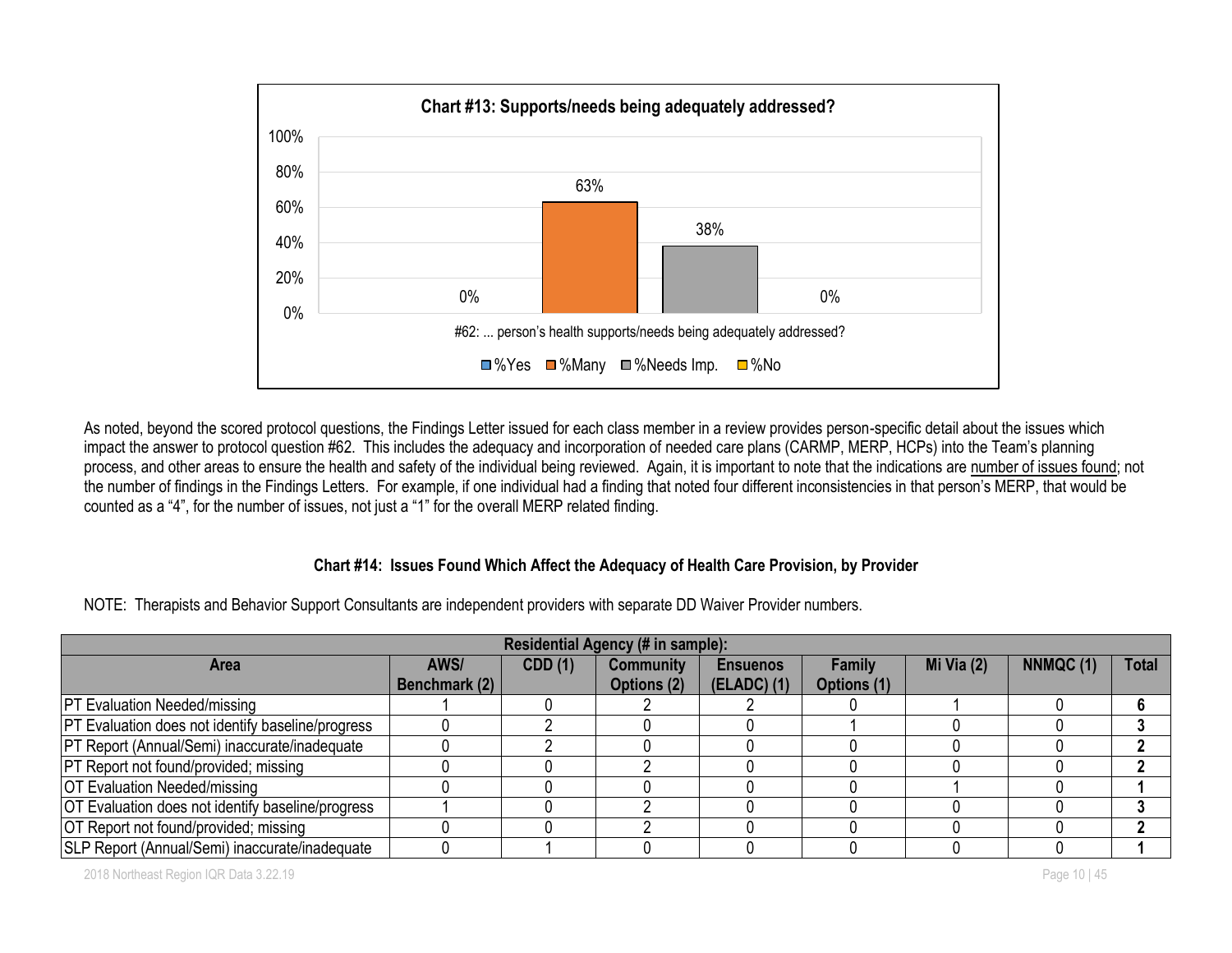

As noted, beyond the scored protocol questions, the Findings Letter issued for each class member in a review provides person-specific detail about the issues which impact the answer to protocol question #62. This includes the adequacy and incorporation of needed care plans (CARMP, MERP, HCPs) into the Team's planning process, and other areas to ensure the health and safety of the individual being reviewed. Again, it is important to note that the indications are number of issues found; not the number of findings in the Findings Letters. For example, if one individual had a finding that noted four different inconsistencies in that person's MERP, that would be counted as a "4", for the number of issues, not just a "1" for the overall MERP related finding.

#### **Chart #14: Issues Found Which Affect the Adequacy of Health Care Provision, by Provider**

NOTE: Therapists and Behavior Support Consultants are independent providers with separate DD Waiver Provider numbers.

| Residential Agency (# in sample):                        |               |         |                  |                 |             |              |          |              |  |  |  |
|----------------------------------------------------------|---------------|---------|------------------|-----------------|-------------|--------------|----------|--------------|--|--|--|
| <b>Area</b>                                              | AWS/          | CDD (1) | <b>Community</b> | <b>Ensuenos</b> | Family      | Mi Via $(2)$ | NNMQC(1) | <b>Total</b> |  |  |  |
|                                                          | Benchmark (2) |         | Options (2)      | $(ELADC)$ (1)   | Options (1) |              |          |              |  |  |  |
| <b>PT Evaluation Needed/missing</b>                      |               |         |                  |                 |             |              |          |              |  |  |  |
| <b>PT Evaluation does not identify baseline/progress</b> |               |         |                  |                 |             |              |          |              |  |  |  |
| PT Report (Annual/Semi) inaccurate/inadequate            |               |         |                  |                 |             |              |          |              |  |  |  |
| <b>PT</b> Report not found/provided; missing             |               |         |                  |                 |             |              |          |              |  |  |  |
| <b>OT Evaluation Needed/missing</b>                      |               |         |                  |                 |             |              |          |              |  |  |  |
| OT Evaluation does not identify baseline/progress        |               |         |                  |                 |             |              |          |              |  |  |  |
| OT Report not found/provided; missing                    |               |         |                  |                 |             |              |          |              |  |  |  |
| SLP Report (Annual/Semi) inaccurate/inadequate           |               |         |                  |                 |             |              |          |              |  |  |  |

2018 Northeast Region IQR Data 3.22.19 Page 10 | 45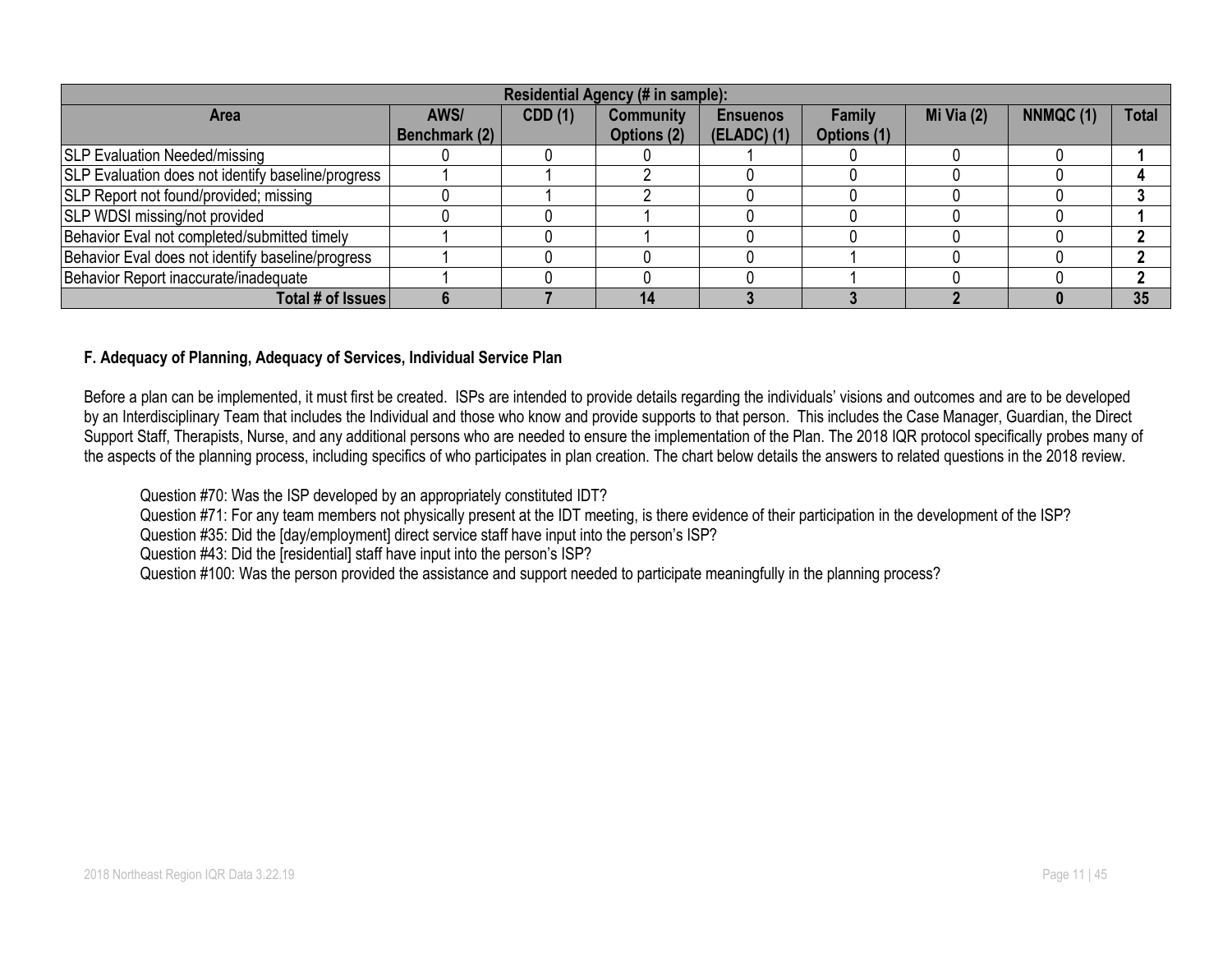| Residential Agency (# in sample):                         |                       |                |                                 |                                  |                       |              |          |              |  |  |  |
|-----------------------------------------------------------|-----------------------|----------------|---------------------------------|----------------------------------|-----------------------|--------------|----------|--------------|--|--|--|
| <b>Area</b>                                               | AWS/<br>Benchmark (2) | <b>CDD</b> (1) | <b>Community</b><br>Options (2) | <b>Ensuenos</b><br>$(ELADC)$ (1) | Family<br>Options (1) | Mi Via $(2)$ | NNMQC(1) | <b>Total</b> |  |  |  |
| <b>SLP Evaluation Needed/missing</b>                      |                       |                |                                 |                                  |                       |              |          |              |  |  |  |
| <b>SLP Evaluation does not identify baseline/progress</b> |                       |                |                                 |                                  |                       |              |          |              |  |  |  |
| <b>SLP Report not found/provided; missing</b>             |                       |                |                                 |                                  |                       |              |          |              |  |  |  |
| <b>SLP WDSI missing/not provided</b>                      |                       |                |                                 |                                  |                       |              |          |              |  |  |  |
| Behavior Eval not completed/submitted timely              |                       |                |                                 |                                  |                       |              |          |              |  |  |  |
| Behavior Eval does not identify baseline/progress         |                       |                |                                 |                                  |                       |              |          |              |  |  |  |
| Behavior Report inaccurate/inadequate                     |                       |                |                                 |                                  |                       |              |          |              |  |  |  |
| Total # of Issues                                         |                       |                | 14                              |                                  |                       |              |          | 35           |  |  |  |

#### **F. Adequacy of Planning, Adequacy of Services, Individual Service Plan**

Before a plan can be implemented, it must first be created. ISPs are intended to provide details regarding the individuals' visions and outcomes and are to be developed by an Interdisciplinary Team that includes the Individual and those who know and provide supports to that person. This includes the Case Manager, Guardian, the Direct Support Staff, Therapists, Nurse, and any additional persons who are needed to ensure the implementation of the Plan. The 2018 IQR protocol specifically probes many of the aspects of the planning process, including specifics of who participates in plan creation. The chart below details the answers to related questions in the 2018 review.

Question #70: Was the ISP developed by an appropriately constituted IDT?

Question #71: For any team members not physically present at the IDT meeting, is there evidence of their participation in the development of the ISP?

Question #35: Did the [day/employment] direct service staff have input into the person's ISP?

Question #43: Did the [residential] staff have input into the person's ISP?

Question #100: Was the person provided the assistance and support needed to participate meaningfully in the planning process?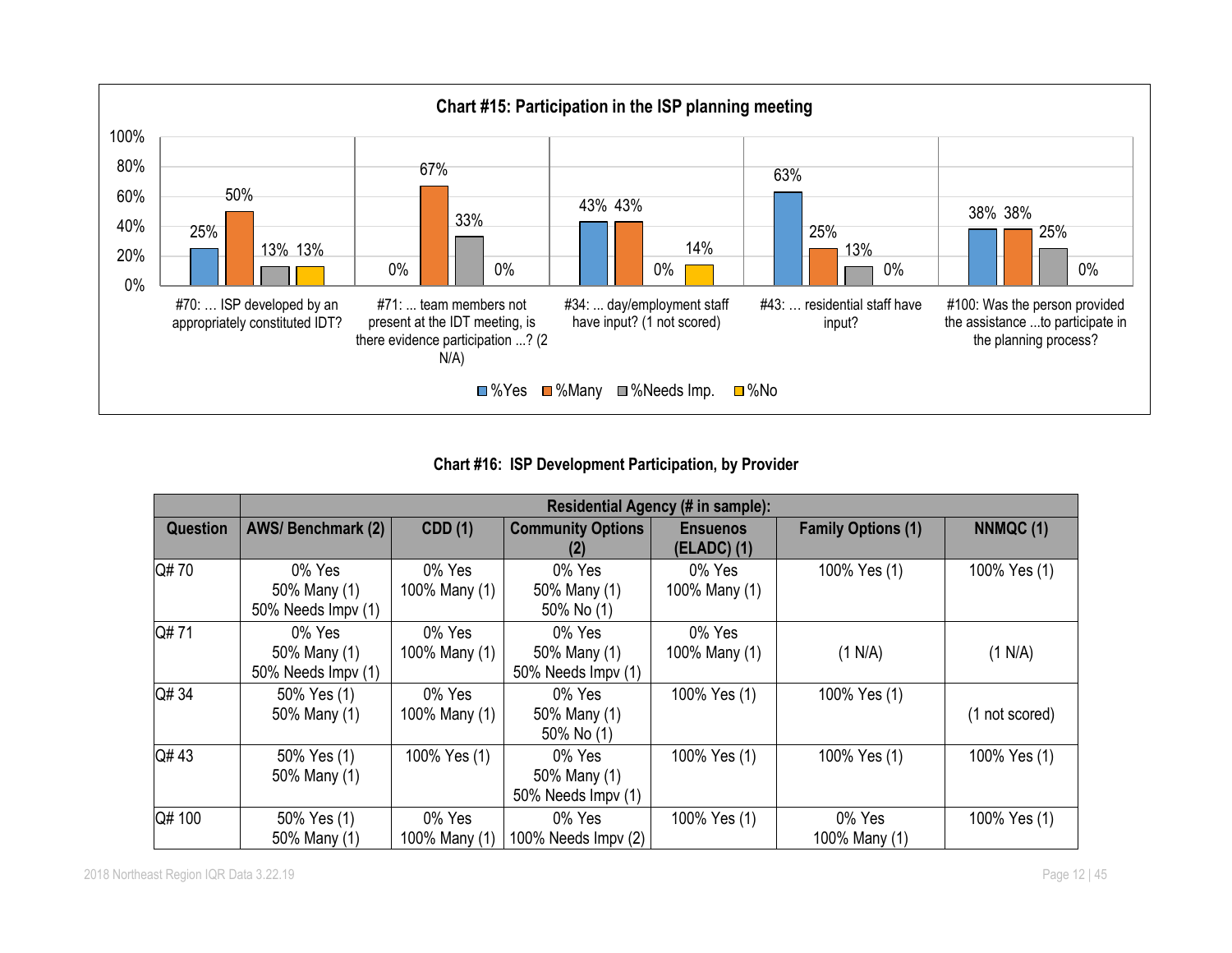

**Chart #16: ISP Development Participation, by Provider**

|                 |                                              |                         |                                              | Residential Agency (# in sample): |                           |                |
|-----------------|----------------------------------------------|-------------------------|----------------------------------------------|-----------------------------------|---------------------------|----------------|
| <b>Question</b> | <b>AWS/Benchmark (2)</b>                     | <b>CDD</b> (1)          | <b>Community Options</b><br>(2)              | <b>Ensuenos</b><br>(ELADC) (1)    | <b>Family Options (1)</b> | NNMQC (1)      |
| Q#70            | 0% Yes<br>50% Many (1)<br>50% Needs Impv (1) | 0% Yes<br>100% Many (1) | 0% Yes<br>50% Many (1)<br>50% No (1)         | 0% Yes<br>100% Many (1)           | 100% Yes (1)              | 100% Yes (1)   |
| Q#71            | 0% Yes<br>50% Many (1)<br>50% Needs Impv (1) | 0% Yes<br>100% Many (1) | 0% Yes<br>50% Many (1)<br>50% Needs Impv (1) | 0% Yes<br>100% Many (1)           | (1 N/A)                   | (1 N/A)        |
| Q# 34           | 50% Yes (1)<br>50% Many (1)                  | 0% Yes<br>100% Many (1) | 0% Yes<br>50% Many (1)<br>50% No (1)         | 100% Yes (1)                      | 100% Yes (1)              | (1 not scored) |
| Q#43            | 50% Yes (1)<br>50% Many (1)                  | 100% Yes (1)            | 0% Yes<br>50% Many (1)<br>50% Needs Impv (1) | 100% Yes (1)                      | 100% Yes (1)              | 100% Yes (1)   |
| Q# 100          | 50% Yes (1)<br>50% Many (1)                  | 0% Yes<br>100% Many (1) | 0% Yes<br>100% Needs Impv (2)                | 100% Yes (1)                      | 0% Yes<br>100% Many (1)   | 100% Yes (1)   |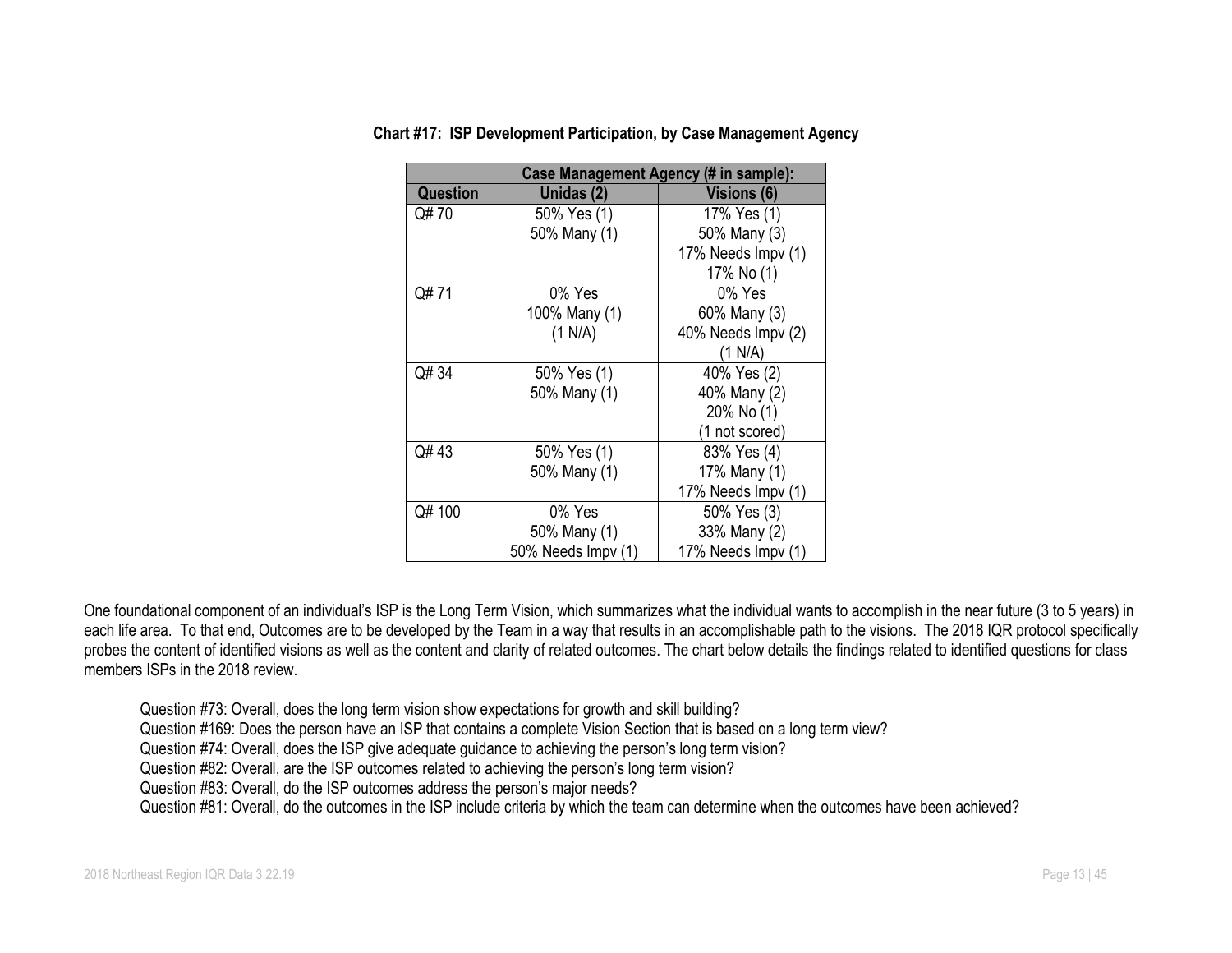|          | <b>Case Management Agency (# in sample):</b> |                    |  |  |  |  |  |
|----------|----------------------------------------------|--------------------|--|--|--|--|--|
| Question | Unidas (2)                                   | <b>Visions (6)</b> |  |  |  |  |  |
| Q# 70    | 50% Yes (1)                                  | 17% Yes (1)        |  |  |  |  |  |
|          | 50% Many (1)                                 | 50% Many (3)       |  |  |  |  |  |
|          |                                              | 17% Needs Impv (1) |  |  |  |  |  |
|          |                                              | 17% No (1)         |  |  |  |  |  |
| Q#71     | 0% Yes                                       | $0\%$ Yes          |  |  |  |  |  |
|          | 100% Many (1)                                | 60% Many (3)       |  |  |  |  |  |
|          | (1 N/A)                                      | 40% Needs Impv (2) |  |  |  |  |  |
|          |                                              | (1 N/A)            |  |  |  |  |  |
| Q# 34    | 50% Yes (1)                                  | 40% Yes (2)        |  |  |  |  |  |
|          | 50% Many (1)                                 | 40% Many (2)       |  |  |  |  |  |
|          |                                              | 20% No (1)         |  |  |  |  |  |
|          |                                              | (1 not scored)     |  |  |  |  |  |
| Q#43     | 50% Yes (1)                                  | 83% Yes (4)        |  |  |  |  |  |
|          | 50% Many (1)                                 | 17% Many (1)       |  |  |  |  |  |
|          |                                              | 17% Needs Impv (1) |  |  |  |  |  |
| Q# 100   | 0% Yes                                       | 50% Yes (3)        |  |  |  |  |  |
|          | 50% Many (1)                                 | 33% Many (2)       |  |  |  |  |  |
|          | 50% Needs Impv (1)                           | 17% Needs Impv (1) |  |  |  |  |  |

**Chart #17: ISP Development Participation, by Case Management Agency**

One foundational component of an individual's ISP is the Long Term Vision, which summarizes what the individual wants to accomplish in the near future (3 to 5 years) in each life area. To that end, Outcomes are to be developed by the Team in a way that results in an accomplishable path to the visions. The 2018 IQR protocol specifically probes the content of identified visions as well as the content and clarity of related outcomes. The chart below details the findings related to identified questions for class members ISPs in the 2018 review.

Question #73: Overall, does the long term vision show expectations for growth and skill building?

Question #169: Does the person have an ISP that contains a complete Vision Section that is based on a long term view?

Question #74: Overall, does the ISP give adequate guidance to achieving the person's long term vision?

Question #82: Overall, are the ISP outcomes related to achieving the person's long term vision?

Question #83: Overall, do the ISP outcomes address the person's major needs?

Question #81: Overall, do the outcomes in the ISP include criteria by which the team can determine when the outcomes have been achieved?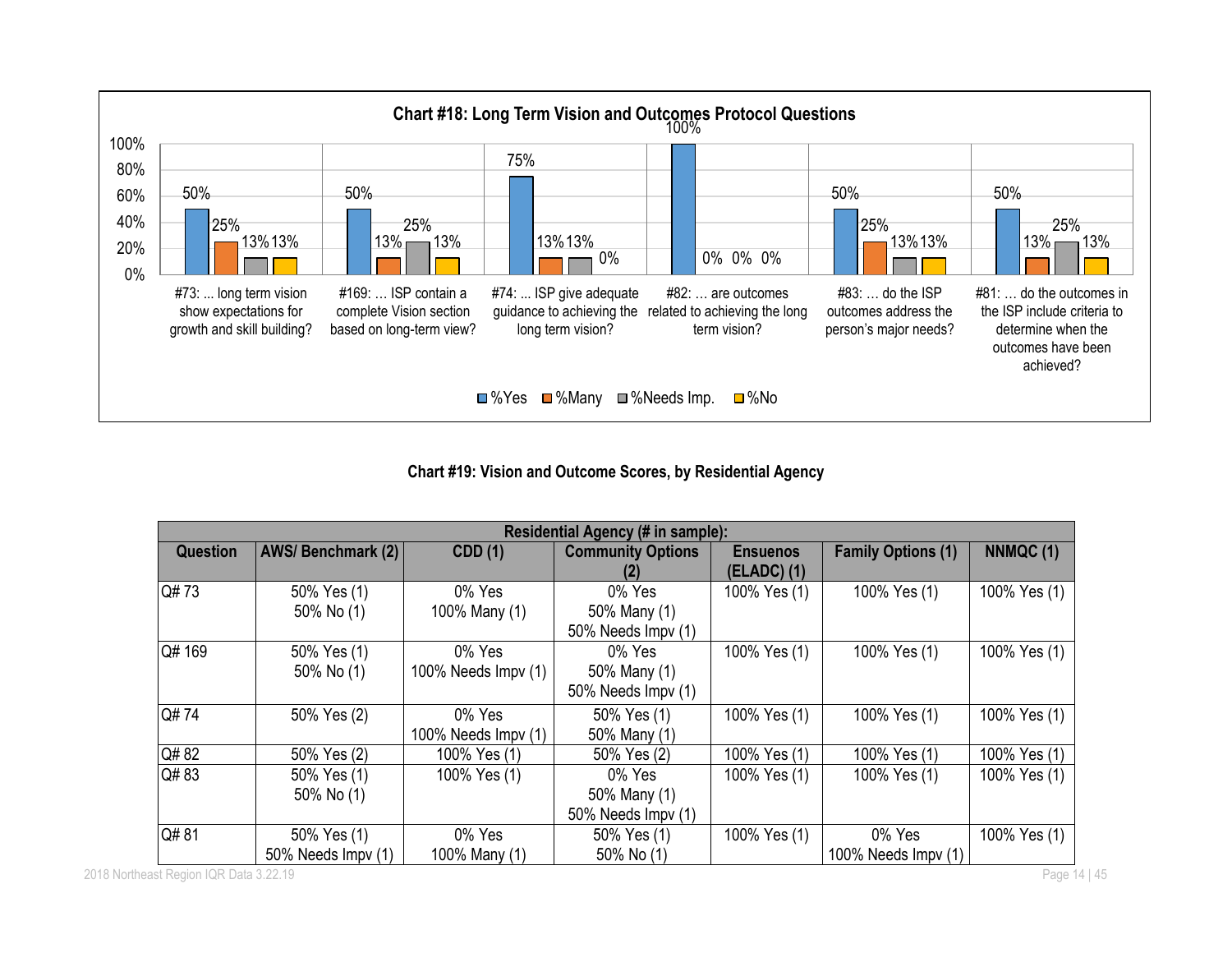

**Chart #19: Vision and Outcome Scores, by Residential Agency**

| Residential Agency (# in sample): |                                                                 |                     |                    |                 |                     |              |  |  |
|-----------------------------------|-----------------------------------------------------------------|---------------------|--------------------|-----------------|---------------------|--------------|--|--|
| <b>Question</b>                   | AWS/Benchmark (2)<br><b>CDD</b> (1)<br><b>Community Options</b> |                     |                    | <b>Ensuenos</b> | NNMQC (1)           |              |  |  |
|                                   |                                                                 |                     |                    | $(ELADC)$ $(1)$ |                     |              |  |  |
| Q#73                              | 50% Yes (1)                                                     | 0% Yes              | 0% Yes             | 100% Yes (1)    | 100% Yes (1)        | 100% Yes (1) |  |  |
|                                   | 50% No (1)                                                      | 100% Many (1)       | 50% Many (1)       |                 |                     |              |  |  |
|                                   |                                                                 |                     | 50% Needs Impv (1) |                 |                     |              |  |  |
| Q# 169                            | 50% Yes (1)                                                     | 0% Yes              | 0% Yes             | 100% Yes (1)    | 100% Yes (1)        | 100% Yes (1) |  |  |
|                                   | 50% No (1)                                                      | 100% Needs Impv (1) | 50% Many (1)       |                 |                     |              |  |  |
|                                   |                                                                 |                     | 50% Needs Impv (1) |                 |                     |              |  |  |
| Q#74                              | 50% Yes (2)                                                     | 0% Yes              | 50% Yes (1)        | 100% Yes (1)    | 100% Yes (1)        | 100% Yes (1) |  |  |
|                                   |                                                                 | 100% Needs Impv (1) | 50% Many (1)       |                 |                     |              |  |  |
| Q#82                              | 50% Yes (2)                                                     | 100% Yes (1)        | 50% Yes (2)        | 100% Yes (1)    | 100% Yes (1)        | 100% Yes (1) |  |  |
| Q#83                              | 50% Yes (1)                                                     | 100% Yes (1)        | 0% Yes             | 100% Yes (1)    | 100% Yes (1)        | 100% Yes (1) |  |  |
|                                   | 50% No (1)                                                      |                     | 50% Many (1)       |                 |                     |              |  |  |
|                                   |                                                                 |                     | 50% Needs Impv (1) |                 |                     |              |  |  |
| Q#81                              | 50% Yes (1)                                                     | 0% Yes              | 50% Yes (1)        | 100% Yes (1)    | 0% Yes              | 100% Yes (1) |  |  |
|                                   | 50% Needs Impv (1)                                              | 100% Many (1)       | 50% No (1)         |                 | 100% Needs Impv (1) |              |  |  |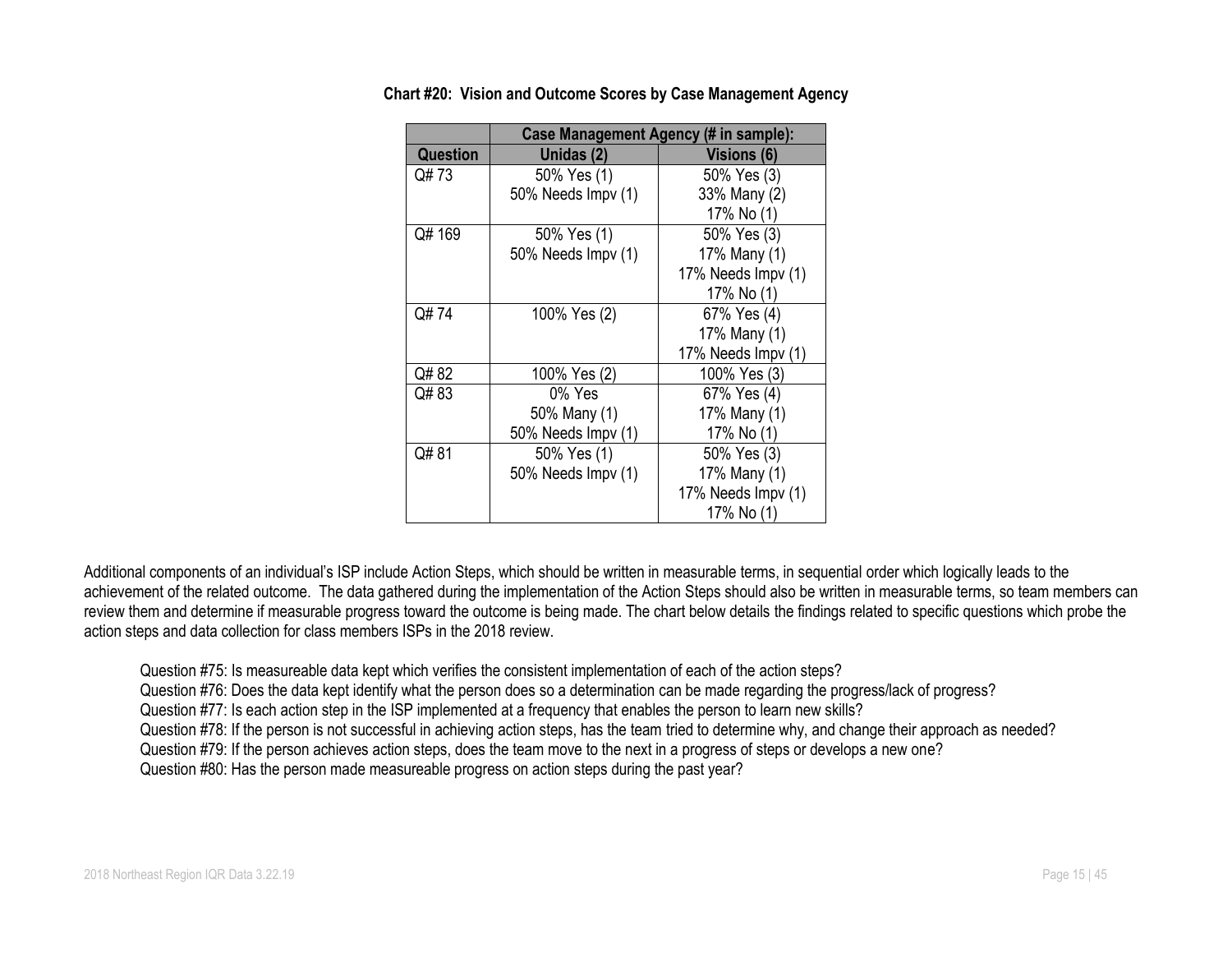|                 | Case Management Agency (# in sample): |                    |  |  |  |  |  |
|-----------------|---------------------------------------|--------------------|--|--|--|--|--|
| <b>Question</b> | Unidas (2)                            | <b>Visions (6)</b> |  |  |  |  |  |
| Q# 73           | 50% Yes (1)                           | 50% Yes (3)        |  |  |  |  |  |
|                 | 50% Needs Impv (1)                    | 33% Many (2)       |  |  |  |  |  |
|                 |                                       | 17% No (1)         |  |  |  |  |  |
| Q# 169          | 50% Yes (1)                           | 50% Yes (3)        |  |  |  |  |  |
|                 | 50% Needs Impv (1)                    | 17% Many (1)       |  |  |  |  |  |
|                 |                                       | 17% Needs Impv (1) |  |  |  |  |  |
|                 |                                       | 17% No (1)         |  |  |  |  |  |
| Q#74            | 100% Yes (2)                          | 67% Yes (4)        |  |  |  |  |  |
|                 |                                       | 17% Many (1)       |  |  |  |  |  |
|                 |                                       | 17% Needs Impv (1) |  |  |  |  |  |
| Q# 82           | 100% Yes (2)                          | 100% Yes (3)       |  |  |  |  |  |
| Q#83            | 0% Yes                                | 67% Yes (4)        |  |  |  |  |  |
|                 | 50% Many (1)                          | 17% Many (1)       |  |  |  |  |  |
|                 | 50% Needs Impv (1)                    | 17% No (1)         |  |  |  |  |  |
| Q#81            | 50% Yes (1)                           | 50% Yes (3)        |  |  |  |  |  |
|                 | 50% Needs Impv (1)                    | 17% Many (1)       |  |  |  |  |  |
|                 |                                       | 17% Needs Impv (1) |  |  |  |  |  |
|                 |                                       | 17% No (1)         |  |  |  |  |  |

**Chart #20: Vision and Outcome Scores by Case Management Agency**

Additional components of an individual's ISP include Action Steps, which should be written in measurable terms, in sequential order which logically leads to the achievement of the related outcome. The data gathered during the implementation of the Action Steps should also be written in measurable terms, so team members can review them and determine if measurable progress toward the outcome is being made. The chart below details the findings related to specific questions which probe the action steps and data collection for class members ISPs in the 2018 review.

Question #75: Is measureable data kept which verifies the consistent implementation of each of the action steps?

Question #76: Does the data kept identify what the person does so a determination can be made regarding the progress/lack of progress?

Question #77: Is each action step in the ISP implemented at a frequency that enables the person to learn new skills?

Question #78: If the person is not successful in achieving action steps, has the team tried to determine why, and change their approach as needed?

Question #79: If the person achieves action steps, does the team move to the next in a progress of steps or develops a new one?

Question #80: Has the person made measureable progress on action steps during the past year?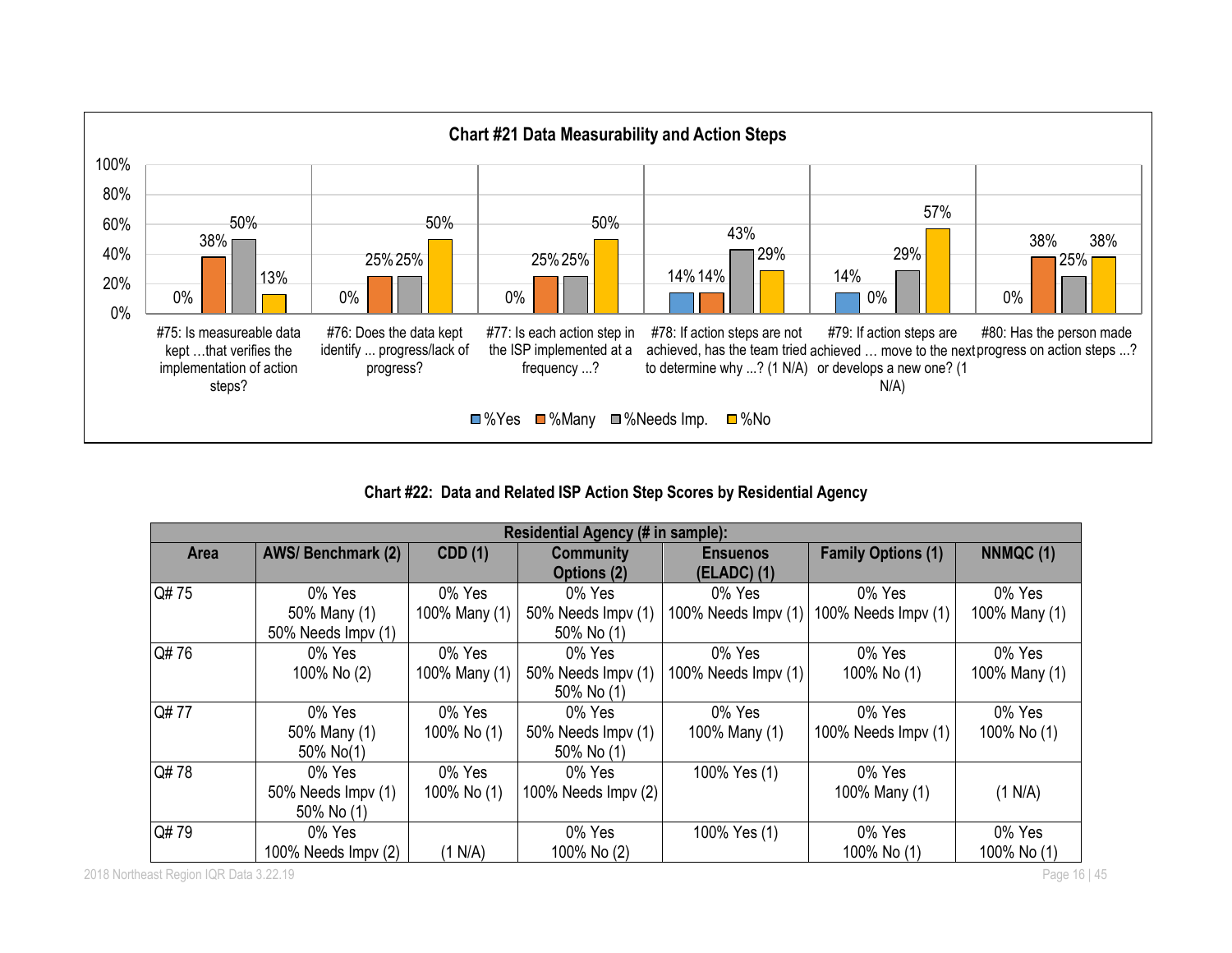

**Chart #22: Data and Related ISP Action Step Scores by Residential Agency**

|      | Residential Agency (# in sample): |                |                     |                     |                           |               |  |  |  |
|------|-----------------------------------|----------------|---------------------|---------------------|---------------------------|---------------|--|--|--|
| Area | <b>AWS/Benchmark (2)</b>          | <b>CDD</b> (1) | <b>Community</b>    | <b>Ensuenos</b>     | <b>Family Options (1)</b> | NNMQC (1)     |  |  |  |
|      |                                   |                | Options (2)         | $(ELADC)$ (1)       |                           |               |  |  |  |
| Q#75 | 0% Yes                            | 0% Yes         | 0% Yes              | 0% Yes              | 0% Yes                    | 0% Yes        |  |  |  |
|      | 50% Many (1)                      | 100% Many (1)  | 50% Needs Impv (1)  | 100% Needs Impv (1) | 100% Needs $Impv(1)$      | 100% Many (1) |  |  |  |
|      | 50% Needs Impv (1)                |                | 50% No (1)          |                     |                           |               |  |  |  |
| Q#76 | 0% Yes                            | 0% Yes         | 0% Yes              | 0% Yes              | 0% Yes                    | 0% Yes        |  |  |  |
|      | 100% No (2)                       | 100% Many (1)  | 50% Needs Impv (1)  | 100% Needs Impv (1) | 100% No (1)               | 100% Many (1) |  |  |  |
|      |                                   |                | 50% No (1)          |                     |                           |               |  |  |  |
| Q#77 | 0% Yes                            | 0% Yes         | 0% Yes              | 0% Yes              | 0% Yes                    | 0% Yes        |  |  |  |
|      | 50% Many (1)                      | 100% No (1)    | 50% Needs Impv (1)  | 100% Many (1)       | 100% Needs Impv (1)       | 100% No (1)   |  |  |  |
|      | 50% No(1)                         |                | 50% No (1)          |                     |                           |               |  |  |  |
| Q#78 | 0% Yes                            | 0% Yes         | 0% Yes              | 100% Yes (1)        | 0% Yes                    |               |  |  |  |
|      | 50% Needs Impv (1)                | 100% No (1)    | 100% Needs Impv (2) |                     | 100% Many (1)             | (1 N/A)       |  |  |  |
|      | 50% No (1)                        |                |                     |                     |                           |               |  |  |  |
| Q#79 | 0% Yes                            |                | 0% Yes              | 100% Yes (1)        | 0% Yes                    | 0% Yes        |  |  |  |
|      | 100% Needs Impv (2)               | (1 N/A)        | 100% No (2)         |                     | 100% No (1)               | 100% No (1)   |  |  |  |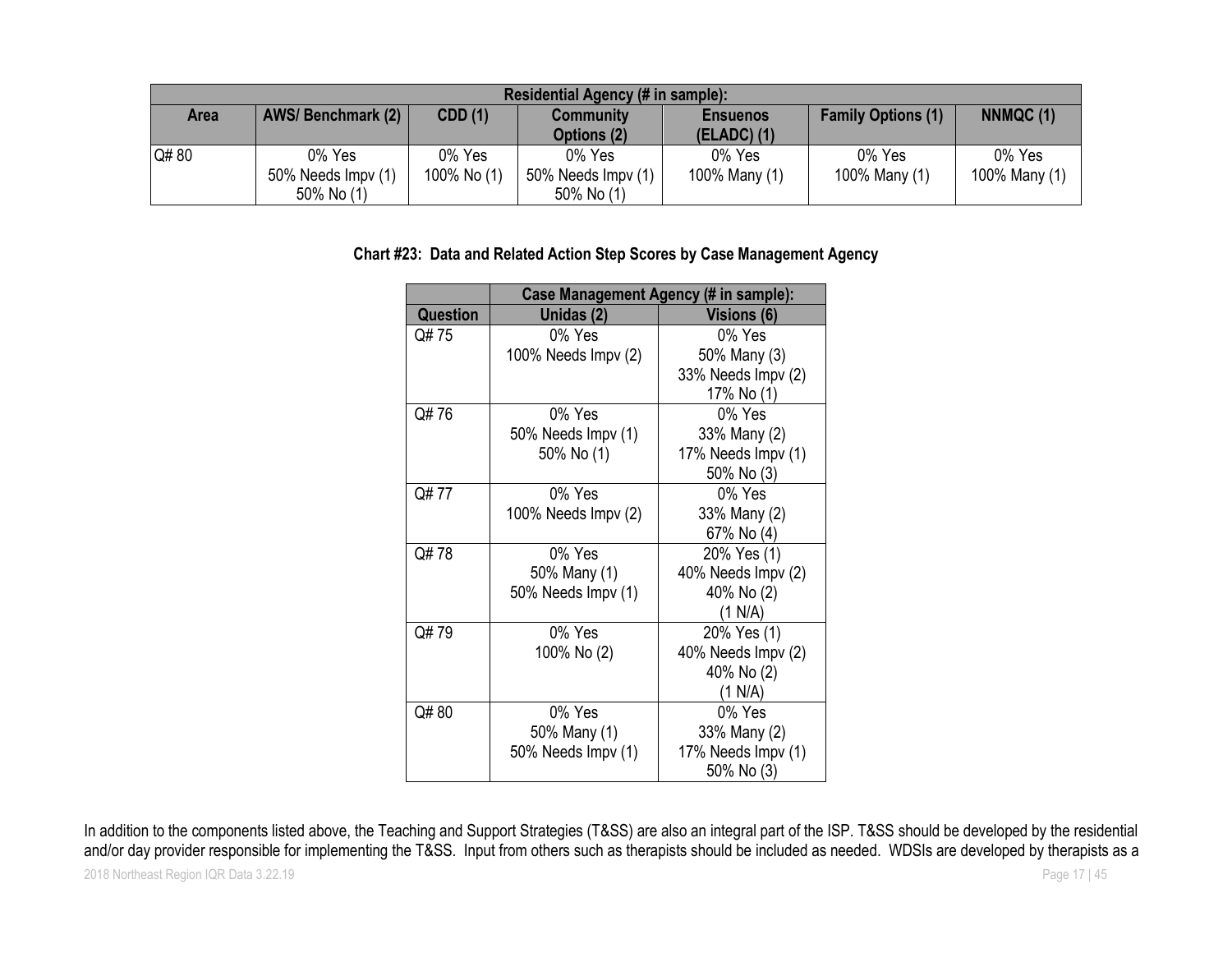| Residential Agency (# in sample): |                                                                                                                    |             |                    |               |               |               |  |  |
|-----------------------------------|--------------------------------------------------------------------------------------------------------------------|-------------|--------------------|---------------|---------------|---------------|--|--|
| Area                              | NNMQC(1)<br><b>AWS/Benchmark (2)</b><br>CDD(1)<br><b>Family Options (1)</b><br><b>Community</b><br><b>Ensuenos</b> |             |                    |               |               |               |  |  |
|                                   |                                                                                                                    |             | Options (2)        | $(ELADC)$ (1) |               |               |  |  |
| Q#80                              | 0% Yes                                                                                                             | 0% Yes      | 0% Yes             | 0% Yes        | 0% Yes        | 0% Yes        |  |  |
|                                   | 50% Needs Impv (1)                                                                                                 | 100% No (1) | 50% Needs Impv (1) | 100% Many (1) | 100% Many (1) | 100% Many (1) |  |  |
|                                   | 50% No (1)                                                                                                         |             | 50% No (1)         |               |               |               |  |  |

#### **Chart #23: Data and Related Action Step Scores by Case Management Agency**

|                 |                     | Case Management Agency (# in sample): |  |  |  |  |  |  |
|-----------------|---------------------|---------------------------------------|--|--|--|--|--|--|
| <b>Question</b> | Unidas (2)          | <b>Visions (6)</b>                    |  |  |  |  |  |  |
| Q# 75           | 0% Yes              | 0% Yes                                |  |  |  |  |  |  |
|                 | 100% Needs Impv (2) | 50% Many (3)                          |  |  |  |  |  |  |
|                 |                     | 33% Needs Impv (2)                    |  |  |  |  |  |  |
|                 |                     | 17% No (1)                            |  |  |  |  |  |  |
| Q#76            | 0% Yes              | 0% Yes                                |  |  |  |  |  |  |
|                 | 50% Needs Impv (1)  | 33% Many (2)                          |  |  |  |  |  |  |
|                 | 50% No (1)          | 17% Needs Impv (1)                    |  |  |  |  |  |  |
|                 |                     | 50% No (3)                            |  |  |  |  |  |  |
| Q#77            | 0% Yes              | 0% Yes                                |  |  |  |  |  |  |
|                 | 100% Needs Impv (2) | 33% Many (2)                          |  |  |  |  |  |  |
|                 |                     | 67% No (4)                            |  |  |  |  |  |  |
| Q#78            | 0% Yes              | 20% Yes (1)                           |  |  |  |  |  |  |
|                 | 50% Many (1)        | 40% Needs Impv (2)                    |  |  |  |  |  |  |
|                 | 50% Needs Impv (1)  | 40% No (2)                            |  |  |  |  |  |  |
|                 |                     | (1 N/A)                               |  |  |  |  |  |  |
| Q#79            | 0% Yes              | 20% Yes (1)                           |  |  |  |  |  |  |
|                 | 100% No (2)         | 40% Needs Impv (2)                    |  |  |  |  |  |  |
|                 |                     | 40% No (2)                            |  |  |  |  |  |  |
|                 |                     | (1 N/A)                               |  |  |  |  |  |  |
| Q#80            | 0% Yes              | 0% Yes                                |  |  |  |  |  |  |
|                 | 50% Many (1)        | 33% Many (2)                          |  |  |  |  |  |  |
|                 | 50% Needs Impv (1)  | 17% Needs Impv (1)                    |  |  |  |  |  |  |
|                 |                     | 50% No (3)                            |  |  |  |  |  |  |

In addition to the components listed above, the Teaching and Support Strategies (T&SS) are also an integral part of the ISP. T&SS should be developed by the residential and/or day provider responsible for implementing the T&SS. Input from others such as therapists should be included as needed. WDSIs are developed by therapists as a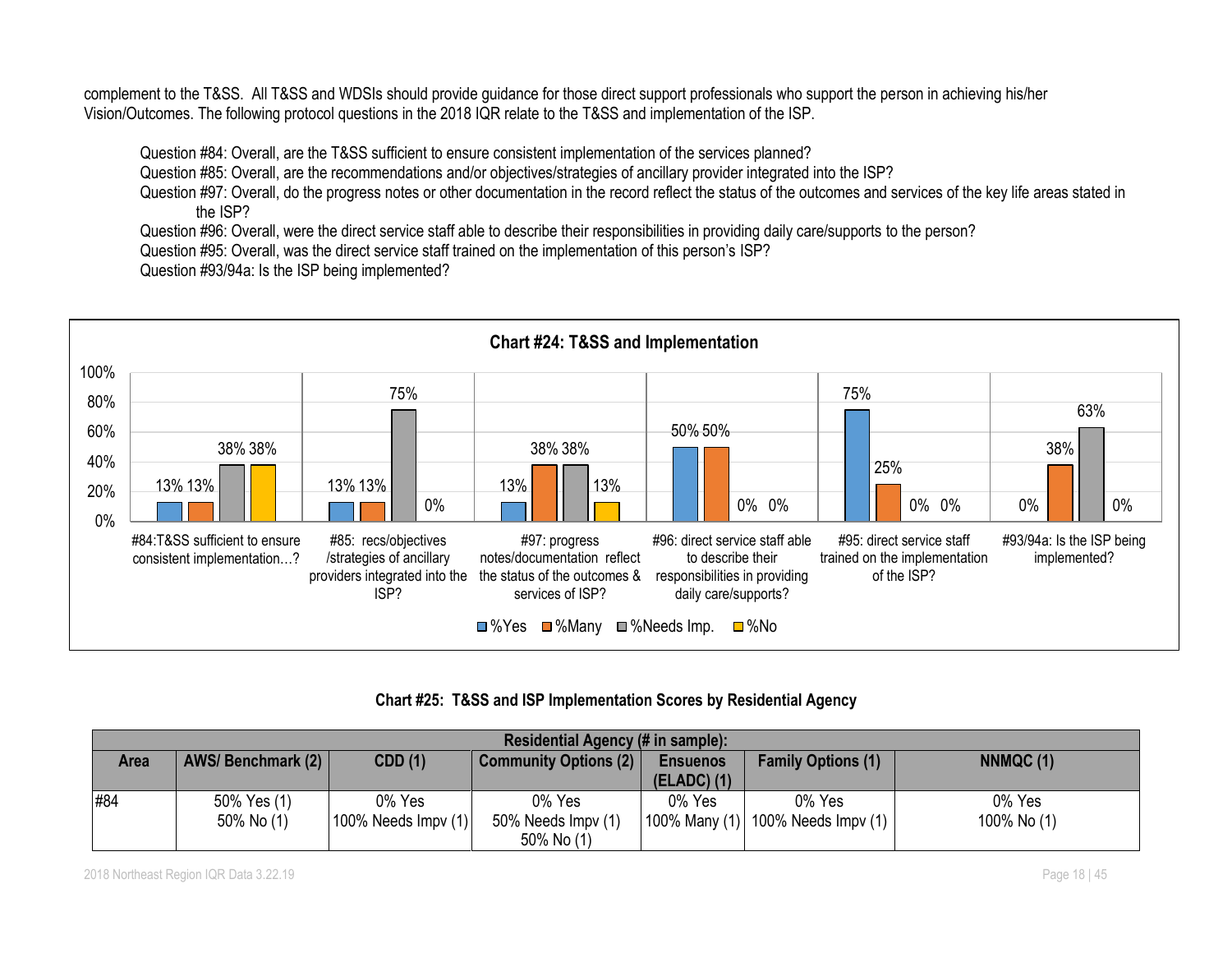complement to the T&SS. All T&SS and WDSIs should provide guidance for those direct support professionals who support the person in achieving his/her Vision/Outcomes. The following protocol questions in the 2018 IQR relate to the T&SS and implementation of the ISP.

Question #84: Overall, are the T&SS sufficient to ensure consistent implementation of the services planned?

Question #85: Overall, are the recommendations and/or objectives/strategies of ancillary provider integrated into the ISP?

Question #97: Overall, do the progress notes or other documentation in the record reflect the status of the outcomes and services of the key life areas stated in the ISP?

Question #96: Overall, were the direct service staff able to describe their responsibilities in providing daily care/supports to the person?

Question #95: Overall, was the direct service staff trained on the implementation of this person's ISP?

Question #93/94a: Is the ISP being implemented?



**Chart #25: T&SS and ISP Implementation Scores by Residential Agency**

| Residential Agency (# in sample): |                   |                            |                    |               |                                   |             |  |  |
|-----------------------------------|-------------------|----------------------------|--------------------|---------------|-----------------------------------|-------------|--|--|
| Area                              | AWS/Benchmark (2) | NNMQC (1)                  |                    |               |                                   |             |  |  |
|                                   |                   |                            |                    | $(ELADC)$ (1) |                                   |             |  |  |
| #84                               | 50% Yes (1)       | 0% Yes                     | 0% Yes             | 0% Yes        | 0% Yes                            | 0% Yes      |  |  |
|                                   | 50% No (1)        | $ 100\%$ Needs Impv $(1) $ | 50% Needs Impv (1) |               | 100% Many (1) 100% Needs Impv (1) | 100% No (1) |  |  |
|                                   |                   |                            | 50% No (1)         |               |                                   |             |  |  |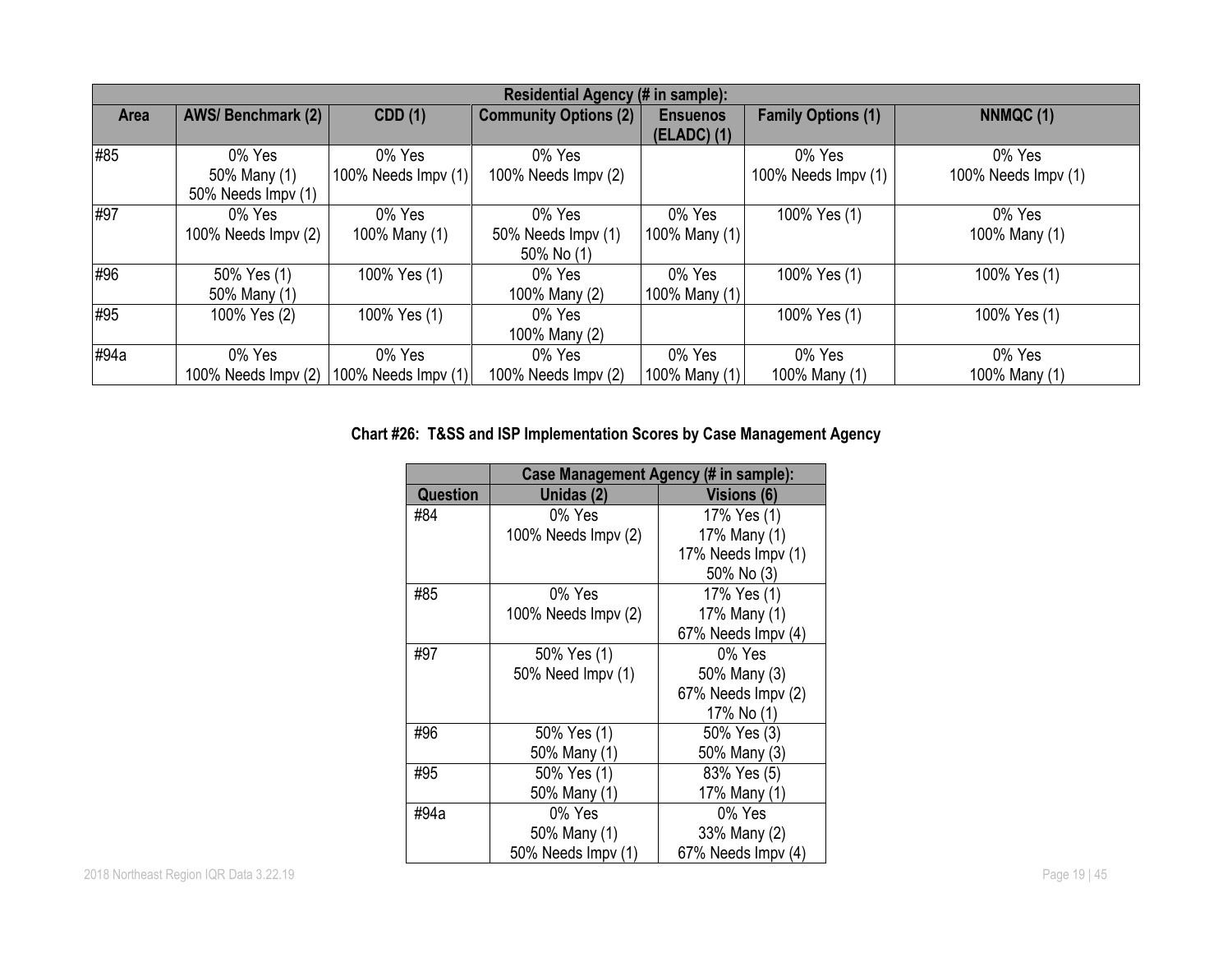|             | Residential Agency (# in sample): |                             |                              |                 |                           |                     |  |  |  |
|-------------|-----------------------------------|-----------------------------|------------------------------|-----------------|---------------------------|---------------------|--|--|--|
| <b>Area</b> | <b>AWS/Benchmark (2)</b>          | CDD(1)                      | <b>Community Options (2)</b> | <b>Ensuenos</b> | <b>Family Options (1)</b> | NNMQC(1)            |  |  |  |
|             |                                   |                             |                              | $(ELADC)$ (1)   |                           |                     |  |  |  |
| #85         | 0% Yes                            | 0% Yes                      | 0% Yes                       |                 | 0% Yes                    | 0% Yes              |  |  |  |
|             | 50% Many (1)                      | 100% Needs $\text{Impv}(1)$ | 100% Needs Impv (2)          |                 | 100% Needs Impv (1)       | 100% Needs Impv (1) |  |  |  |
|             | 50% Needs Impv (1)                |                             |                              |                 |                           |                     |  |  |  |
| #97         | 0% Yes                            | 0% Yes                      | 0% Yes                       | 0% Yes          | 100% Yes (1)              | 0% Yes              |  |  |  |
|             | 100% Needs Impv (2)               | 100% Many (1)               | 50% Needs Impv (1)           | 100% Many (1)   |                           | 100% Many (1)       |  |  |  |
|             |                                   |                             | 50% No (1)                   |                 |                           |                     |  |  |  |
| #96         | 50% Yes (1)                       | 100% Yes (1)                | 0% Yes                       | 0% Yes          | 100% Yes (1)              | 100% Yes (1)        |  |  |  |
|             | 50% Many (1)                      |                             | 100% Many (2)                | 100% Many (1)   |                           |                     |  |  |  |
| #95         | 100% Yes (2)                      | 100% Yes (1)                | 0% Yes                       |                 | 100% Yes (1)              | 100% Yes (1)        |  |  |  |
|             |                                   |                             | 100% Many (2)                |                 |                           |                     |  |  |  |
| #94a        | 0% Yes                            | 0% Yes                      | 0% Yes                       | 0% Yes          | 0% Yes                    | 0% Yes              |  |  |  |
|             | 100% Needs Impv $(2)$             | 100% Needs Impy (1)         | 100% Needs Impv (2)          | 100% Many (1)   | 100% Many (1)             | 100% Many (1)       |  |  |  |

# **Chart #26: T&SS and ISP Implementation Scores by Case Management Agency**

|                 | Case Management Agency (# in sample): |                    |  |  |  |  |  |
|-----------------|---------------------------------------|--------------------|--|--|--|--|--|
| <b>Question</b> | Unidas (2)                            | Visions (6)        |  |  |  |  |  |
| #84             | 0% Yes                                | 17% Yes (1)        |  |  |  |  |  |
|                 | 100% Needs Impv (2)                   | 17% Many (1)       |  |  |  |  |  |
|                 |                                       | 17% Needs Impv (1) |  |  |  |  |  |
|                 |                                       | 50% No (3)         |  |  |  |  |  |
| #85             | 0% Yes                                | 17% Yes (1)        |  |  |  |  |  |
|                 | 100% Needs Impv (2)                   | 17% Many (1)       |  |  |  |  |  |
|                 |                                       | 67% Needs Impv (4) |  |  |  |  |  |
| #97             | 50% Yes (1)                           | 0% Yes             |  |  |  |  |  |
|                 | 50% Need Impv (1)                     | 50% Many (3)       |  |  |  |  |  |
|                 |                                       | 67% Needs Impv (2) |  |  |  |  |  |
|                 |                                       | 17% No (1)         |  |  |  |  |  |
| #96             | 50% Yes (1)                           | 50% Yes (3)        |  |  |  |  |  |
|                 | 50% Many (1)                          | 50% Many (3)       |  |  |  |  |  |
| #95             | 50% Yes (1)                           | 83% Yes (5)        |  |  |  |  |  |
|                 | 50% Many (1)                          | 17% Many (1)       |  |  |  |  |  |
| #94a            | 0% Yes                                | 0% Yes             |  |  |  |  |  |
|                 | 50% Many (1)                          | 33% Many (2)       |  |  |  |  |  |
|                 | 50% Needs Impv (1)                    | 67% Needs Impv (4) |  |  |  |  |  |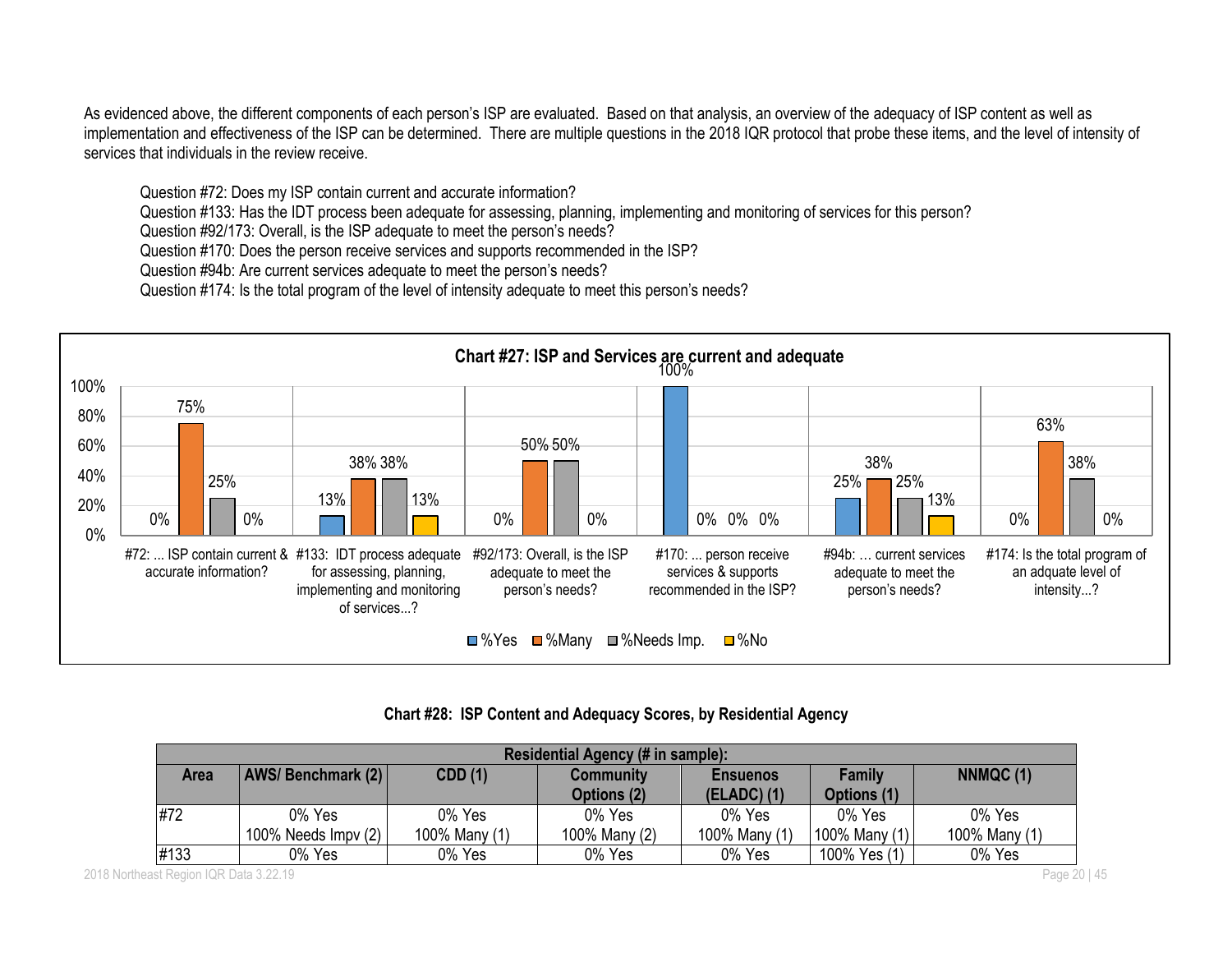As evidenced above, the different components of each person's ISP are evaluated. Based on that analysis, an overview of the adequacy of ISP content as well as implementation and effectiveness of the ISP can be determined. There are multiple questions in the 2018 IQR protocol that probe these items, and the level of intensity of services that individuals in the review receive.

Question #72: Does my ISP contain current and accurate information?

Question #133: Has the IDT process been adequate for assessing, planning, implementing and monitoring of services for this person?

Question #92/173: Overall, is the ISP adequate to meet the person's needs?

Question #170: Does the person receive services and supports recommended in the ISP?

Question #94b: Are current services adequate to meet the person's needs?

Question #174: Is the total program of the level of intensity adequate to meet this person's needs?



|             | Residential Agency (# in sample): |                                                                |               |               |               |               |  |  |  |
|-------------|-----------------------------------|----------------------------------------------------------------|---------------|---------------|---------------|---------------|--|--|--|
| <b>Area</b> | <b>AWS/Benchmark (2)</b>          | CDD(1)<br><b>Family</b><br><b>Community</b><br><b>Ensuenos</b> |               |               |               |               |  |  |  |
|             |                                   |                                                                | Options (2)   | $(ELADC)$ (1) | Options (1)   |               |  |  |  |
| #72         | 0% Yes                            | 0% Yes                                                         | 0% Yes        | 0% Yes        | 0% Yes        | 0% Yes        |  |  |  |
|             | 100% Needs $\text{Impv}(2)$       | 100% Many (1)                                                  | 100% Many (2) | 100% Many (1) | 100% Many (1) | 100% Many (1) |  |  |  |
| #133        | 0% Yes                            | 0% Yes                                                         | 0% Yes        | 0% Yes        | 100% Yes (1)  | 0% Yes        |  |  |  |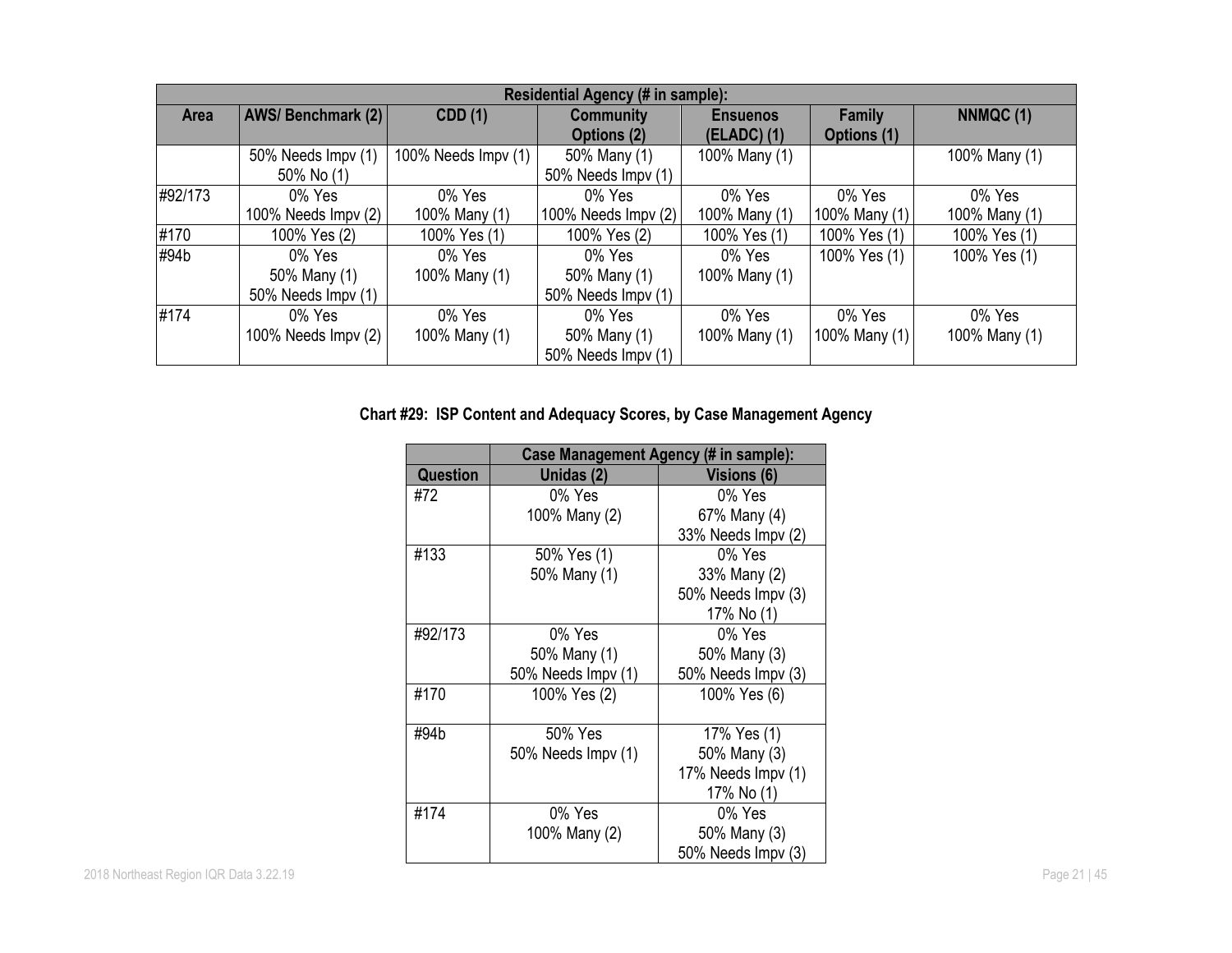|             | Residential Agency (# in sample): |                     |                             |                 |               |               |  |  |  |
|-------------|-----------------------------------|---------------------|-----------------------------|-----------------|---------------|---------------|--|--|--|
| <b>Area</b> | AWS/Benchmark (2)                 | <b>CDD</b> (1)      | <b>Community</b>            | <b>Ensuenos</b> | <b>Family</b> | NNMQC (1)     |  |  |  |
|             |                                   |                     | <b>Options (2)</b>          | $(ELADC)$ (1)   | Options (1)   |               |  |  |  |
|             | 50% Needs Impv (1)                | 100% Needs Impv (1) | 50% Many (1)                | 100% Many (1)   |               | 100% Many (1) |  |  |  |
|             | 50% No (1)                        |                     | 50% Needs Impv (1)          |                 |               |               |  |  |  |
| #92/173     | 0% Yes                            | 0% Yes              | 0% Yes                      | 0% Yes          | 0% Yes        | 0% Yes        |  |  |  |
|             | 100% Needs Impv (2)               | 100% Many (1)       | 100% Needs $\text{Impv}(2)$ | 100% Many (1)   | 100% Many (1) | 100% Many (1) |  |  |  |
| #170        | 100% Yes (2)                      | 100% Yes (1)        | 100% Yes (2)                | 100% Yes (1)    | 100% Yes (1)  | 100% Yes (1)  |  |  |  |
| #94b        | 0% Yes                            | 0% Yes              | 0% Yes                      | 0% Yes          | 100% Yes (1)  | 100% Yes (1)  |  |  |  |
|             | 50% Many (1)                      | 100% Many (1)       | 50% Many (1)                | 100% Many (1)   |               |               |  |  |  |
|             | 50% Needs Impv (1)                |                     | 50% Needs Impv (1)          |                 |               |               |  |  |  |
| #174        | 0% Yes                            | 0% Yes              | 0% Yes                      | 0% Yes          | 0% Yes        | 0% Yes        |  |  |  |
|             | 100% Needs $\text{Impv}(2)$       | 100% Many (1)       | 50% Many (1)                | 100% Many (1)   | 100% Many (1) | 100% Many (1) |  |  |  |
|             |                                   |                     | 50% Needs Impy (1)          |                 |               |               |  |  |  |

# **Chart #29: ISP Content and Adequacy Scores, by Case Management Agency**

|                 | Case Management Agency (# in sample): |                    |  |  |  |
|-----------------|---------------------------------------|--------------------|--|--|--|
| <b>Question</b> | Unidas (2)                            | <b>Visions (6)</b> |  |  |  |
| #72             | 0% Yes                                | 0% Yes             |  |  |  |
|                 | 100% Many (2)                         | 67% Many (4)       |  |  |  |
|                 |                                       | 33% Needs Impv (2) |  |  |  |
| #133            | 50% Yes (1)                           | $0\%$ Yes          |  |  |  |
|                 | 50% Many (1)                          | 33% Many (2)       |  |  |  |
|                 |                                       | 50% Needs Impv (3) |  |  |  |
|                 |                                       | 17% No (1)         |  |  |  |
| #92/173         | 0% Yes                                | 0% Yes             |  |  |  |
|                 | 50% Many (1)                          | 50% Many (3)       |  |  |  |
|                 | 50% Needs Impv (1)                    | 50% Needs Impv (3) |  |  |  |
| #170            | 100% Yes (2)                          | 100% Yes (6)       |  |  |  |
|                 |                                       |                    |  |  |  |
| #94b            | 50% Yes                               | 17% Yes (1)        |  |  |  |
|                 | 50% Needs Impv (1)                    | 50% Many (3)       |  |  |  |
|                 |                                       | 17% Needs Impv (1) |  |  |  |
|                 |                                       | 17% No (1)         |  |  |  |
| #174            | 0% Yes                                | 0% Yes             |  |  |  |
|                 | 100% Many (2)                         | 50% Many (3)       |  |  |  |
|                 |                                       | 50% Needs Impv (3) |  |  |  |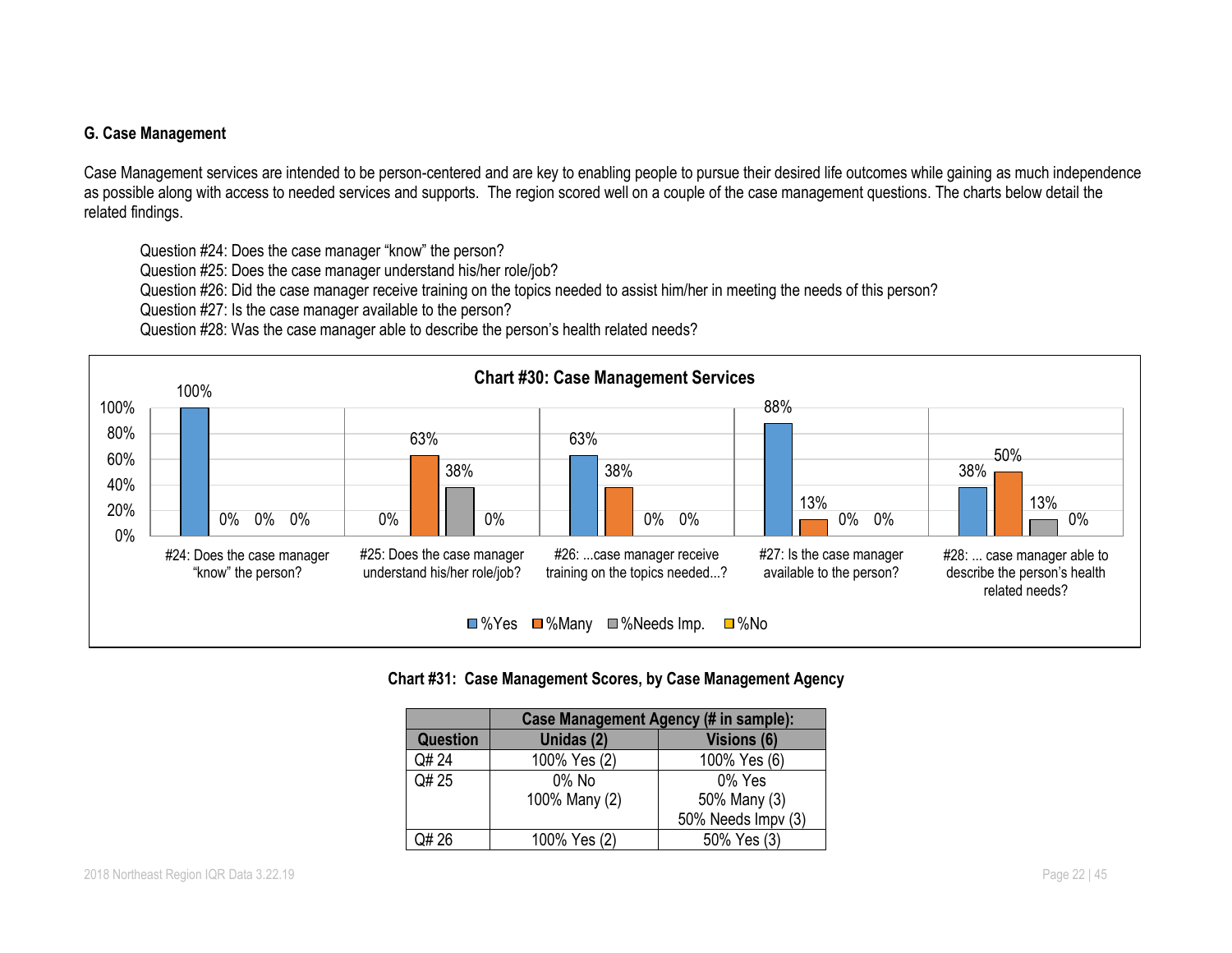#### **G. Case Management**

Case Management services are intended to be person-centered and are key to enabling people to pursue their desired life outcomes while gaining as much independence as possible along with access to needed services and supports. The region scored well on a couple of the case management questions. The charts below detail the related findings.

Question #24: Does the case manager "know" the person?

Question #25: Does the case manager understand his/her role/job?

Question #26: Did the case manager receive training on the topics needed to assist him/her in meeting the needs of this person?

Question #27: Is the case manager available to the person?

Question #28: Was the case manager able to describe the person's health related needs?



#### **Chart #31: Case Management Scores, by Case Management Agency**

|                 | Case Management Agency (# in sample): |                    |  |  |  |  |
|-----------------|---------------------------------------|--------------------|--|--|--|--|
| <b>Question</b> | Unidas (2)                            | <b>Visions (6)</b> |  |  |  |  |
| Q# 24           | 100% Yes (2)                          | 100% Yes (6)       |  |  |  |  |
| Q# 25           | $0\%$ No                              | $0\%$ Yes          |  |  |  |  |
|                 | 100% Many (2)                         | 50% Many (3)       |  |  |  |  |
|                 |                                       | 50% Needs Impv (3) |  |  |  |  |
| $.$ )# 26       | 100% Yes (2)                          | 50% Yes (3)        |  |  |  |  |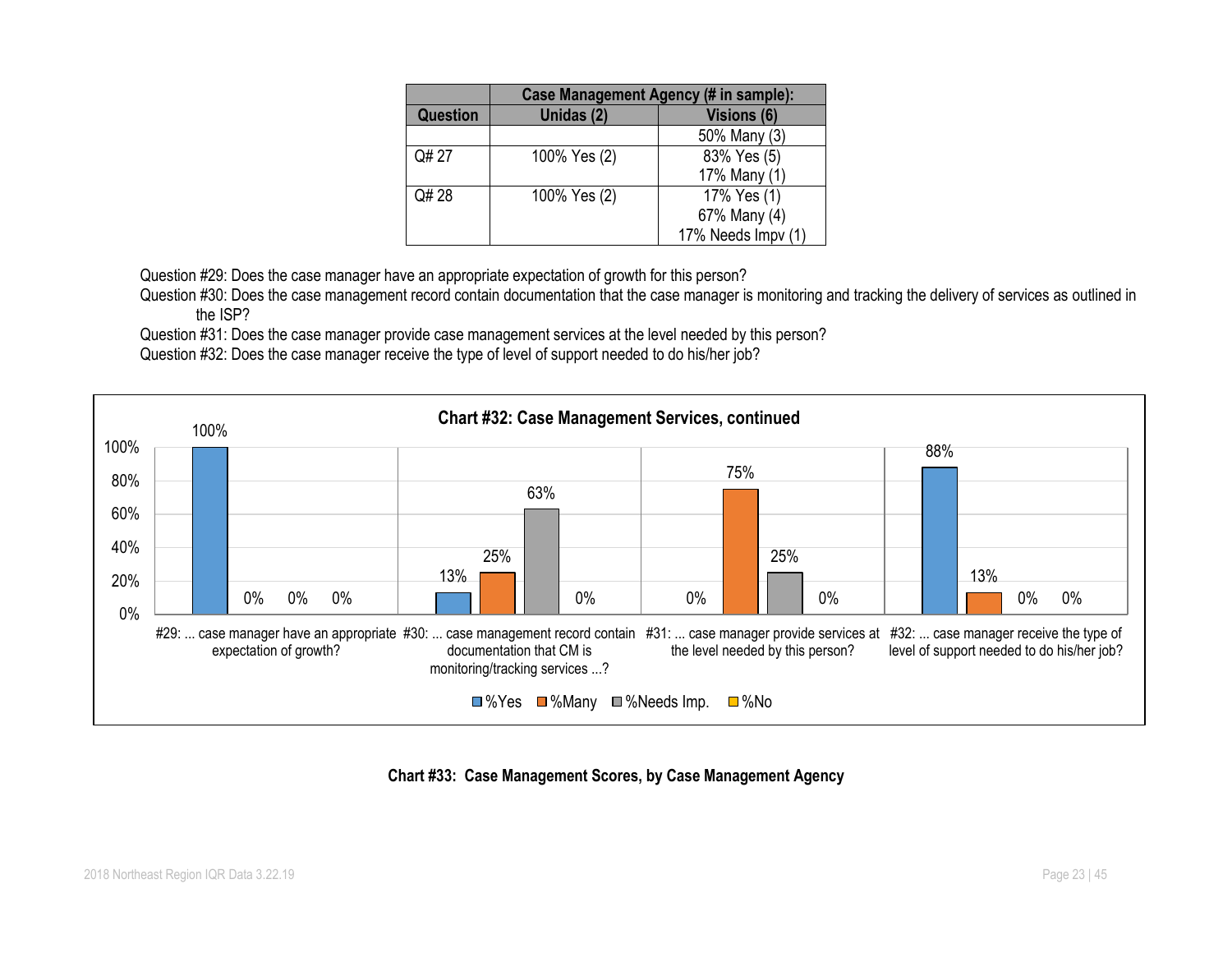|                 | Case Management Agency (# in sample): |                    |  |  |
|-----------------|---------------------------------------|--------------------|--|--|
| <b>Question</b> | Unidas (2)                            | <b>Visions (6)</b> |  |  |
|                 |                                       | 50% Many (3)       |  |  |
| Q# 27           | 100% Yes (2)                          | 83% Yes (5)        |  |  |
|                 |                                       | 17% Many (1)       |  |  |
| Q# 28           | 100% Yes (2)                          | 17% Yes (1)        |  |  |
|                 |                                       | 67% Many (4)       |  |  |
|                 |                                       | 17% Needs Impv (1) |  |  |

Question #29: Does the case manager have an appropriate expectation of growth for this person?

Question #30: Does the case management record contain documentation that the case manager is monitoring and tracking the delivery of services as outlined in the ISP?

Question #31: Does the case manager provide case management services at the level needed by this person?

Question #32: Does the case manager receive the type of level of support needed to do his/her job?



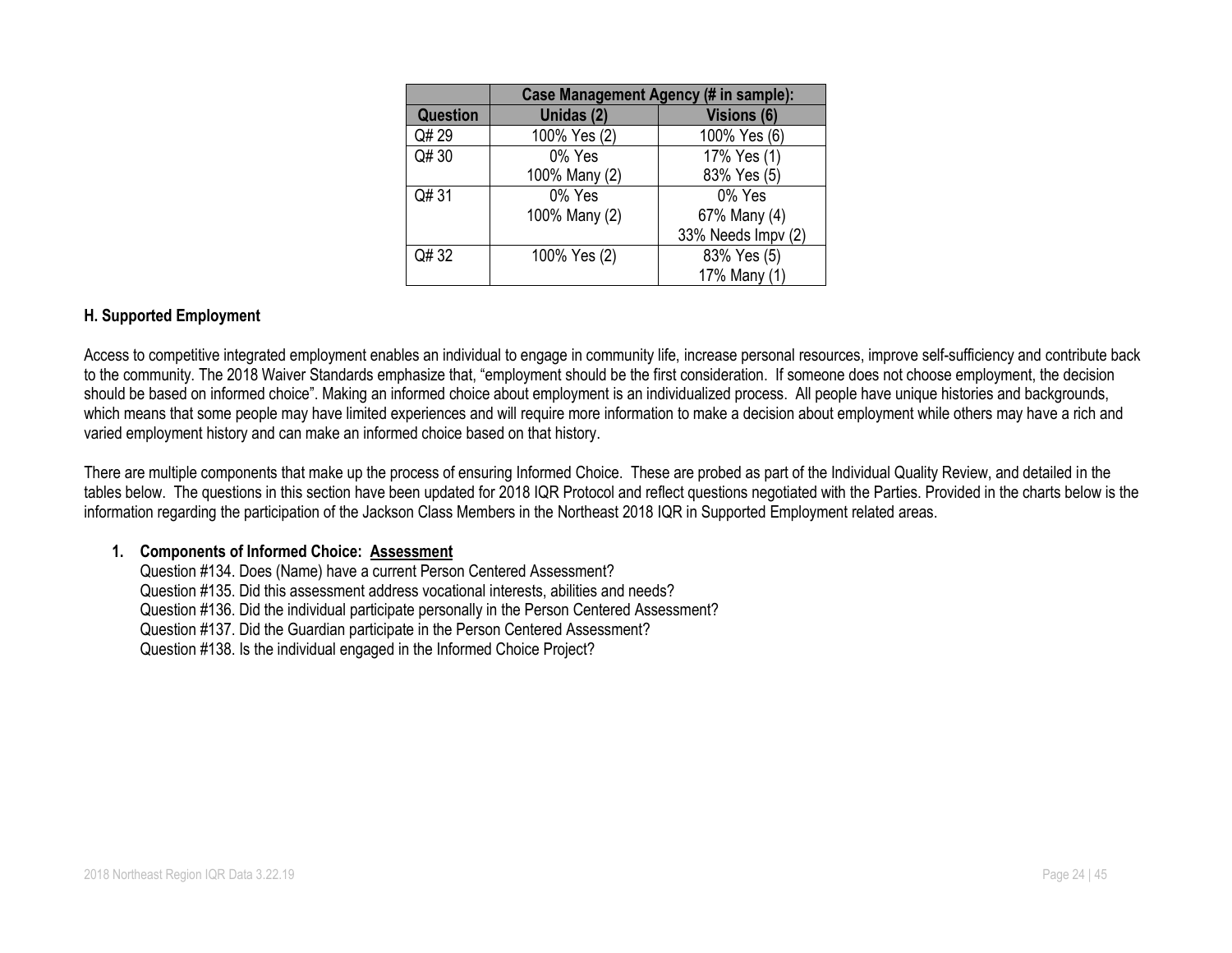|                 | <b>Case Management Agency (# in sample):</b> |                    |  |  |  |
|-----------------|----------------------------------------------|--------------------|--|--|--|
| <b>Question</b> | Unidas (2)                                   | <b>Visions (6)</b> |  |  |  |
| Q# 29           | 100% Yes (2)                                 | 100% Yes (6)       |  |  |  |
| Q# 30           | 0% Yes                                       | 17% Yes (1)        |  |  |  |
|                 | 100% Many (2)                                | 83% Yes (5)        |  |  |  |
| Q#31            | 0% Yes                                       | 0% Yes             |  |  |  |
|                 | 100% Many (2)                                | 67% Many (4)       |  |  |  |
|                 |                                              | 33% Needs Impv (2) |  |  |  |
| Q# 32           | 100% Yes (2)                                 | 83% Yes (5)        |  |  |  |
|                 |                                              | 17% Many (1)       |  |  |  |

#### **H. Supported Employment**

Access to competitive integrated employment enables an individual to engage in community life, increase personal resources, improve self-sufficiency and contribute back to the community. The 2018 Waiver Standards emphasize that, "employment should be the first consideration. If someone does not choose employment, the decision should be based on informed choice". Making an informed choice about employment is an individualized process. All people have unique histories and backgrounds, which means that some people may have limited experiences and will require more information to make a decision about employment while others may have a rich and varied employment history and can make an informed choice based on that history.

There are multiple components that make up the process of ensuring Informed Choice. These are probed as part of the Individual Quality Review, and detailed in the tables below. The questions in this section have been updated for 2018 IQR Protocol and reflect questions negotiated with the Parties. Provided in the charts below is the information regarding the participation of the Jackson Class Members in the Northeast 2018 IQR in Supported Employment related areas.

#### **1. Components of Informed Choice: Assessment**

Question #134. Does (Name) have a current Person Centered Assessment? Question #135. Did this assessment address vocational interests, abilities and needs? Question #136. Did the individual participate personally in the Person Centered Assessment? Question #137. Did the Guardian participate in the Person Centered Assessment? Question #138. Is the individual engaged in the Informed Choice Project?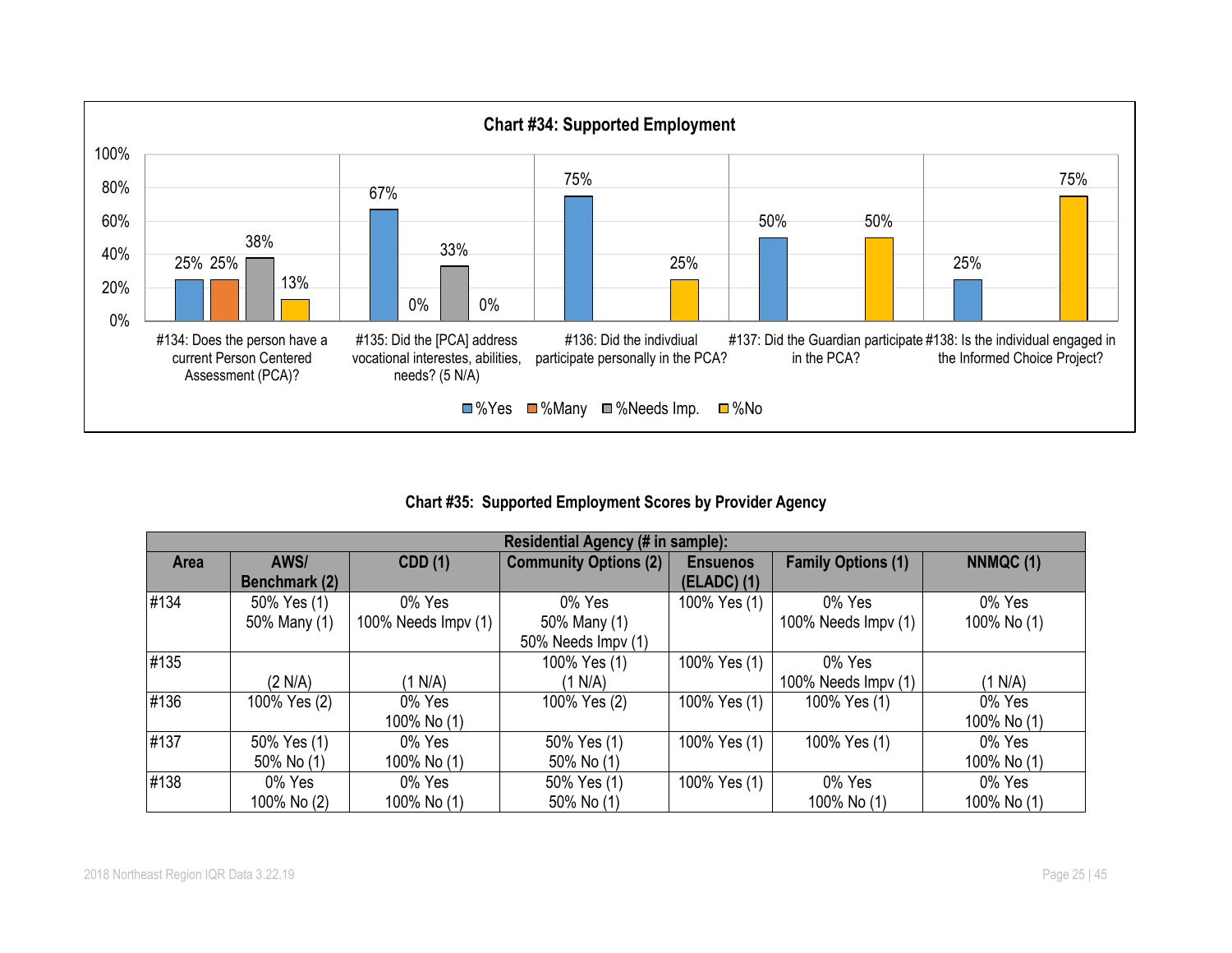

# **Chart #35: Supported Employment Scores by Provider Agency**

|      | Residential Agency (# in sample): |                     |                              |                 |                           |             |  |  |
|------|-----------------------------------|---------------------|------------------------------|-----------------|---------------------------|-------------|--|--|
| Area | AWS/                              | <b>CDD</b> (1)      | <b>Community Options (2)</b> | <b>Ensuenos</b> | <b>Family Options (1)</b> | NNMQC (1)   |  |  |
|      | Benchmark (2)                     |                     |                              | $(ELADC)$ $(1)$ |                           |             |  |  |
| #134 | 50% Yes (1)                       | 0% Yes              | 0% Yes                       | 100% Yes (1)    | 0% Yes                    | 0% Yes      |  |  |
|      | 50% Many (1)                      | 100% Needs Impv (1) | 50% Many (1)                 |                 | 100% Needs Impv (1)       | 100% No (1) |  |  |
|      |                                   |                     | 50% Needs Impv (1)           |                 |                           |             |  |  |
| #135 |                                   |                     | 100% Yes (1)                 | 100% Yes (1)    | 0% Yes                    |             |  |  |
|      | (2 N/A)                           | (1 N/A)             | (1 N/A)                      |                 | 100% Needs Impv (1)       | (1 N/A)     |  |  |
| #136 | 100% Yes (2)                      | 0% Yes              | 100% Yes (2)                 | 100% Yes (1)    | 100% Yes (1)              | 0% Yes      |  |  |
|      |                                   | 100% No (1)         |                              |                 |                           | 100% No (1) |  |  |
| #137 | 50% Yes (1)                       | 0% Yes              | 50% Yes (1)                  | 100% Yes (1)    | 100% Yes (1)              | 0% Yes      |  |  |
|      | 50% No (1)                        | 100% No (1)         | 50% No (1)                   |                 |                           | 100% No (1) |  |  |
| #138 | 0% Yes                            | 0% Yes              | 50% Yes (1)                  | 100% Yes (1)    | 0% Yes                    | 0% Yes      |  |  |
|      | 100% No (2)                       | 100% No (1)         | 50% No (1)                   |                 | 100% No (1)               | 100% No (1) |  |  |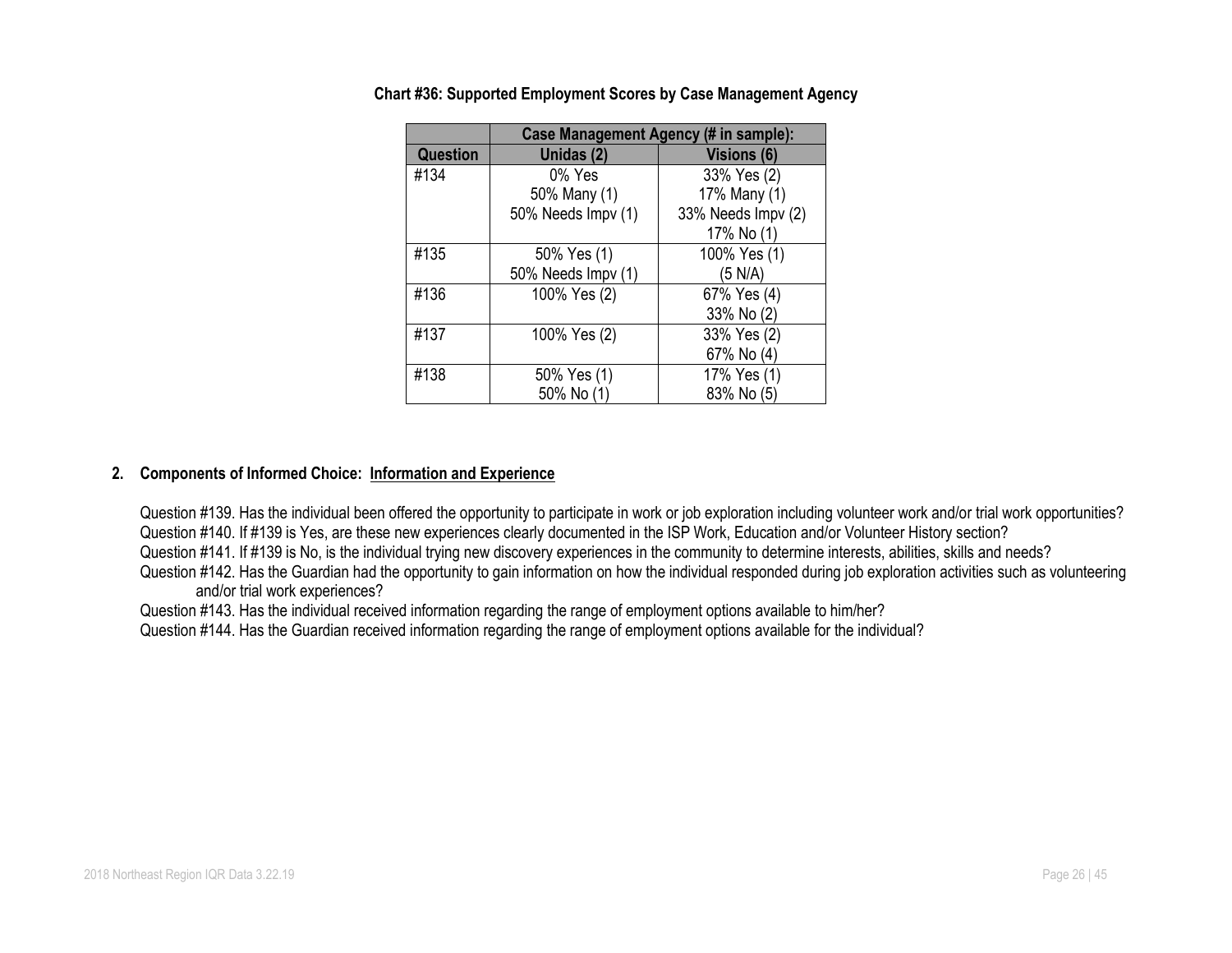|          |                    | Case Management Agency (# in sample): |  |  |  |  |  |
|----------|--------------------|---------------------------------------|--|--|--|--|--|
| Question | Unidas (2)         | Visions (6)                           |  |  |  |  |  |
| #134     | $0\%$ Yes          | 33% Yes (2)                           |  |  |  |  |  |
|          | 50% Many (1)       | 17% Many (1)                          |  |  |  |  |  |
|          | 50% Needs Impv (1) | 33% Needs Impv (2)                    |  |  |  |  |  |
|          |                    | 17% No (1)                            |  |  |  |  |  |
| #135     | 50% Yes (1)        | 100% Yes (1)                          |  |  |  |  |  |
|          | 50% Needs Impv (1) | (5 N/A)                               |  |  |  |  |  |
| #136     | 100% Yes (2)       | 67% Yes (4)                           |  |  |  |  |  |
|          |                    | 33% No (2)                            |  |  |  |  |  |
| #137     | 100% Yes (2)       | 33% Yes (2)                           |  |  |  |  |  |
|          |                    | 67% No (4)                            |  |  |  |  |  |
| #138     | 50% Yes (1)        | 17% Yes (1)                           |  |  |  |  |  |
|          | 50% No (1)         | 83% No (5)                            |  |  |  |  |  |

**Chart #36: Supported Employment Scores by Case Management Agency**

#### **2. Components of Informed Choice: Information and Experience**

Question #139. Has the individual been offered the opportunity to participate in work or job exploration including volunteer work and/or trial work opportunities? Question #140. If #139 is Yes, are these new experiences clearly documented in the ISP Work, Education and/or Volunteer History section?

Question #141. If #139 is No, is the individual trying new discovery experiences in the community to determine interests, abilities, skills and needs?

Question #142. Has the Guardian had the opportunity to gain information on how the individual responded during job exploration activities such as volunteering and/or trial work experiences?

Question #143. Has the individual received information regarding the range of employment options available to him/her?

Question #144. Has the Guardian received information regarding the range of employment options available for the individual?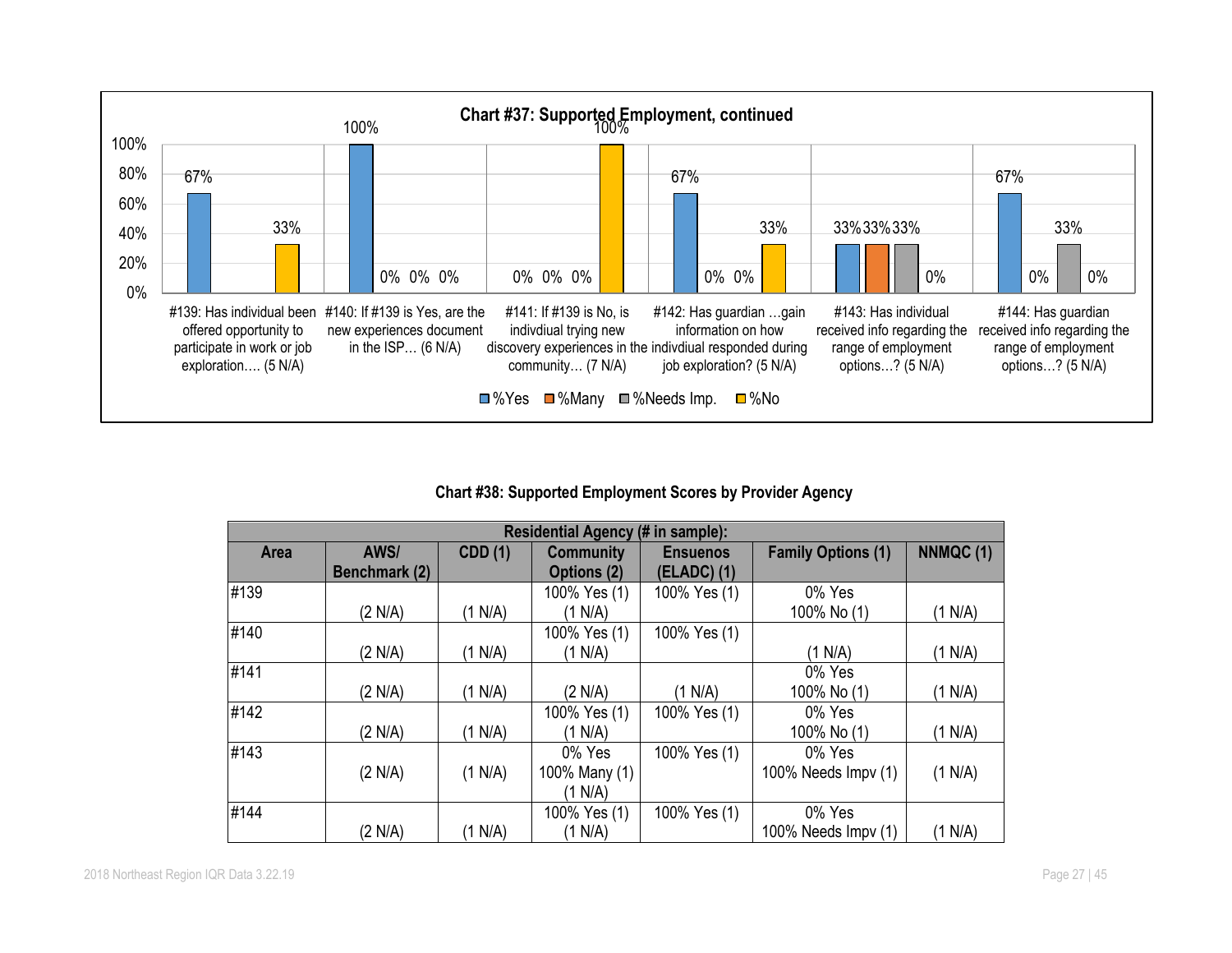

# **Chart #38: Supported Employment Scores by Provider Agency**

|      | Residential Agency (# in sample): |                |                                 |                                |                           |          |  |
|------|-----------------------------------|----------------|---------------------------------|--------------------------------|---------------------------|----------|--|
| Area | AWS/<br>Benchmark (2)             | <b>CDD</b> (1) | <b>Community</b><br>Options (2) | <b>Ensuenos</b><br>(ELADC) (1) | <b>Family Options (1)</b> | NNMQC(1) |  |
| #139 |                                   |                | 100% Yes (1)                    | 100% Yes (1)                   | 0% Yes                    |          |  |
|      | (2 N/A)                           | (1 N/A)        | (1 N/A)                         |                                | 100% No (1)               | (1 N/A)  |  |
| #140 |                                   |                | 100% Yes (1)                    | 100% Yes (1)                   |                           |          |  |
|      | (2 N/A)                           | (1 N/A)        | (1 N/A)                         |                                | (1 N/A)                   | (1 N/A)  |  |
| #141 |                                   |                |                                 |                                | 0% Yes                    |          |  |
|      | (2 N/A)                           | (1 N/A)        | (2 N/A)                         | (1 N/A)                        | 100% No (1)               | (1 N/A)  |  |
| #142 |                                   |                | 100% Yes (1)                    | 100% Yes (1)                   | 0% Yes                    |          |  |
|      | (2 N/A)                           | (1 N/A)        | (1 N/A)                         |                                | 100% No (1)               | (1 N/A)  |  |
| #143 |                                   |                | 0% Yes                          | 100% Yes (1)                   | 0% Yes                    |          |  |
|      | (2 N/A)                           | (1 N/A)        | 100% Many (1)                   |                                | 100% Needs Impv (1)       | (1 N/A)  |  |
|      |                                   |                | (1 N/A)                         |                                |                           |          |  |
| #144 |                                   |                | 100% Yes (1)                    | 100% Yes (1)                   | 0% Yes                    |          |  |
|      | (2 N/A)                           | (1 N/A)        | (1 N/A)                         |                                | 100% Needs Impv (1)       | (1 N/A)  |  |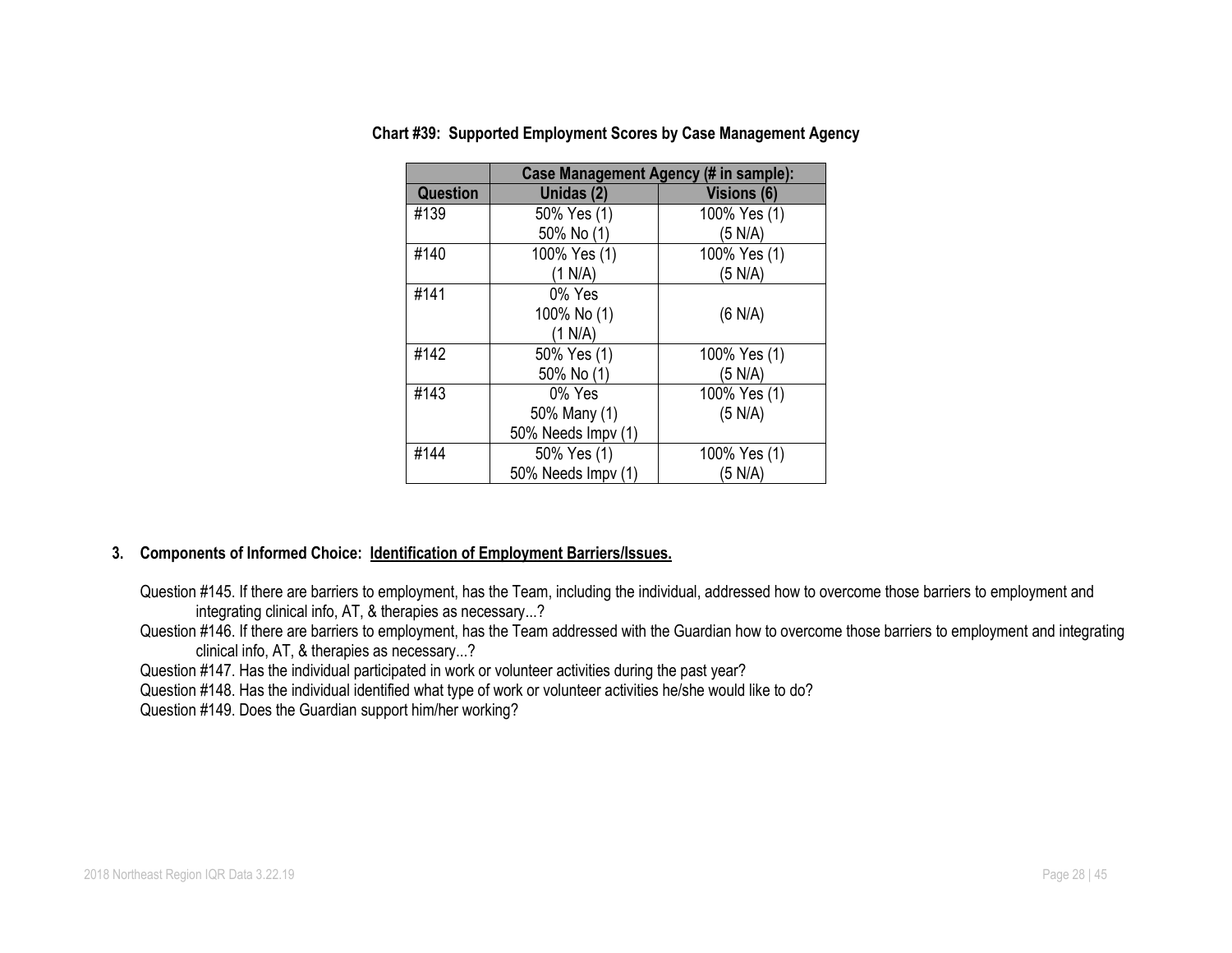|                 | Case Management Agency (# in sample): |              |  |  |  |
|-----------------|---------------------------------------|--------------|--|--|--|
| <b>Question</b> | Unidas (2)                            | Visions (6)  |  |  |  |
| #139            | 50% Yes (1)                           | 100% Yes (1) |  |  |  |
|                 | 50% No (1)                            | (5 N/A)      |  |  |  |
| #140            | 100% Yes (1)                          | 100% Yes (1) |  |  |  |
|                 | (1 N/A)                               | (5 N/A)      |  |  |  |
| #141            | 0% Yes                                |              |  |  |  |
|                 | 100% No (1)                           | (6 N/A)      |  |  |  |
|                 | (1 N/A)                               |              |  |  |  |
| #142            | 50% Yes (1)                           | 100% Yes (1) |  |  |  |
|                 | 50% No (1)                            | (5 N/A)      |  |  |  |
| #143            | 0% Yes                                | 100% Yes (1) |  |  |  |
|                 | 50% Many (1)                          | (5 N/A)      |  |  |  |
|                 | 50% Needs Impv (1)                    |              |  |  |  |
| #144            | 50% Yes (1)                           | 100% Yes (1) |  |  |  |
|                 | 50% Needs Impv (1)                    | (5 N/A)      |  |  |  |

#### **Chart #39: Supported Employment Scores by Case Management Agency**

#### **3. Components of Informed Choice: Identification of Employment Barriers/Issues.**

Question #145. If there are barriers to employment, has the Team, including the individual, addressed how to overcome those barriers to employment and integrating clinical info, AT, & therapies as necessary...?

Question #146. If there are barriers to employment, has the Team addressed with the Guardian how to overcome those barriers to employment and integrating clinical info, AT, & therapies as necessary...?

Question #147. Has the individual participated in work or volunteer activities during the past year?

Question #148. Has the individual identified what type of work or volunteer activities he/she would like to do?

Question #149. Does the Guardian support him/her working?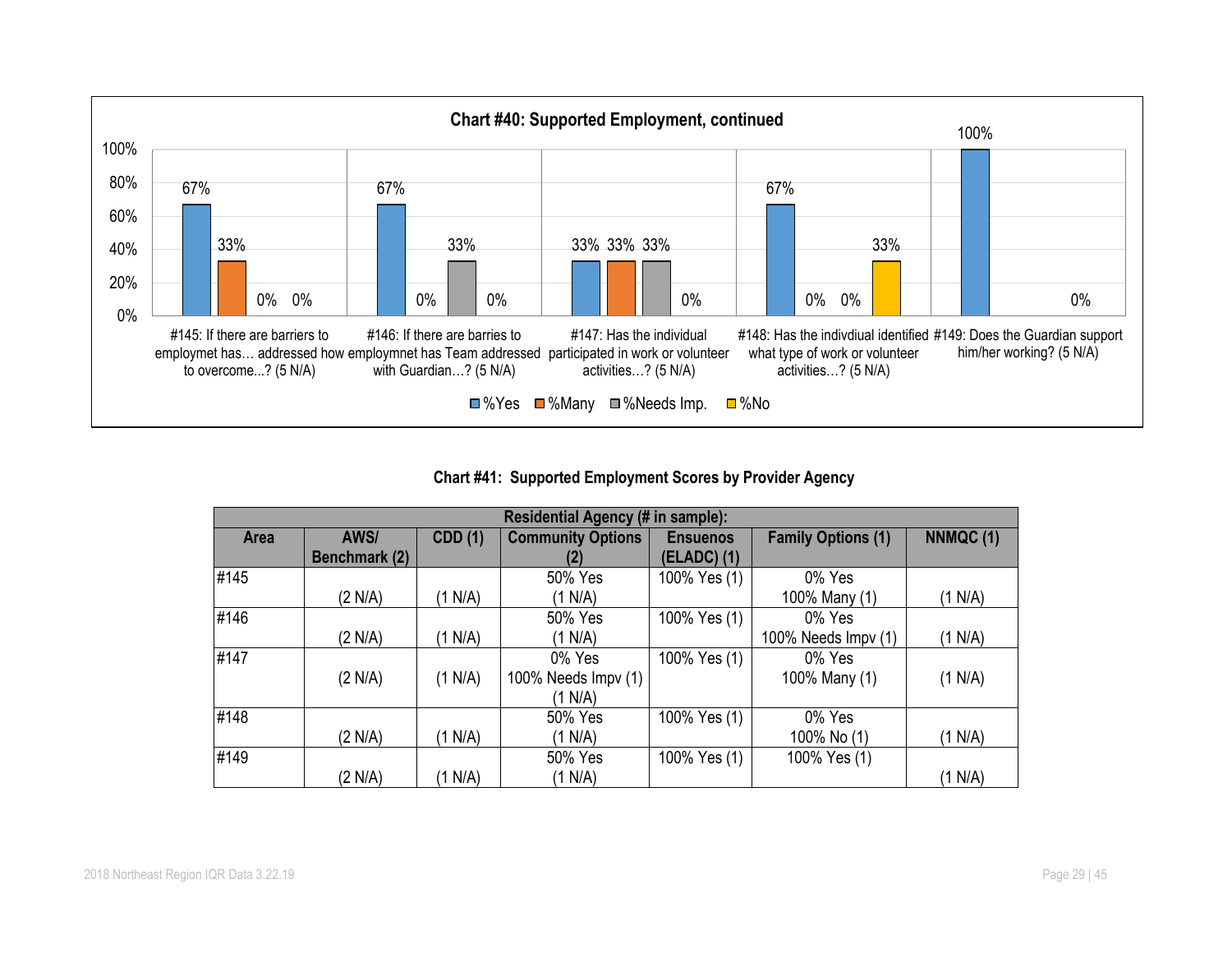

# **Chart #41: Supported Employment Scores by Provider Agency**

|      | Residential Agency (# in sample): |                |                          |                 |                           |          |  |
|------|-----------------------------------|----------------|--------------------------|-----------------|---------------------------|----------|--|
| Area | AWS/                              | <b>CDD (1)</b> | <b>Community Options</b> | <b>Ensuenos</b> | <b>Family Options (1)</b> | NNMQC(1) |  |
|      | Benchmark (2)                     |                | (2)                      | (ELADC) (1)     |                           |          |  |
| #145 |                                   |                | 50% Yes                  | 100% Yes (1)    | 0% Yes                    |          |  |
|      | (2 N/A)                           | (1 N/A)        | (1 N/A)                  |                 | 100% Many (1)             | (1 N/A)  |  |
| #146 |                                   |                | 50% Yes                  | 100% Yes (1)    | 0% Yes                    |          |  |
|      | (2 N/A)                           | (1 N/A)        | (1 N/A)                  |                 | 100% Needs Impv (1)       | (1 N/A)  |  |
| #147 |                                   |                | 0% Yes                   | 100% Yes (1)    | 0% Yes                    |          |  |
|      | (2 N/A)                           | (1 N/A)        | 100% Needs Impv (1)      |                 | 100% Many (1)             | (1 N/A)  |  |
|      |                                   |                | (1 N/A)                  |                 |                           |          |  |
| #148 |                                   |                | 50% Yes                  | 100% Yes (1)    | 0% Yes                    |          |  |
|      | (2 N/A)                           | (1 N/A)        | (1 N/A)                  |                 | 100% No (1)               | (1 N/A)  |  |
| #149 |                                   |                | 50% Yes                  | 100% Yes (1)    | 100% Yes (1)              |          |  |
|      | (2 N/A)                           | (1 N/A)        | (1 N/A)                  |                 |                           | (1 N/A)  |  |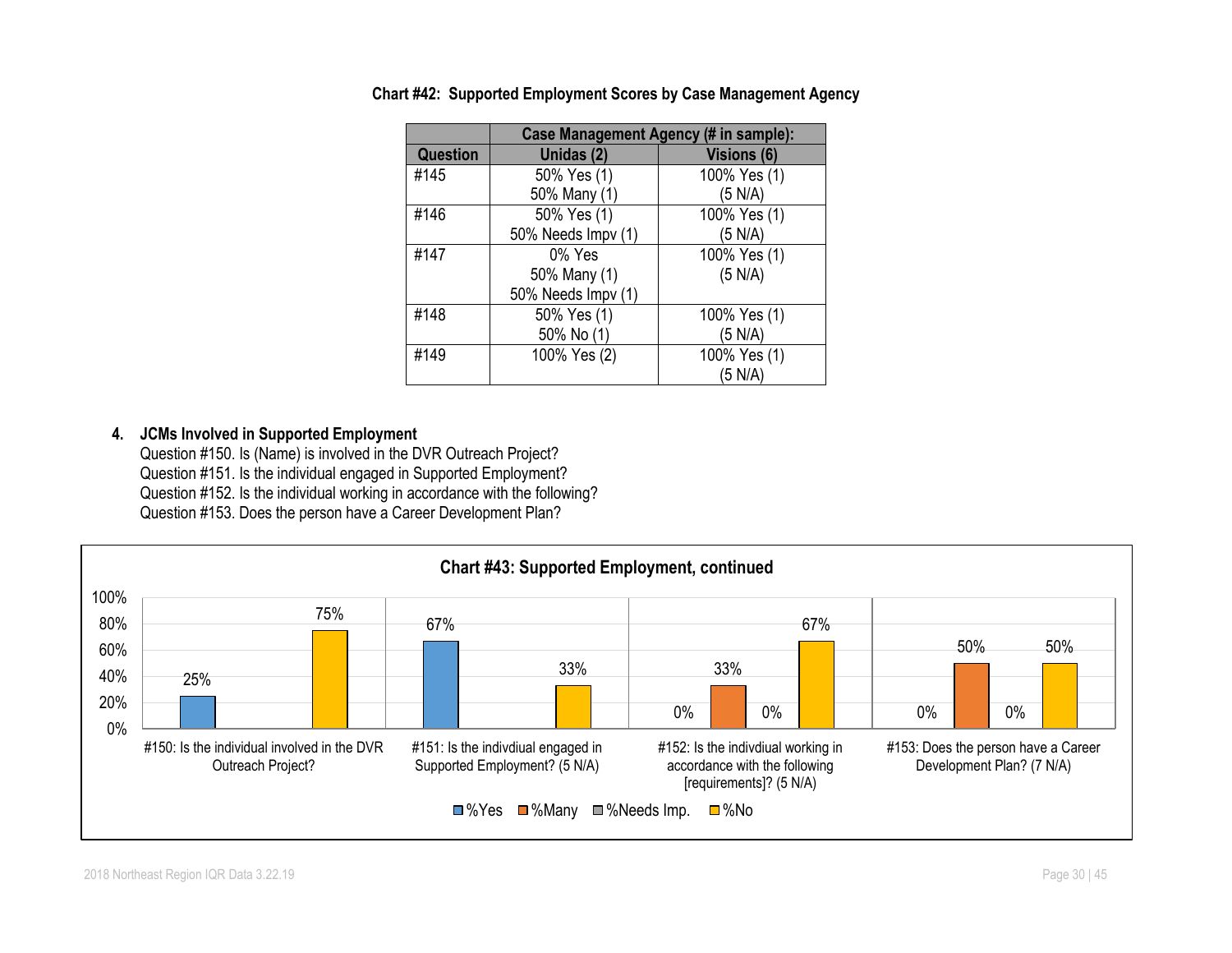|                 |                    | Case Management Agency (# in sample): |
|-----------------|--------------------|---------------------------------------|
| <b>Question</b> | Unidas (2)         | Visions (6)                           |
| #145            | 50% Yes (1)        | 100% Yes (1)                          |
|                 | 50% Many (1)       | (5 N/A)                               |
| #146            | 50% Yes (1)        | 100% Yes (1)                          |
|                 | 50% Needs Impv (1) | (5 N/A)                               |
| #147            | 0% Yes             | 100% Yes (1)                          |
|                 | 50% Many (1)       | (5 N/A)                               |
|                 | 50% Needs Impv (1) |                                       |
| #148            | 50% Yes (1)        | 100% Yes (1)                          |
|                 | 50% No (1)         | (5 N/A)                               |
| #149            | 100% Yes (2)       | 100% Yes (1)                          |
|                 |                    | (5 N/A)                               |

**Chart #42: Supported Employment Scores by Case Management Agency**

#### **4. JCMs Involved in Supported Employment**

Question #150. Is (Name) is involved in the DVR Outreach Project? Question #151. Is the individual engaged in Supported Employment? Question #152. Is the individual working in accordance with the following? Question #153. Does the person have a Career Development Plan?

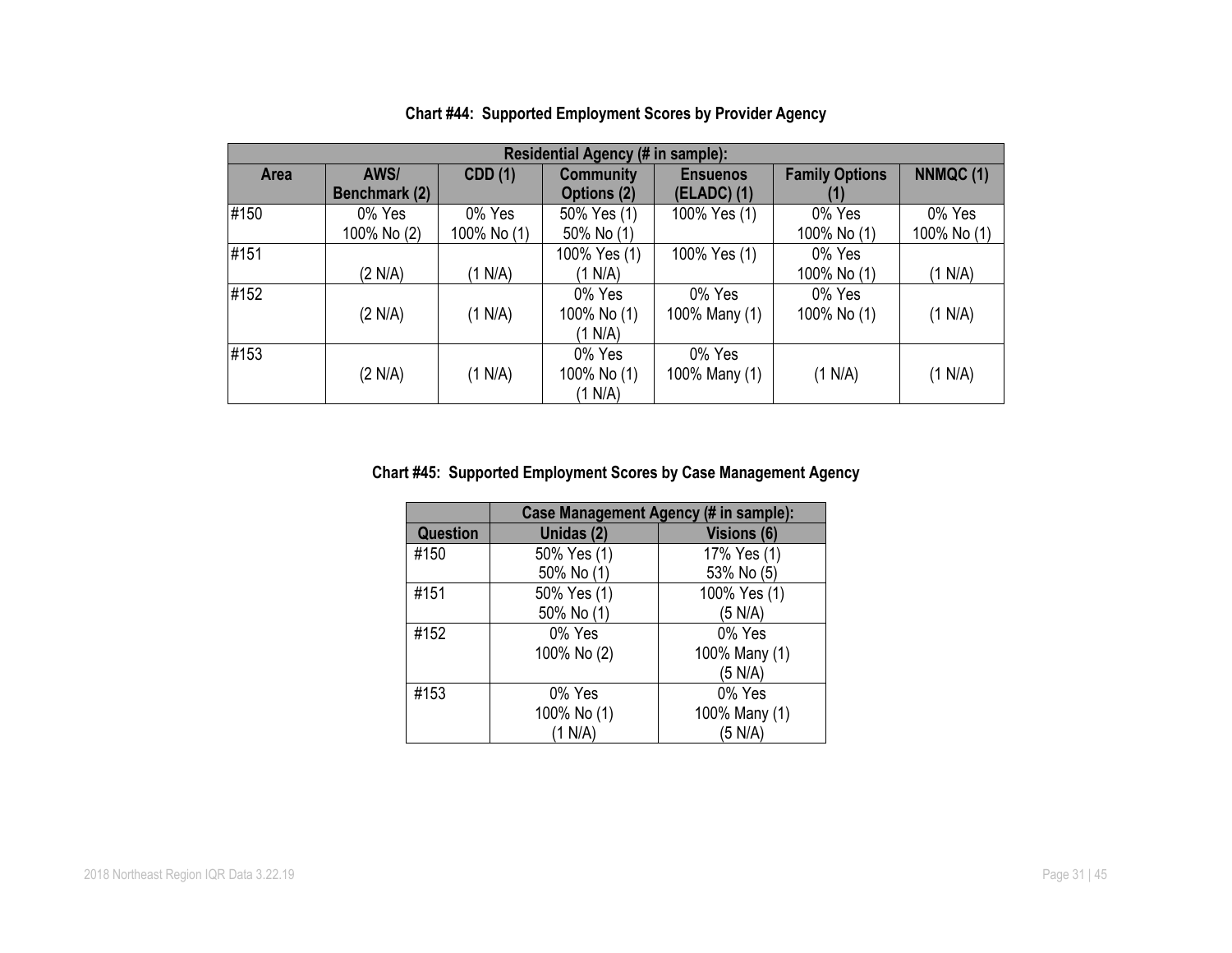|      | Residential Agency (# in sample): |                |                  |                 |                       |             |
|------|-----------------------------------|----------------|------------------|-----------------|-----------------------|-------------|
| Area | AWS/                              | <b>CDD</b> (1) | <b>Community</b> | <b>Ensuenos</b> | <b>Family Options</b> | NNMQC (1)   |
|      | Benchmark (2)                     |                | Options (2)      | $(ELADC)$ (1)   |                       |             |
| #150 | 0% Yes                            | 0% Yes         | 50% Yes (1)      | 100% Yes (1)    | 0% Yes                | 0% Yes      |
|      | 100% No (2)                       | 100% No (1)    | 50% No (1)       |                 | 100% No (1)           | 100% No (1) |
| #151 |                                   |                | 100% Yes (1)     | 100% Yes (1)    | 0% Yes                |             |
|      | (2 N/A)                           | (1 N/A)        | (1 N/A)          |                 | 100% No (1)           | (1 N/A)     |
| #152 |                                   |                | 0% Yes           | 0% Yes          | 0% Yes                |             |
|      | (2 N/A)                           | (1 N/A)        | 100% No (1)      | 100% Many (1)   | 100% No (1)           | (1 N/A)     |
|      |                                   |                | (1 N/A)          |                 |                       |             |
| #153 |                                   |                | 0% Yes           | 0% Yes          |                       |             |
|      | (2 N/A)                           | (1 N/A)        | 100% No (1)      | 100% Many (1)   | (1 N/A)               | (1 N/A)     |
|      |                                   |                | (1 N/A)          |                 |                       |             |

# **Chart #44: Supported Employment Scores by Provider Agency**

# **Chart #45: Supported Employment Scores by Case Management Agency**

|                 | Case Management Agency (# in sample): |                    |  |  |  |
|-----------------|---------------------------------------|--------------------|--|--|--|
| <b>Question</b> | Unidas (2)                            | <b>Visions (6)</b> |  |  |  |
| #150            | 50% Yes (1)                           | 17% Yes (1)        |  |  |  |
|                 | 50% No (1)                            | 53% No (5)         |  |  |  |
| #151            | 50% Yes (1)                           | 100% Yes (1)       |  |  |  |
|                 | 50% No (1)                            | (5 N/A)            |  |  |  |
| #152            | 0% Yes                                | 0% Yes             |  |  |  |
|                 | 100% No (2)                           | 100% Many (1)      |  |  |  |
|                 |                                       | (5 N/A)            |  |  |  |
| #153            | 0% Yes                                | 0% Yes             |  |  |  |
|                 | 100% No (1)                           | 100% Many (1)      |  |  |  |
|                 | (1 N/A)                               | (5 N/A)            |  |  |  |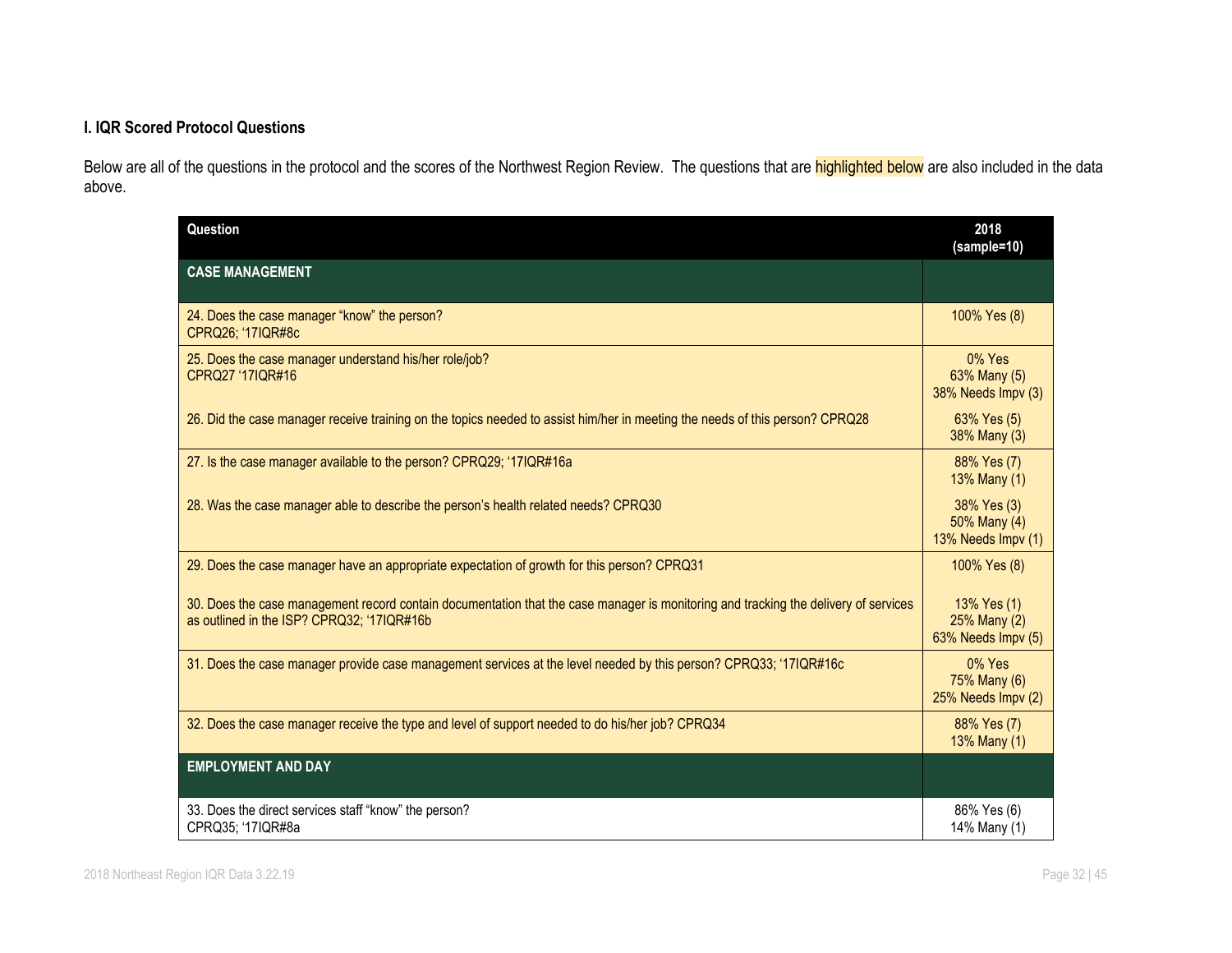# **I. IQR Scored Protocol Questions**

Below are all of the questions in the protocol and the scores of the Northwest Region Review. The questions that are **highlighted below** are also included in the data above.

| Question                                                                                                                                                                          | 2018<br>(sample=10)                               |
|-----------------------------------------------------------------------------------------------------------------------------------------------------------------------------------|---------------------------------------------------|
| <b>CASE MANAGEMENT</b>                                                                                                                                                            |                                                   |
| 24. Does the case manager "know" the person?<br>CPRQ26; '17IQR#8c                                                                                                                 | 100% Yes (8)                                      |
| 25. Does the case manager understand his/her role/job?<br>CPRQ27 '17IQR#16                                                                                                        | 0% Yes<br>63% Many (5)<br>38% Needs Impv (3)      |
| 26. Did the case manager receive training on the topics needed to assist him/her in meeting the needs of this person? CPRQ28                                                      | 63% Yes (5)<br>38% Many (3)                       |
| 27. Is the case manager available to the person? CPRQ29; '17IQR#16a                                                                                                               | 88% Yes (7)<br>13% Many (1)                       |
| 28. Was the case manager able to describe the person's health related needs? CPRQ30                                                                                               | 38% Yes (3)<br>50% Many (4)<br>13% Needs Impv (1) |
| 29. Does the case manager have an appropriate expectation of growth for this person? CPRQ31                                                                                       | 100% Yes (8)                                      |
| 30. Does the case management record contain documentation that the case manager is monitoring and tracking the delivery of services<br>as outlined in the ISP? CPRQ32; '17IQR#16b | 13% Yes (1)<br>25% Many (2)<br>63% Needs Impv (5) |
| 31. Does the case manager provide case management services at the level needed by this person? CPRQ33; '17IQR#16c                                                                 | 0% Yes<br>75% Many (6)<br>25% Needs Impv (2)      |
| 32. Does the case manager receive the type and level of support needed to do his/her job? CPRQ34                                                                                  | 88% Yes (7)<br>13% Many (1)                       |
| <b>EMPLOYMENT AND DAY</b>                                                                                                                                                         |                                                   |
| 33. Does the direct services staff "know" the person?<br>CPRQ35; '17IQR#8a                                                                                                        | 86% Yes (6)<br>14% Many (1)                       |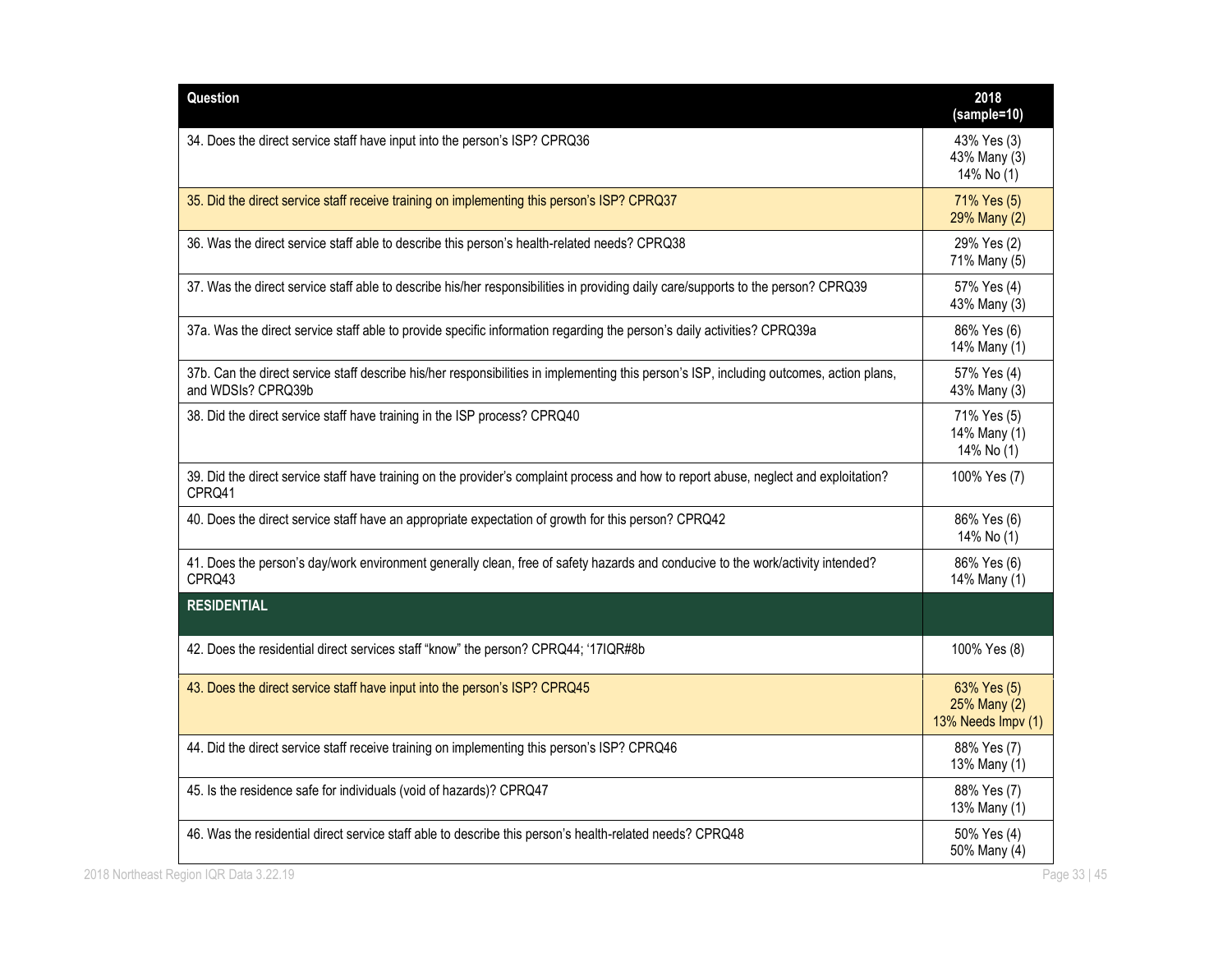| Question                                                                                                                                                       | 2018<br>(sample=10)                               |
|----------------------------------------------------------------------------------------------------------------------------------------------------------------|---------------------------------------------------|
| 34. Does the direct service staff have input into the person's ISP? CPRQ36                                                                                     | 43% Yes (3)<br>43% Many (3)<br>14% No (1)         |
| 35. Did the direct service staff receive training on implementing this person's ISP? CPRQ37                                                                    | 71% Yes (5)<br>29% Many (2)                       |
| 36. Was the direct service staff able to describe this person's health-related needs? CPRQ38                                                                   | 29% Yes (2)<br>71% Many (5)                       |
| 37. Was the direct service staff able to describe his/her responsibilities in providing daily care/supports to the person? CPRQ39                              | 57% Yes (4)<br>43% Many (3)                       |
| 37a. Was the direct service staff able to provide specific information regarding the person's daily activities? CPRQ39a                                        | 86% Yes (6)<br>14% Many (1)                       |
| 37b. Can the direct service staff describe his/her responsibilities in implementing this person's ISP, including outcomes, action plans,<br>and WDSIs? CPRQ39b | 57% Yes (4)<br>43% Many (3)                       |
| 38. Did the direct service staff have training in the ISP process? CPRQ40                                                                                      | 71% Yes (5)<br>14% Many (1)<br>14% No (1)         |
| 39. Did the direct service staff have training on the provider's complaint process and how to report abuse, neglect and exploitation?<br>CPRQ41                | 100% Yes (7)                                      |
| 40. Does the direct service staff have an appropriate expectation of growth for this person? CPRQ42                                                            | 86% Yes (6)<br>14% No (1)                         |
| 41. Does the person's day/work environment generally clean, free of safety hazards and conducive to the work/activity intended?<br>CPRQ43                      | 86% Yes (6)<br>14% Many (1)                       |
| <b>RESIDENTIAL</b>                                                                                                                                             |                                                   |
| 42. Does the residential direct services staff "know" the person? CPRQ44; '17IQR#8b                                                                            | 100% Yes (8)                                      |
| 43. Does the direct service staff have input into the person's ISP? CPRQ45                                                                                     | 63% Yes (5)<br>25% Many (2)<br>13% Needs Impv (1) |
| 44. Did the direct service staff receive training on implementing this person's ISP? CPRQ46                                                                    | 88% Yes (7)<br>13% Many (1)                       |
| 45. Is the residence safe for individuals (void of hazards)? CPRQ47                                                                                            | 88% Yes (7)<br>13% Many (1)                       |
| 46. Was the residential direct service staff able to describe this person's health-related needs? CPRQ48                                                       | 50% Yes (4)<br>50% Many (4)                       |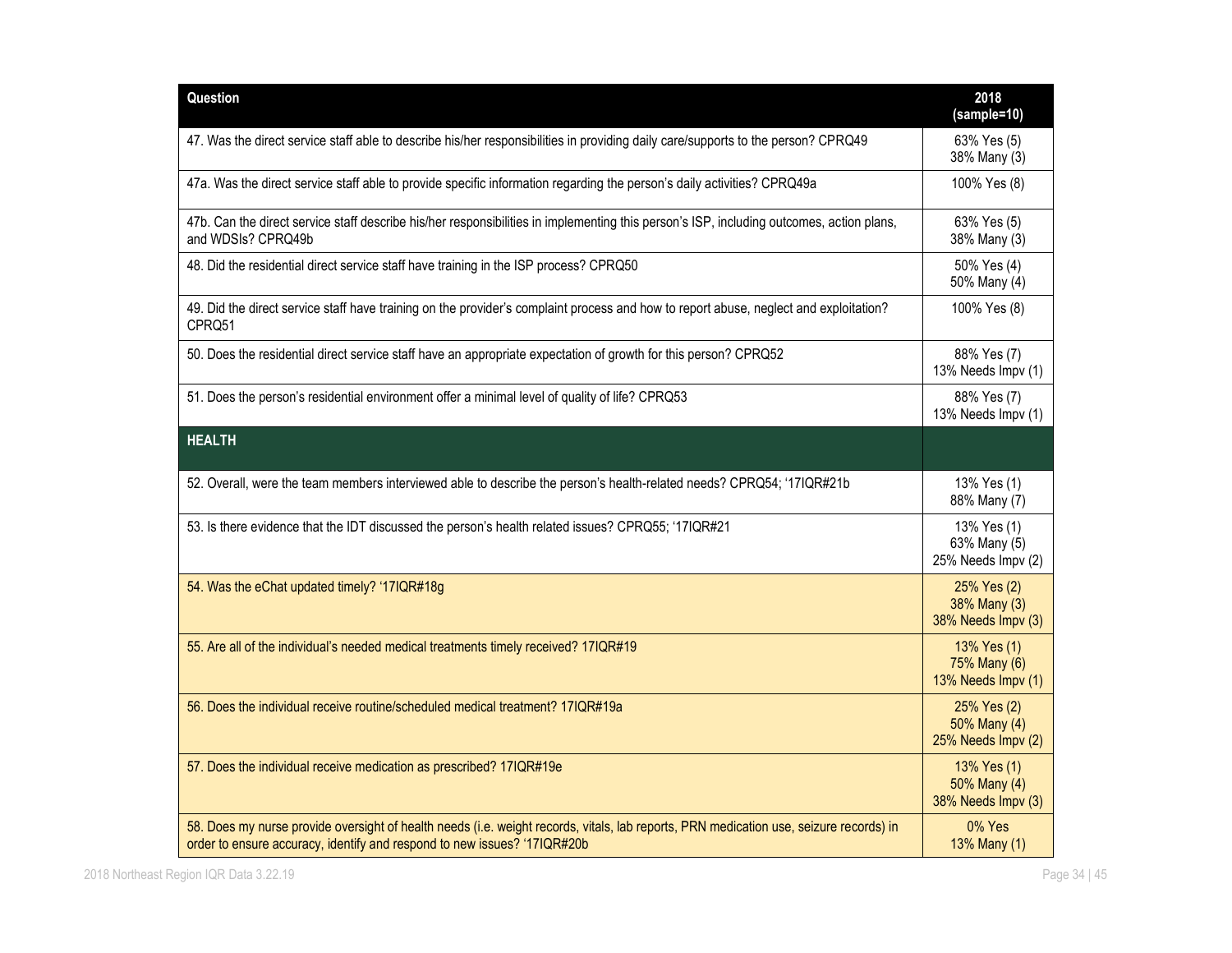| Question                                                                                                                                                                                                           | 2018<br>(sample=10)                               |
|--------------------------------------------------------------------------------------------------------------------------------------------------------------------------------------------------------------------|---------------------------------------------------|
| 47. Was the direct service staff able to describe his/her responsibilities in providing daily care/supports to the person? CPRQ49                                                                                  | 63% Yes (5)<br>38% Many (3)                       |
| 47a. Was the direct service staff able to provide specific information regarding the person's daily activities? CPRQ49a                                                                                            | 100% Yes (8)                                      |
| 47b. Can the direct service staff describe his/her responsibilities in implementing this person's ISP, including outcomes, action plans,<br>and WDSIs? CPRQ49b                                                     | 63% Yes (5)<br>38% Many (3)                       |
| 48. Did the residential direct service staff have training in the ISP process? CPRQ50                                                                                                                              | 50% Yes (4)<br>50% Many (4)                       |
| 49. Did the direct service staff have training on the provider's complaint process and how to report abuse, neglect and exploitation?<br>CPRQ51                                                                    | 100% Yes (8)                                      |
| 50. Does the residential direct service staff have an appropriate expectation of growth for this person? CPRQ52                                                                                                    | 88% Yes (7)<br>13% Needs Impv (1)                 |
| 51. Does the person's residential environment offer a minimal level of quality of life? CPRQ53                                                                                                                     | 88% Yes (7)<br>13% Needs Impv (1)                 |
| <b>HEALTH</b>                                                                                                                                                                                                      |                                                   |
| 52. Overall, were the team members interviewed able to describe the person's health-related needs? CPRQ54; '17IQR#21b                                                                                              | 13% Yes (1)<br>88% Many (7)                       |
| 53. Is there evidence that the IDT discussed the person's health related issues? CPRQ55; '17IQR#21                                                                                                                 | 13% Yes (1)<br>63% Many (5)<br>25% Needs Impv (2) |
| 54. Was the eChat updated timely? '17IQR#18g                                                                                                                                                                       | 25% Yes (2)<br>38% Many (3)<br>38% Needs Impv (3) |
| 55. Are all of the individual's needed medical treatments timely received? 17IQR#19                                                                                                                                | 13% Yes (1)<br>75% Many (6)<br>13% Needs Impv (1) |
| 56. Does the individual receive routine/scheduled medical treatment? 17IQR#19a                                                                                                                                     | 25% Yes (2)<br>50% Many (4)<br>25% Needs Impv (2) |
| 57. Does the individual receive medication as prescribed? 17IQR#19e                                                                                                                                                | 13% Yes (1)<br>50% Many (4)<br>38% Needs Impv (3) |
| 58. Does my nurse provide oversight of health needs (i.e. weight records, vitals, lab reports, PRN medication use, seizure records) in<br>order to ensure accuracy, identify and respond to new issues? '17IQR#20b | 0% Yes<br>13% Many (1)                            |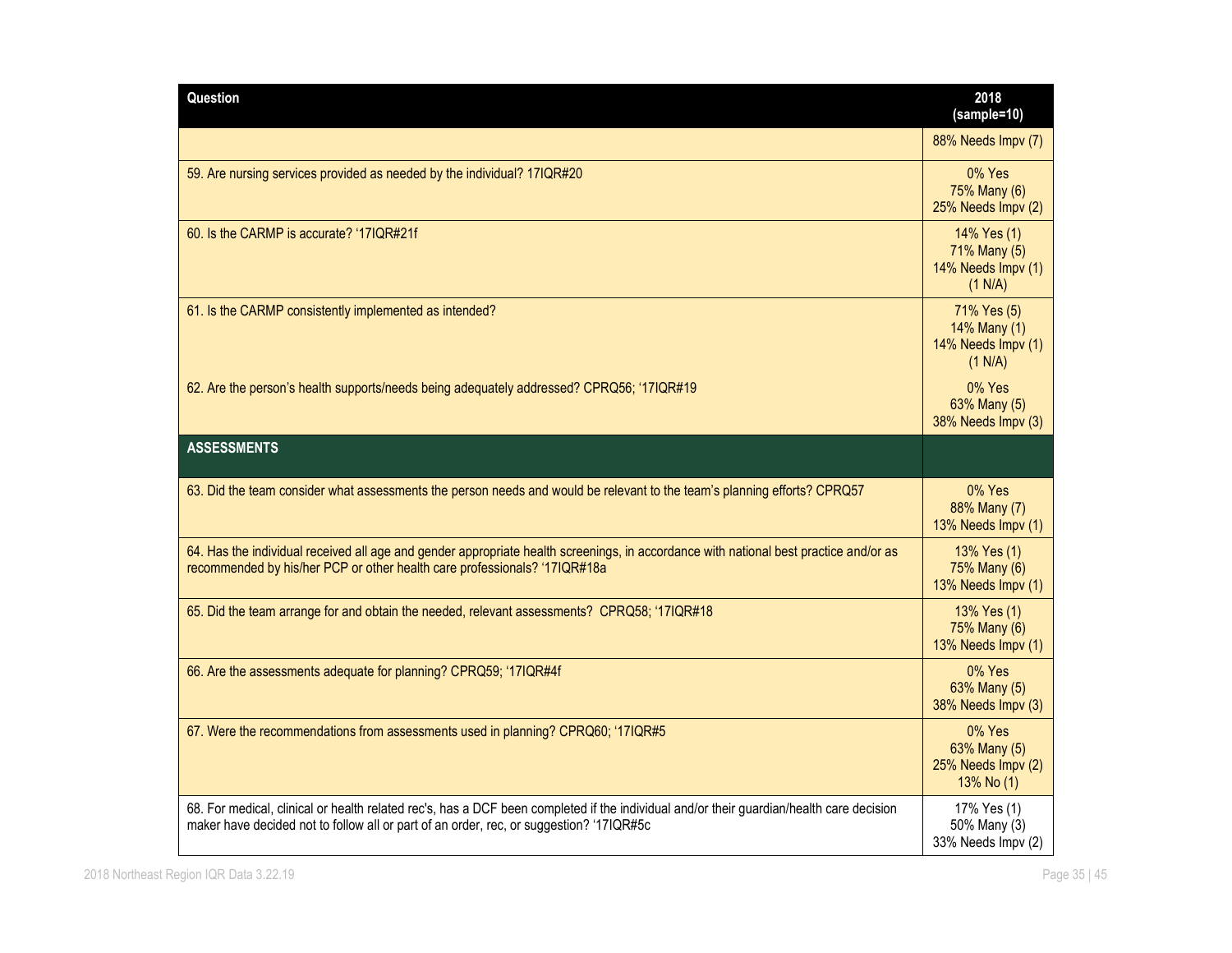| Question                                                                                                                                                                                                                            | 2018<br>(sample=10)                                          |
|-------------------------------------------------------------------------------------------------------------------------------------------------------------------------------------------------------------------------------------|--------------------------------------------------------------|
|                                                                                                                                                                                                                                     | 88% Needs Impv (7)                                           |
| 59. Are nursing services provided as needed by the individual? 17IQR#20                                                                                                                                                             | 0% Yes<br>75% Many (6)<br>25% Needs Impv (2)                 |
| 60. Is the CARMP is accurate? '17IQR#21f                                                                                                                                                                                            | 14% Yes (1)<br>71% Many (5)<br>14% Needs Impv (1)<br>(1 N/A) |
| 61. Is the CARMP consistently implemented as intended?                                                                                                                                                                              | 71% Yes (5)<br>14% Many (1)<br>14% Needs Impv (1)<br>(1 N/A) |
| 62. Are the person's health supports/needs being adequately addressed? CPRQ56; '17IQR#19                                                                                                                                            | 0% Yes<br>63% Many (5)<br>38% Needs Impv (3)                 |
| <b>ASSESSMENTS</b>                                                                                                                                                                                                                  |                                                              |
| 63. Did the team consider what assessments the person needs and would be relevant to the team's planning efforts? CPRQ57                                                                                                            | 0% Yes<br>88% Many (7)<br>13% Needs Impv (1)                 |
| 64. Has the individual received all age and gender appropriate health screenings, in accordance with national best practice and/or as<br>recommended by his/her PCP or other health care professionals? '17IQR#18a                  | 13% Yes (1)<br>75% Many (6)<br>13% Needs Impv (1)            |
| 65. Did the team arrange for and obtain the needed, relevant assessments? CPRQ58; '17IQR#18                                                                                                                                         | 13% Yes (1)<br>75% Many (6)<br>13% Needs Impv (1)            |
| 66. Are the assessments adequate for planning? CPRQ59; '17IQR#4f                                                                                                                                                                    | 0% Yes<br>63% Many (5)<br>38% Needs Impv (3)                 |
| 67. Were the recommendations from assessments used in planning? CPRQ60; '17IQR#5                                                                                                                                                    | 0% Yes<br>63% Many (5)<br>25% Needs Impv (2)<br>13% No (1)   |
| 68. For medical, clinical or health related rec's, has a DCF been completed if the individual and/or their guardian/health care decision<br>maker have decided not to follow all or part of an order, rec, or suggestion? '17IQR#5c | 17% Yes (1)<br>50% Many (3)<br>33% Needs Impv (2)            |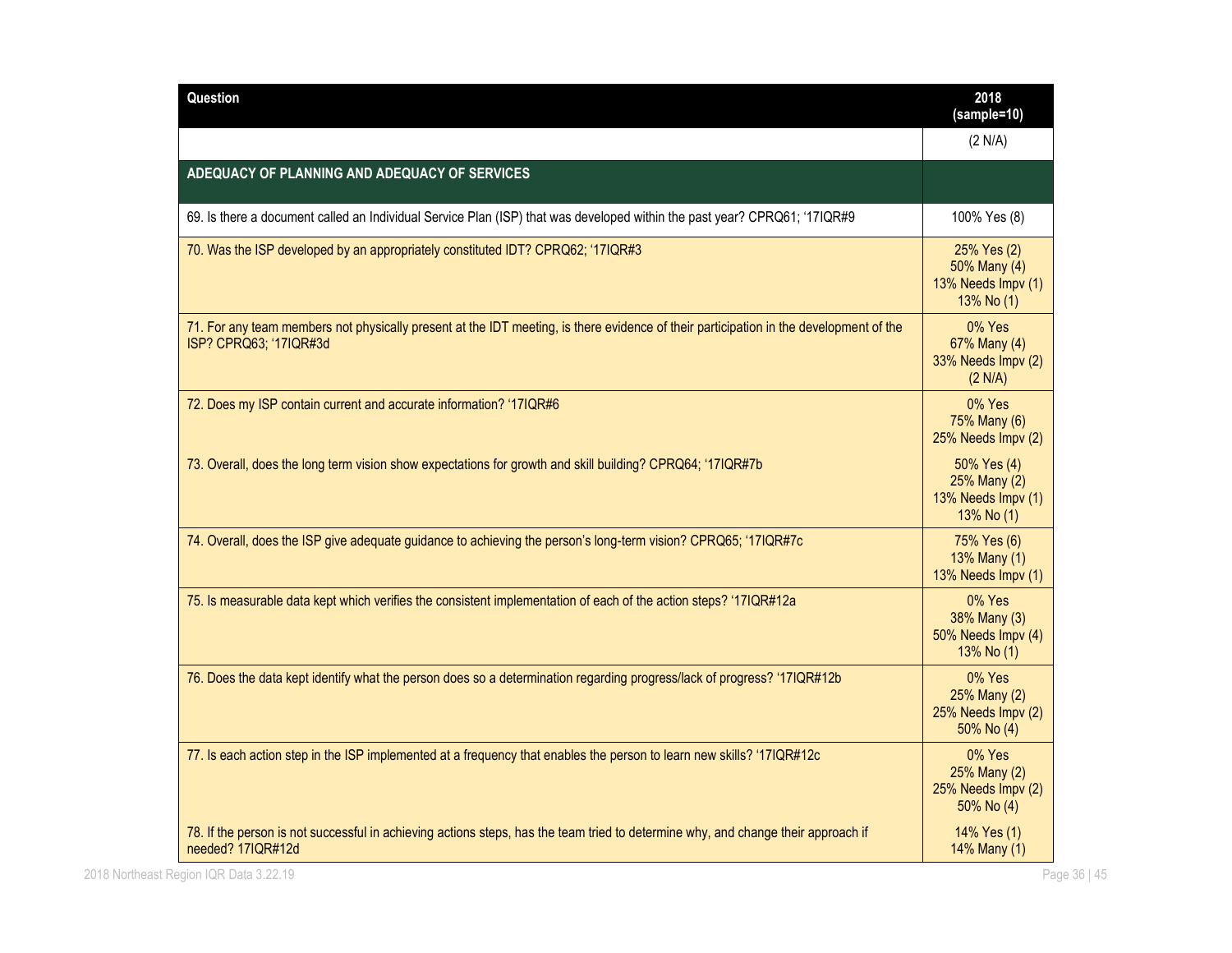|                                                                                                                                                                  | (2 N/A)                                                         |
|------------------------------------------------------------------------------------------------------------------------------------------------------------------|-----------------------------------------------------------------|
| ADEQUACY OF PLANNING AND ADEQUACY OF SERVICES                                                                                                                    |                                                                 |
| 69. Is there a document called an Individual Service Plan (ISP) that was developed within the past year? CPRQ61; '17IQR#9                                        | 100% Yes (8)                                                    |
| 70. Was the ISP developed by an appropriately constituted IDT? CPRQ62; '17IQR#3                                                                                  | 25% Yes (2)<br>50% Many (4)<br>13% Needs Impv (1)<br>13% No (1) |
| 71. For any team members not physically present at the IDT meeting, is there evidence of their participation in the development of the<br>ISP? CPRQ63; '17IQR#3d | 0% Yes<br>67% Many (4)<br>33% Needs Impv (2)<br>(2 N/A)         |
| 72. Does my ISP contain current and accurate information? '17IQR#6                                                                                               | 0% Yes<br>75% Many (6)<br>25% Needs Impv (2)                    |
| 73. Overall, does the long term vision show expectations for growth and skill building? CPRQ64; '17IQR#7b                                                        | 50% Yes (4)<br>25% Many (2)<br>13% Needs Impv (1)<br>13% No (1) |
| 74. Overall, does the ISP give adequate guidance to achieving the person's long-term vision? CPRQ65; '17IQR#7c                                                   | 75% Yes (6)<br>13% Many (1)<br>13% Needs Impv (1)               |
| 75. Is measurable data kept which verifies the consistent implementation of each of the action steps? '17IQR#12a                                                 | 0% Yes<br>38% Many (3)<br>50% Needs Impv (4)<br>13% No (1)      |
| 76. Does the data kept identify what the person does so a determination regarding progress/lack of progress? '17IQR#12b                                          | 0% Yes<br>25% Many (2)<br>25% Needs Impv (2)<br>50% No (4)      |
| 77. Is each action step in the ISP implemented at a frequency that enables the person to learn new skills? '17IQR#12c                                            | 0% Yes<br>25% Many (2)<br>25% Needs Impv (2)<br>50% No (4)      |
| 78. If the person is not successful in achieving actions steps, has the team tried to determine why, and change their approach if<br>needed? 17IQR#12d           | 14% Yes (1)<br>14% Many (1)                                     |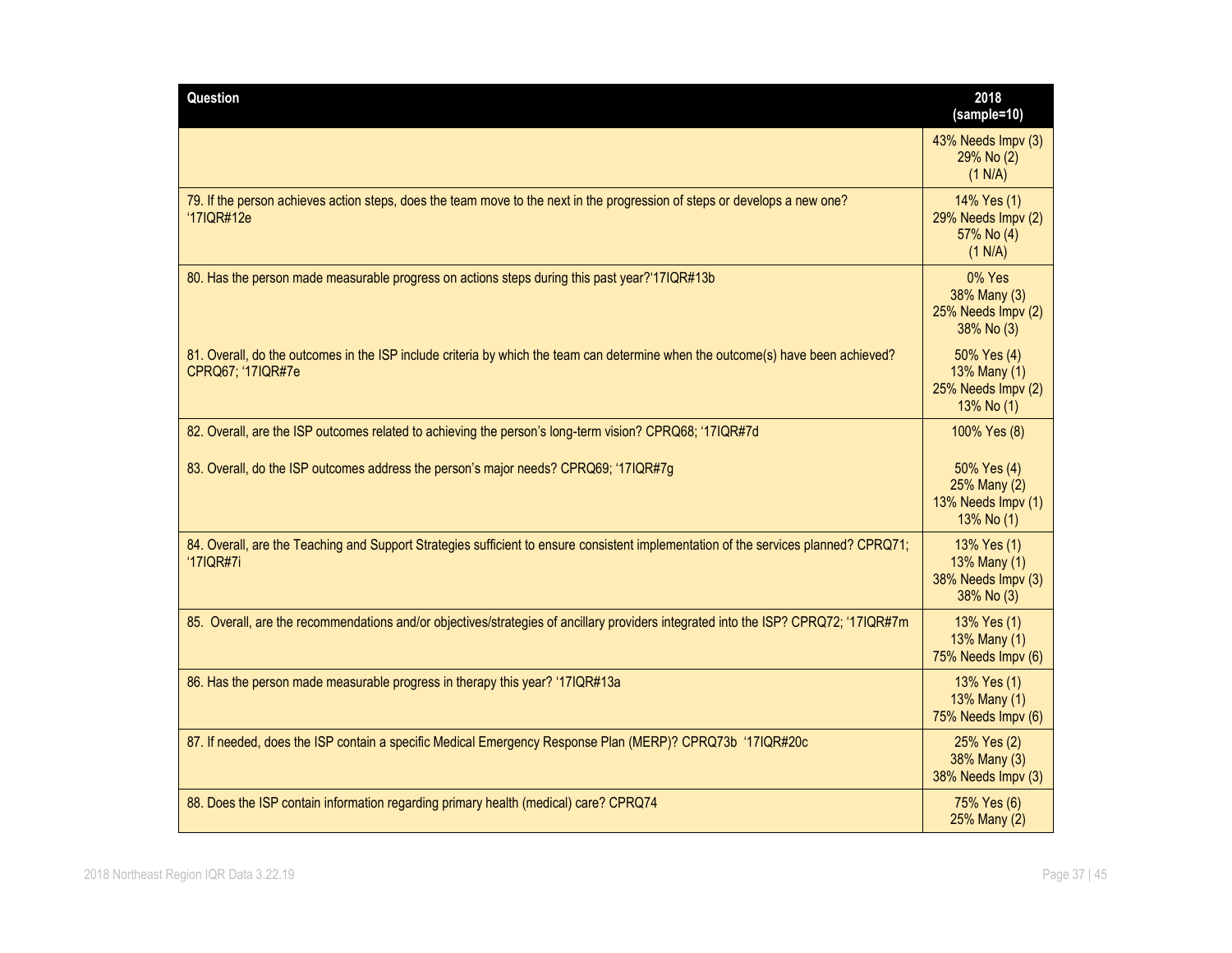| Question                                                                                                                                              | 2018<br>(sample=10)                                             |
|-------------------------------------------------------------------------------------------------------------------------------------------------------|-----------------------------------------------------------------|
|                                                                                                                                                       | 43% Needs Impv (3)<br>$29\%$ No $(2)$<br>(1 N/A)                |
| 79. If the person achieves action steps, does the team move to the next in the progression of steps or develops a new one?<br>'17IQR#12e              | 14% Yes (1)<br>29% Needs Impv (2)<br>57% No (4)<br>(1 N/A)      |
| 80. Has the person made measurable progress on actions steps during this past year?'17IQR#13b                                                         | 0% Yes<br>38% Many (3)<br>25% Needs Impv (2)<br>38% No (3)      |
| 81. Overall, do the outcomes in the ISP include criteria by which the team can determine when the outcome(s) have been achieved?<br>CPRQ67; '17IQR#7e | 50% Yes (4)<br>13% Many (1)<br>25% Needs Impv (2)<br>13% No (1) |
| 82. Overall, are the ISP outcomes related to achieving the person's long-term vision? CPRQ68; '17IQR#7d                                               | 100% Yes (8)                                                    |
| 83. Overall, do the ISP outcomes address the person's major needs? CPRQ69; '17IQR#7g                                                                  | 50% Yes (4)<br>25% Many (2)<br>13% Needs Impv (1)<br>13% No (1) |
| 84. Overall, are the Teaching and Support Strategies sufficient to ensure consistent implementation of the services planned? CPRQ71;<br>'17IQR#7i     | 13% Yes (1)<br>13% Many (1)<br>38% Needs Impv (3)<br>38% No (3) |
| 85. Overall, are the recommendations and/or objectives/strategies of ancillary providers integrated into the ISP? CPRQ72; '17IQR#7m                   | 13% Yes (1)<br>13% Many (1)<br>75% Needs Impv (6)               |
| 86. Has the person made measurable progress in therapy this year? '17IQR#13a                                                                          | 13% Yes (1)<br>13% Many (1)<br>75% Needs Impv (6)               |
| 87. If needed, does the ISP contain a specific Medical Emergency Response Plan (MERP)? CPRQ73b '17IQR#20c                                             | 25% Yes (2)<br>38% Many (3)<br>38% Needs Impv (3)               |
| 88. Does the ISP contain information regarding primary health (medical) care? CPRQ74                                                                  | 75% Yes (6)<br>25% Many (2)                                     |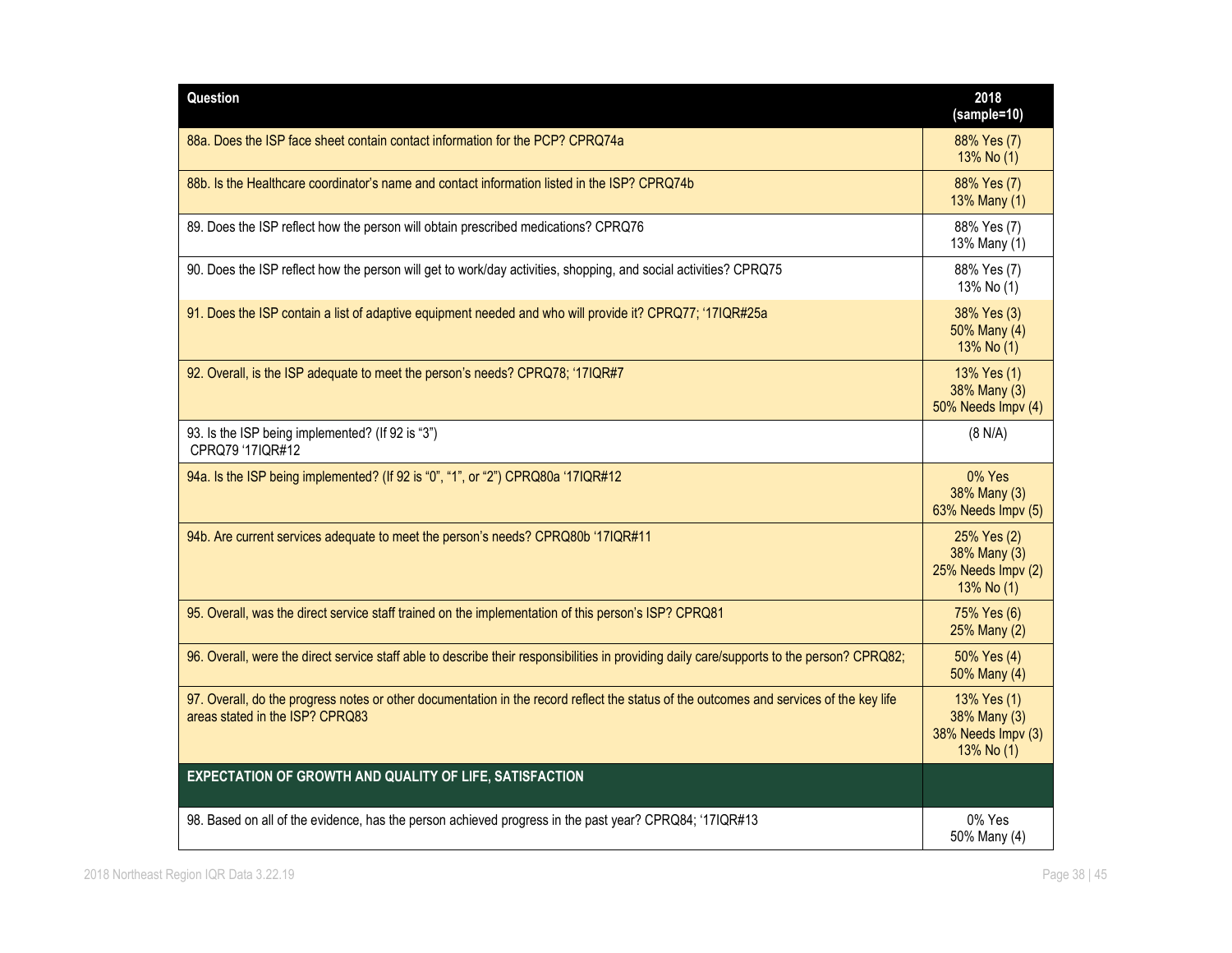| Question                                                                                                                                                                   | 2018<br>(sample=10)                                             |
|----------------------------------------------------------------------------------------------------------------------------------------------------------------------------|-----------------------------------------------------------------|
| 88a. Does the ISP face sheet contain contact information for the PCP? CPRQ74a                                                                                              | 88% Yes (7)<br>13% No (1)                                       |
| 88b. Is the Healthcare coordinator's name and contact information listed in the ISP? CPRO74b                                                                               | 88% Yes (7)<br>13% Many (1)                                     |
| 89. Does the ISP reflect how the person will obtain prescribed medications? CPRQ76                                                                                         | 88% Yes (7)<br>13% Many (1)                                     |
| 90. Does the ISP reflect how the person will get to work/day activities, shopping, and social activities? CPRQ75                                                           | 88% Yes (7)<br>13% No (1)                                       |
| 91. Does the ISP contain a list of adaptive equipment needed and who will provide it? CPRQ77; '17IQR#25a                                                                   | 38% Yes (3)<br>50% Many (4)<br>13% No (1)                       |
| 92. Overall, is the ISP adequate to meet the person's needs? CPRQ78; '17IQR#7                                                                                              | 13% Yes (1)<br>38% Many (3)<br>50% Needs Impv (4)               |
| 93. Is the ISP being implemented? (If 92 is "3")<br>CPRQ79 '17IQR#12                                                                                                       | (8 N/A)                                                         |
| 94a. Is the ISP being implemented? (If 92 is "0", "1", or "2") CPRQ80a '17IQR#12                                                                                           | 0% Yes<br>38% Many (3)<br>63% Needs Impv (5)                    |
| 94b. Are current services adequate to meet the person's needs? CPRQ80b '17IQR#11                                                                                           | 25% Yes (2)<br>38% Many (3)<br>25% Needs Impv (2)<br>13% No (1) |
| 95. Overall, was the direct service staff trained on the implementation of this person's ISP? CPRQ81                                                                       | 75% Yes (6)<br>25% Many (2)                                     |
| 96. Overall, were the direct service staff able to describe their responsibilities in providing daily care/supports to the person? CPRQ82;                                 | 50% Yes (4)<br>50% Many (4)                                     |
| 97. Overall, do the progress notes or other documentation in the record reflect the status of the outcomes and services of the key life<br>areas stated in the ISP? CPRQ83 | 13% Yes (1)<br>38% Many (3)<br>38% Needs Impv (3)<br>13% No (1) |
| EXPECTATION OF GROWTH AND QUALITY OF LIFE, SATISFACTION                                                                                                                    |                                                                 |
| 98. Based on all of the evidence, has the person achieved progress in the past year? CPRQ84; '17IQR#13                                                                     | 0% Yes<br>50% Many (4)                                          |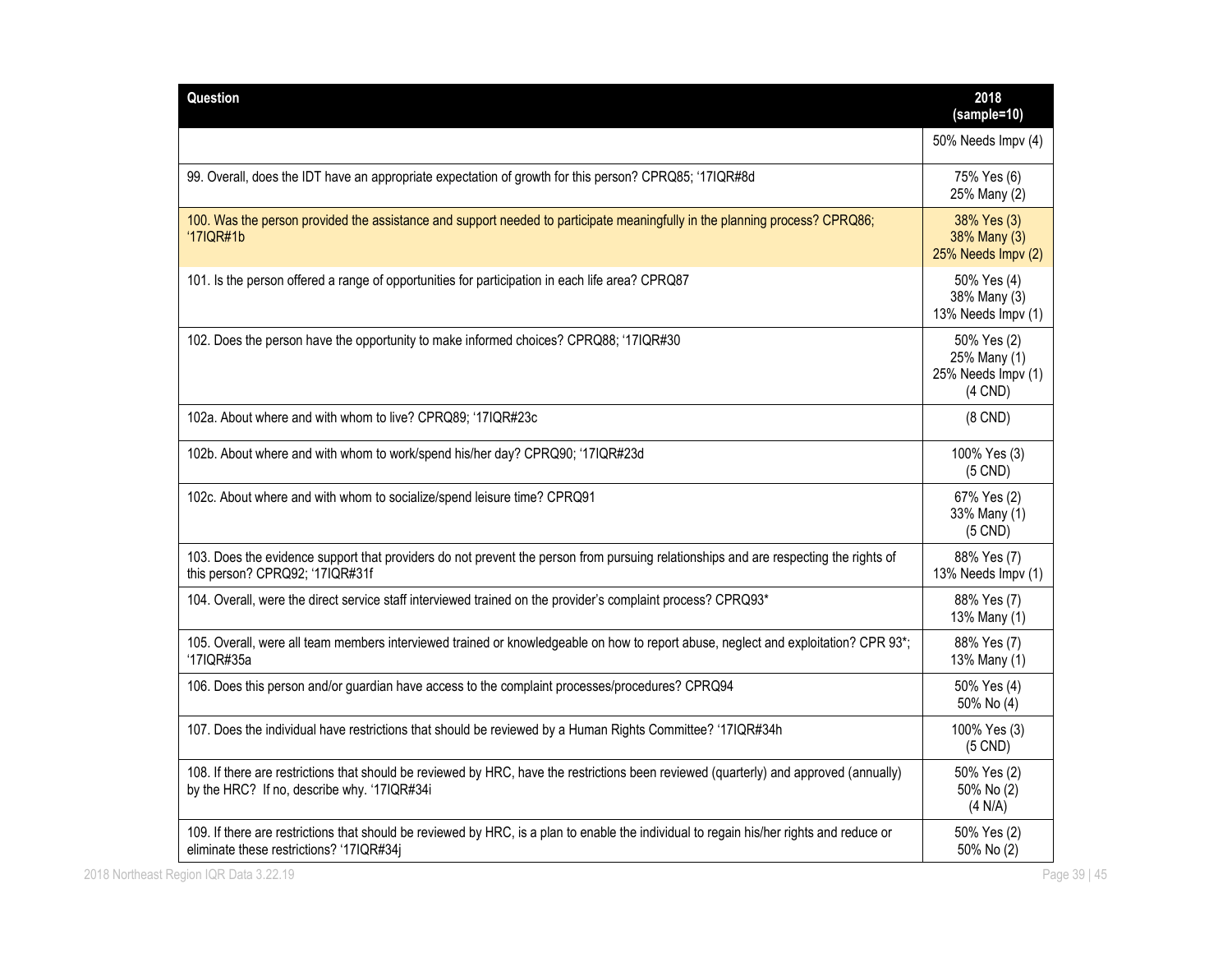| Question                                                                                                                                                                              | 2018<br>(sample=10)                                            |
|---------------------------------------------------------------------------------------------------------------------------------------------------------------------------------------|----------------------------------------------------------------|
|                                                                                                                                                                                       | 50% Needs Impv (4)                                             |
| 99. Overall, does the IDT have an appropriate expectation of growth for this person? CPRQ85; '17IQR#8d                                                                                | 75% Yes (6)<br>25% Many (2)                                    |
| 100. Was the person provided the assistance and support needed to participate meaningfully in the planning process? CPRQ86;<br>'17IQR#1b                                              | 38% Yes (3)<br>38% Many (3)<br>25% Needs Impv (2)              |
| 101. Is the person offered a range of opportunities for participation in each life area? CPRQ87                                                                                       | 50% Yes (4)<br>38% Many (3)<br>13% Needs Impv (1)              |
| 102. Does the person have the opportunity to make informed choices? CPRQ88; '17IQR#30                                                                                                 | 50% Yes (2)<br>25% Many (1)<br>25% Needs Impv (1)<br>$(4$ CND) |
| 102a. About where and with whom to live? CPRQ89; '17IQR#23c                                                                                                                           | $(8$ CND $)$                                                   |
| 102b. About where and with whom to work/spend his/her day? CPRQ90; '17IQR#23d                                                                                                         | 100% Yes (3)<br>$(5$ CND)                                      |
| 102c. About where and with whom to socialize/spend leisure time? CPRQ91                                                                                                               | 67% Yes (2)<br>33% Many (1)<br>$(5$ CND)                       |
| 103. Does the evidence support that providers do not prevent the person from pursuing relationships and are respecting the rights of<br>this person? CPRQ92; '17IQR#31f               | 88% Yes (7)<br>13% Needs Impv (1)                              |
| 104. Overall, were the direct service staff interviewed trained on the provider's complaint process? CPRQ93*                                                                          | 88% Yes (7)<br>13% Many (1)                                    |
| 105. Overall, were all team members interviewed trained or knowledgeable on how to report abuse, neglect and exploitation? CPR 93*;<br>'17IQR#35a                                     | 88% Yes (7)<br>13% Many (1)                                    |
| 106. Does this person and/or guardian have access to the complaint processes/procedures? CPRQ94                                                                                       | 50% Yes (4)<br>50% No (4)                                      |
| 107. Does the individual have restrictions that should be reviewed by a Human Rights Committee? '17IQR#34h                                                                            | 100% Yes (3)<br>$(5$ CND)                                      |
| 108. If there are restrictions that should be reviewed by HRC, have the restrictions been reviewed (quarterly) and approved (annually)<br>by the HRC? If no, describe why. '17IQR#34i | 50% Yes (2)<br>50% No (2)<br>(4 N/A)                           |
| 109. If there are restrictions that should be reviewed by HRC, is a plan to enable the individual to regain his/her rights and reduce or                                              | 50% Yes (2)                                                    |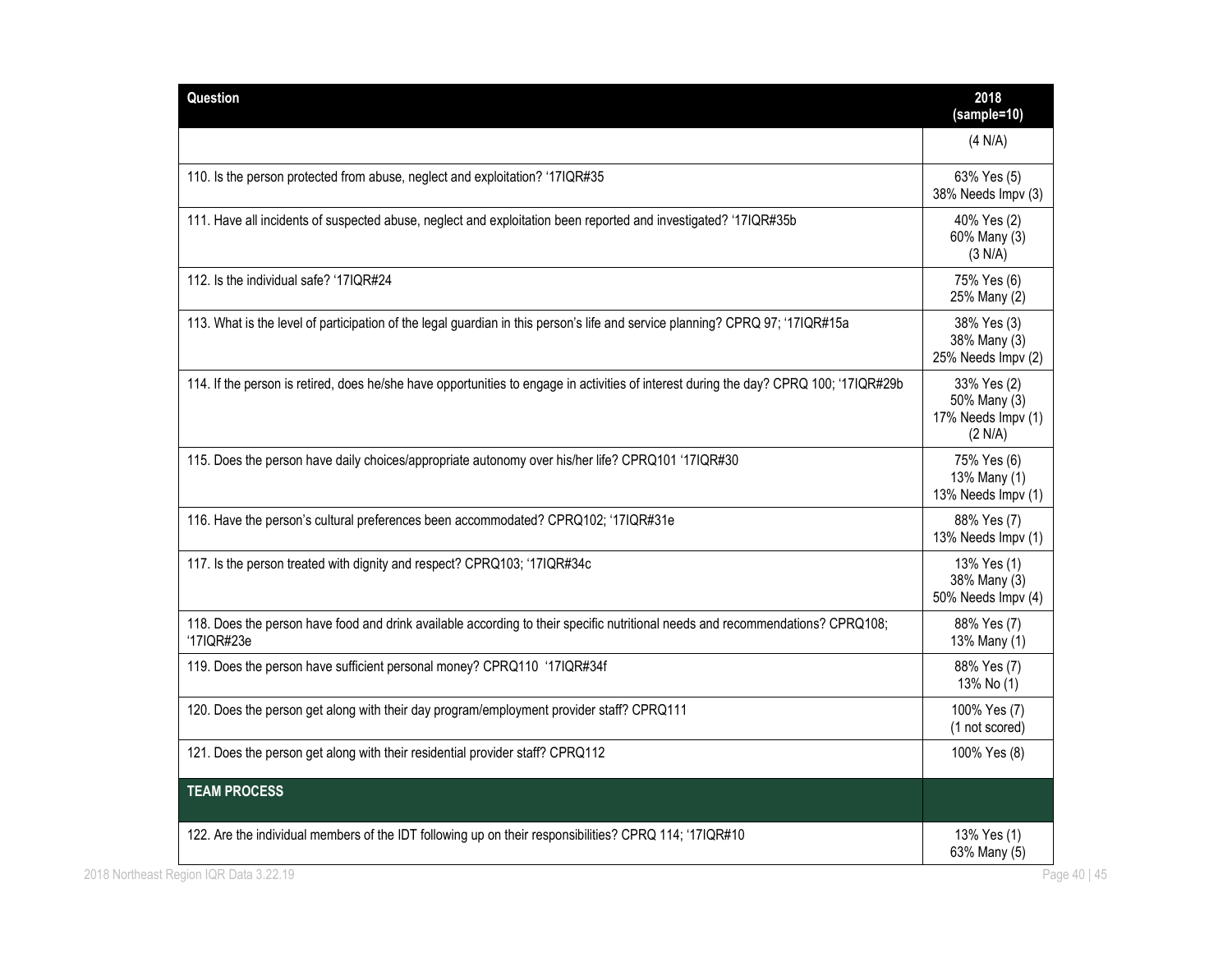| Question                                                                                 |                                                                                                                                        | 2018<br>(sample=10)                                          |
|------------------------------------------------------------------------------------------|----------------------------------------------------------------------------------------------------------------------------------------|--------------------------------------------------------------|
|                                                                                          |                                                                                                                                        | (4 N/A)                                                      |
| 110. Is the person protected from abuse, neglect and exploitation? '17IQR#35             |                                                                                                                                        | 63% Yes (5)<br>38% Needs Impv (3)                            |
|                                                                                          | 111. Have all incidents of suspected abuse, neglect and exploitation been reported and investigated? '17IQR#35b                        | 40% Yes (2)<br>60% Many (3)<br>(3 N/A)                       |
| 112. Is the individual safe? '17IQR#24                                                   |                                                                                                                                        | 75% Yes (6)<br>25% Many (2)                                  |
|                                                                                          | 113. What is the level of participation of the legal guardian in this person's life and service planning? CPRQ 97; '17IQR#15a          | 38% Yes (3)<br>38% Many (3)<br>25% Needs Impv (2)            |
|                                                                                          | 114. If the person is retired, does he/she have opportunities to engage in activities of interest during the day? CPRQ 100; '17IQR#29b | 33% Yes (2)<br>50% Many (3)<br>17% Needs Impv (1)<br>(2 N/A) |
|                                                                                          | 115. Does the person have daily choices/appropriate autonomy over his/her life? CPRQ101 '17IQR#30                                      | 75% Yes (6)<br>13% Many (1)<br>13% Needs Impv (1)            |
| 116. Have the person's cultural preferences been accommodated? CPRQ102; '17IQR#31e       |                                                                                                                                        | 88% Yes (7)<br>13% Needs Impy (1)                            |
| 117. Is the person treated with dignity and respect? CPRQ103; '17IQR#34c                 |                                                                                                                                        | 13% Yes (1)<br>38% Many (3)<br>50% Needs Impv (4)            |
| '17IQR#23e                                                                               | 118. Does the person have food and drink available according to their specific nutritional needs and recommendations? CPRQ108;         | 88% Yes (7)<br>13% Many (1)                                  |
| 119. Does the person have sufficient personal money? CPRQ110 '17IQR#34f                  |                                                                                                                                        | 88% Yes (7)<br>13% No (1)                                    |
| 120. Does the person get along with their day program/employment provider staff? CPRQ111 |                                                                                                                                        | 100% Yes (7)<br>(1 not scored)                               |
| 121. Does the person get along with their residential provider staff? CPRQ112            |                                                                                                                                        | 100% Yes (8)                                                 |
| <b>TEAM PROCESS</b>                                                                      |                                                                                                                                        |                                                              |
|                                                                                          | 122. Are the individual members of the IDT following up on their responsibilities? CPRQ 114; '17IQR#10                                 | 13% Yes (1)<br>63% Many (5)                                  |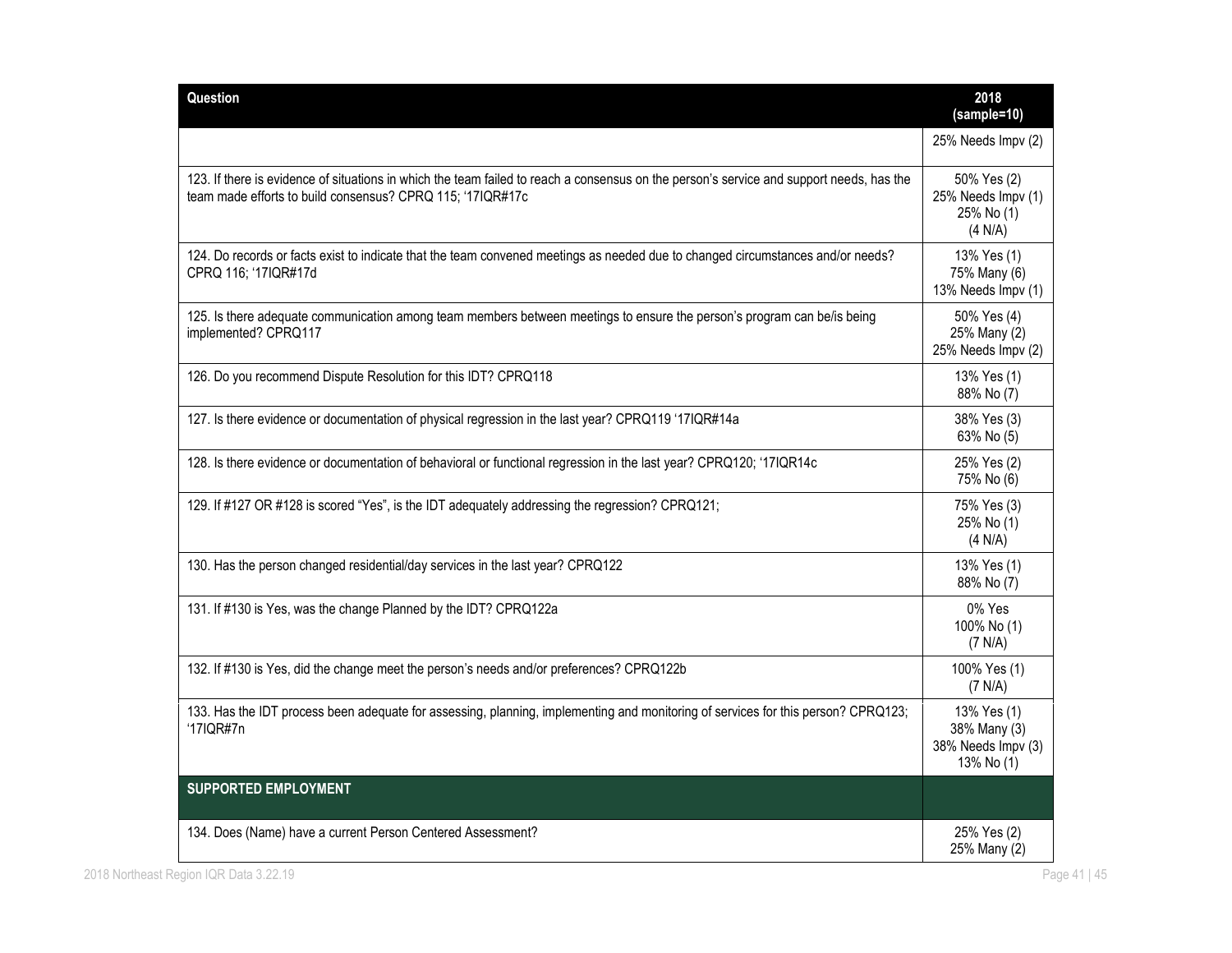| Question                                                                                                                                                                                               | 2018<br>(sample=10)                                             |
|--------------------------------------------------------------------------------------------------------------------------------------------------------------------------------------------------------|-----------------------------------------------------------------|
|                                                                                                                                                                                                        | 25% Needs Impv (2)                                              |
| 123. If there is evidence of situations in which the team failed to reach a consensus on the person's service and support needs, has the<br>team made efforts to build consensus? CPRQ 115; '17IQR#17c | 50% Yes (2)<br>25% Needs Impv (1)<br>25% No (1)<br>(4 N/A)      |
| 124. Do records or facts exist to indicate that the team convened meetings as needed due to changed circumstances and/or needs?<br>CPRQ 116; '17IQR#17d                                                | 13% Yes (1)<br>75% Many (6)<br>13% Needs Impv (1)               |
| 125. Is there adequate communication among team members between meetings to ensure the person's program can be/is being<br>implemented? CPRQ117                                                        | 50% Yes (4)<br>25% Many (2)<br>25% Needs Impv (2)               |
| 126. Do you recommend Dispute Resolution for this IDT? CPRQ118                                                                                                                                         | 13% Yes (1)<br>88% No (7)                                       |
| 127. Is there evidence or documentation of physical regression in the last year? CPRQ119 '17IQR#14a                                                                                                    | 38% Yes (3)<br>63% No (5)                                       |
| 128. Is there evidence or documentation of behavioral or functional regression in the last year? CPRQ120; '17IQR14c                                                                                    | 25% Yes (2)<br>75% No (6)                                       |
| 129. If #127 OR #128 is scored "Yes", is the IDT adequately addressing the regression? CPRQ121;                                                                                                        | 75% Yes (3)<br>25% No (1)<br>(4 N/A)                            |
| 130. Has the person changed residential/day services in the last year? CPRQ122                                                                                                                         | 13% Yes (1)<br>88% No (7)                                       |
| 131. If #130 is Yes, was the change Planned by the IDT? CPRQ122a                                                                                                                                       | 0% Yes<br>100% No (1)<br>(7 N/A)                                |
| 132. If #130 is Yes, did the change meet the person's needs and/or preferences? CPRQ122b                                                                                                               | 100% Yes (1)<br>(7 N/A)                                         |
| 133. Has the IDT process been adequate for assessing, planning, implementing and monitoring of services for this person? CPRQ123;<br>'17IQR#7n                                                         | 13% Yes (1)<br>38% Many (3)<br>38% Needs Impv (3)<br>13% No (1) |
| <b>SUPPORTED EMPLOYMENT</b>                                                                                                                                                                            |                                                                 |
| 134. Does (Name) have a current Person Centered Assessment?                                                                                                                                            | 25% Yes (2)<br>25% Many (2)                                     |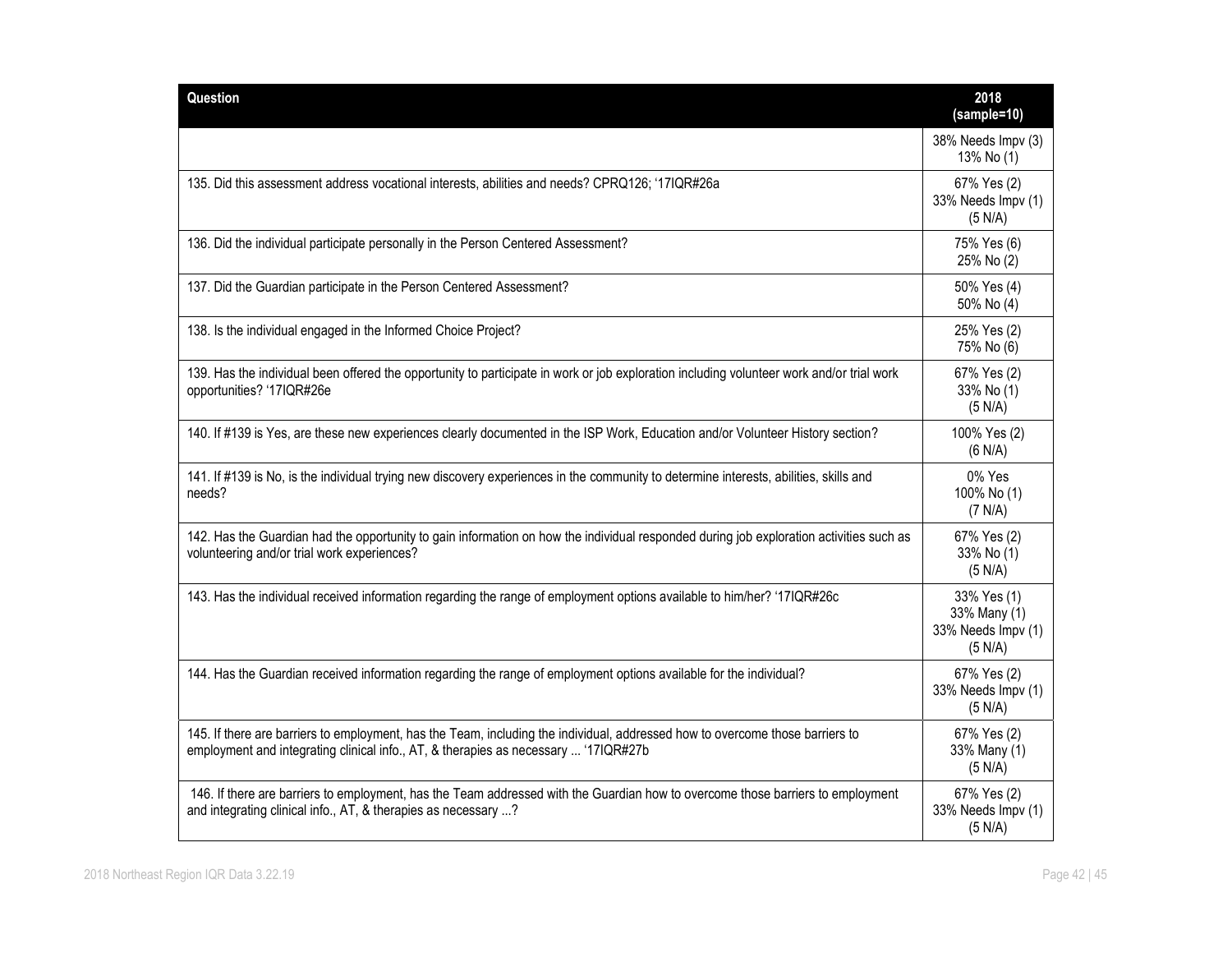| <b>Question</b>                                                                                                                                                                                                      | 2018<br>(sample=10)                                          |
|----------------------------------------------------------------------------------------------------------------------------------------------------------------------------------------------------------------------|--------------------------------------------------------------|
|                                                                                                                                                                                                                      | 38% Needs Impv (3)<br>13% No (1)                             |
| 135. Did this assessment address vocational interests, abilities and needs? CPRQ126; '17IQR#26a                                                                                                                      | 67% Yes (2)<br>33% Needs Impv (1)<br>(5 N/A)                 |
| 136. Did the individual participate personally in the Person Centered Assessment?                                                                                                                                    | 75% Yes (6)<br>25% No (2)                                    |
| 137. Did the Guardian participate in the Person Centered Assessment?                                                                                                                                                 | 50% Yes (4)<br>50% No (4)                                    |
| 138. Is the individual engaged in the Informed Choice Project?                                                                                                                                                       | 25% Yes (2)<br>75% No (6)                                    |
| 139. Has the individual been offered the opportunity to participate in work or job exploration including volunteer work and/or trial work<br>opportunities? '17IQR#26e                                               | 67% Yes (2)<br>33% No (1)<br>(5 N/A)                         |
| 140. If #139 is Yes, are these new experiences clearly documented in the ISP Work, Education and/or Volunteer History section?                                                                                       | 100% Yes (2)<br>(6 N/A)                                      |
| 141. If #139 is No, is the individual trying new discovery experiences in the community to determine interests, abilities, skills and<br>needs?                                                                      | 0% Yes<br>100% No (1)<br>(7 N/A)                             |
| 142. Has the Guardian had the opportunity to gain information on how the individual responded during job exploration activities such as<br>volunteering and/or trial work experiences?                               | 67% Yes (2)<br>33% No (1)<br>(5 N/A)                         |
| 143. Has the individual received information regarding the range of employment options available to him/her? '17IQR#26c                                                                                              | 33% Yes (1)<br>33% Many (1)<br>33% Needs Impv (1)<br>(5 N/A) |
| 144. Has the Guardian received information regarding the range of employment options available for the individual?                                                                                                   | 67% Yes (2)<br>33% Needs Impv (1)<br>(5 N/A)                 |
| 145. If there are barriers to employment, has the Team, including the individual, addressed how to overcome those barriers to<br>employment and integrating clinical info., AT, & therapies as necessary  '17IQR#27b | 67% Yes (2)<br>33% Many (1)<br>(5 N/A)                       |
| 146. If there are barriers to employment, has the Team addressed with the Guardian how to overcome those barriers to employment<br>and integrating clinical info., AT, & therapies as necessary ?                    | 67% Yes (2)<br>33% Needs Impv (1)<br>(5 N/A)                 |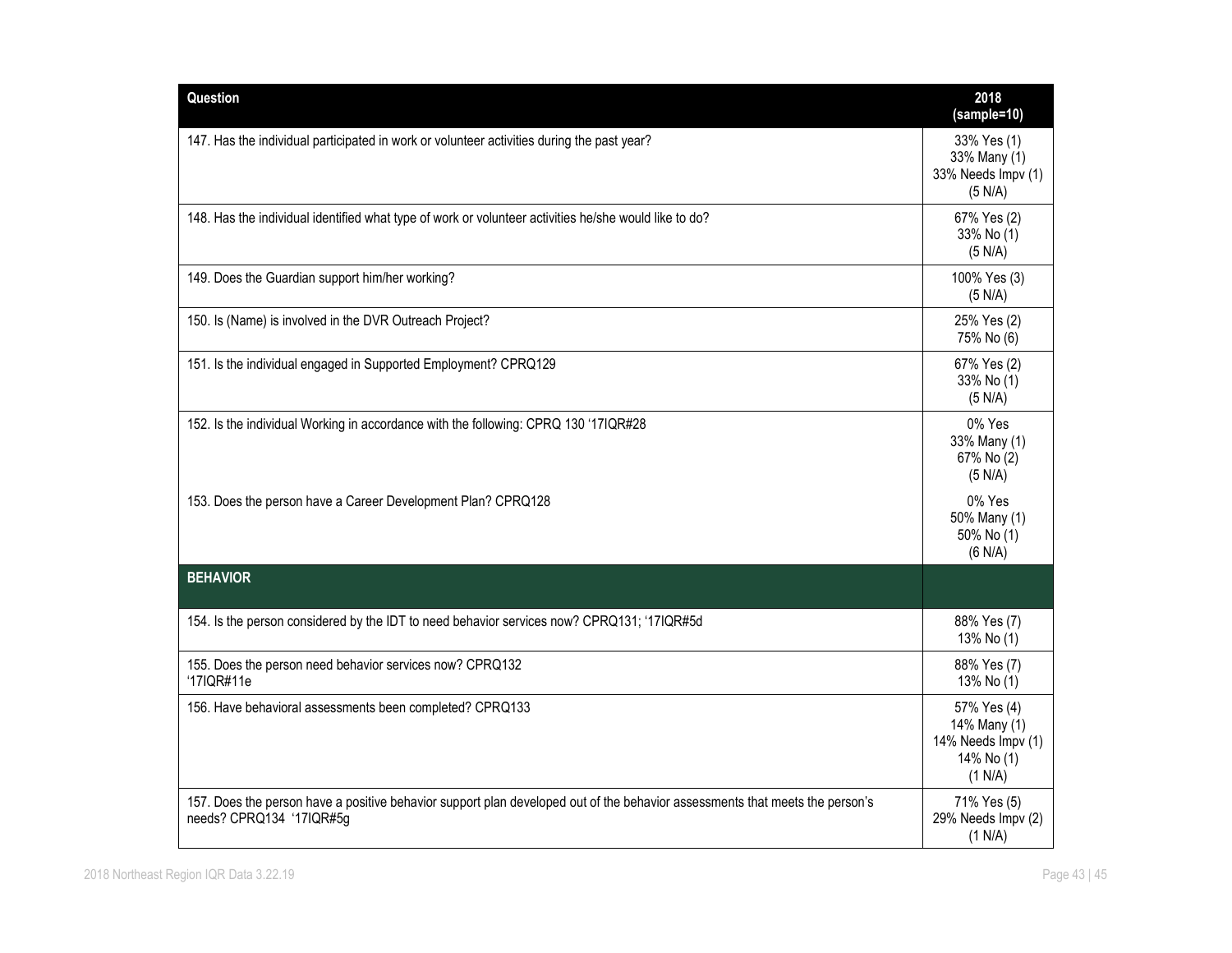| Question                                                                                                                                                 | 2018<br>(sample=10)                                                        |
|----------------------------------------------------------------------------------------------------------------------------------------------------------|----------------------------------------------------------------------------|
| 147. Has the individual participated in work or volunteer activities during the past year?                                                               | 33% Yes (1)<br>33% Many (1)<br>33% Needs Impv (1)<br>(5 N/A)               |
| 148. Has the individual identified what type of work or volunteer activities he/she would like to do?                                                    | 67% Yes (2)<br>33% No (1)<br>(5 N/A)                                       |
| 149. Does the Guardian support him/her working?                                                                                                          | 100% Yes (3)<br>(5 N/A)                                                    |
| 150. Is (Name) is involved in the DVR Outreach Project?                                                                                                  | 25% Yes (2)<br>75% No (6)                                                  |
| 151. Is the individual engaged in Supported Employment? CPRQ129                                                                                          | 67% Yes (2)<br>33% No (1)<br>(5 N/A)                                       |
| 152. Is the individual Working in accordance with the following: CPRQ 130 '17IQR#28                                                                      | 0% Yes<br>33% Many (1)<br>67% No (2)<br>(5 N/A)                            |
| 153. Does the person have a Career Development Plan? CPRQ128                                                                                             | 0% Yes<br>50% Many (1)<br>50% No (1)<br>(6 N/A)                            |
| <b>BEHAVIOR</b>                                                                                                                                          |                                                                            |
| 154. Is the person considered by the IDT to need behavior services now? CPRQ131; '17IQR#5d                                                               | 88% Yes (7)<br>13% No (1)                                                  |
| 155. Does the person need behavior services now? CPRQ132<br>'17IQR#11e                                                                                   | 88% Yes (7)<br>13% No (1)                                                  |
| 156. Have behavioral assessments been completed? CPRQ133                                                                                                 | 57% Yes (4)<br>14% Many (1)<br>14% Needs Impv (1)<br>14% No (1)<br>(1 N/A) |
| 157. Does the person have a positive behavior support plan developed out of the behavior assessments that meets the person's<br>needs? CPRQ134 '17IQR#5g | 71% Yes (5)<br>29% Needs Impv (2)<br>(1 N/A)                               |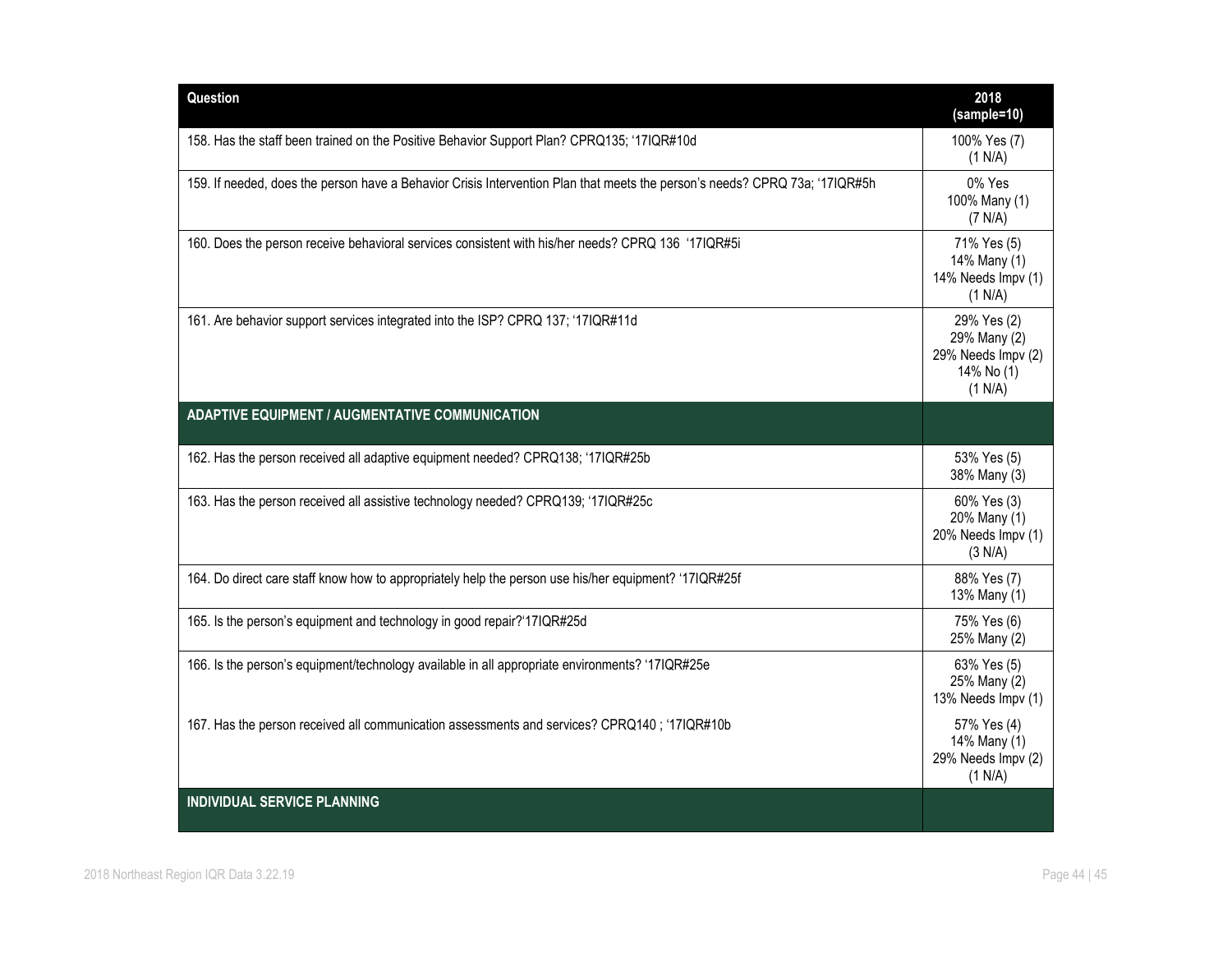| Question                                                                                                                    | 2018<br>(sample=10)                                                        |
|-----------------------------------------------------------------------------------------------------------------------------|----------------------------------------------------------------------------|
| 158. Has the staff been trained on the Positive Behavior Support Plan? CPRQ135; '17IQR#10d                                  | 100% Yes (7)<br>(1 N/A)                                                    |
| 159. If needed, does the person have a Behavior Crisis Intervention Plan that meets the person's needs? CPRQ 73a; '17IQR#5h | 0% Yes<br>100% Many (1)<br>(7 N/A)                                         |
| 160. Does the person receive behavioral services consistent with his/her needs? CPRQ 136 '17IQR#5i                          | 71% Yes (5)<br>14% Many (1)<br>14% Needs Impv (1)<br>(1 N/A)               |
| 161. Are behavior support services integrated into the ISP? CPRQ 137; '17IQR#11d                                            | 29% Yes (2)<br>29% Many (2)<br>29% Needs Impv (2)<br>14% No (1)<br>(1 N/A) |
| <b>ADAPTIVE EQUIPMENT / AUGMENTATIVE COMMUNICATION</b>                                                                      |                                                                            |
| 162. Has the person received all adaptive equipment needed? CPRQ138; '17IQR#25b                                             | 53% Yes (5)<br>38% Many (3)                                                |
| 163. Has the person received all assistive technology needed? CPRQ139; '17IQR#25c                                           | 60% Yes (3)<br>20% Many (1)<br>20% Needs Impv (1)<br>(3 N/A)               |
| 164. Do direct care staff know how to appropriately help the person use his/her equipment? '17IQR#25f                       | 88% Yes (7)<br>13% Many (1)                                                |
| 165. Is the person's equipment and technology in good repair?'17IQR#25d                                                     | 75% Yes (6)<br>25% Many (2)                                                |
| 166. Is the person's equipment/technology available in all appropriate environments? '17IQR#25e                             | 63% Yes (5)<br>25% Many (2)<br>13% Needs Impv (1)                          |
| 167. Has the person received all communication assessments and services? CPRQ140; '17IQR#10b                                | 57% Yes (4)<br>14% Many (1)<br>29% Needs Impv (2)<br>(1 N/A)               |
| <b>INDIVIDUAL SERVICE PLANNING</b>                                                                                          |                                                                            |